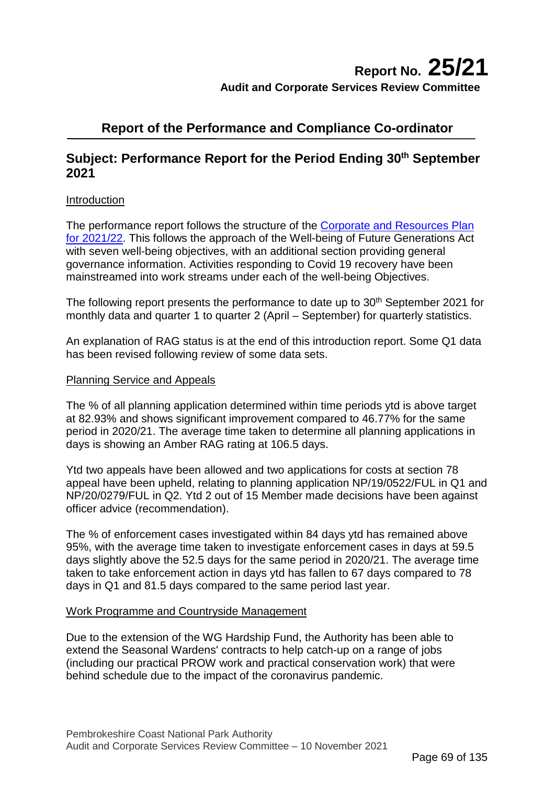# **Report No. 25/21 Audit and Corporate Services Review Committee**

# **Report of the Performance and Compliance Co-ordinator**

# **Subject: Performance Report for the Period Ending 30<sup>th</sup> September 2021**

# Introduction

The performance report follows the structure of the Corporate [and Resources](https://www.pembrokeshirecoast.wales/wp-content/uploads/2021/03/Corporate_Plan_21_22.pdf) Plan [for 2021/22.](https://www.pembrokeshirecoast.wales/wp-content/uploads/2021/03/Corporate_Plan_21_22.pdf) This follows the approach of the Well-being of Future Generations Act with seven well-being objectives, with an additional section providing general governance information. Activities responding to Covid 19 recovery have been mainstreamed into work streams under each of the well-being Objectives.

The following report presents the performance to date up to 30<sup>th</sup> September 2021 for monthly data and quarter 1 to quarter 2 (April – September) for quarterly statistics.

An explanation of RAG status is at the end of this introduction report. Some Q1 data has been revised following review of some data sets.

#### Planning Service and Appeals

The % of all planning application determined within time periods ytd is above target at 82.93% and shows significant improvement compared to 46.77% for the same period in 2020/21. The average time taken to determine all planning applications in days is showing an Amber RAG rating at 106.5 days.

Ytd two appeals have been allowed and two applications for costs at section 78 appeal have been upheld, relating to planning application NP/19/0522/FUL in Q1 and NP/20/0279/FUL in Q2. Ytd 2 out of 15 Member made decisions have been against officer advice (recommendation).

The % of enforcement cases investigated within 84 days ytd has remained above 95%, with the average time taken to investigate enforcement cases in days at 59.5 days slightly above the 52.5 days for the same period in 2020/21. The average time taken to take enforcement action in days ytd has fallen to 67 days compared to 78 days in Q1 and 81.5 days compared to the same period last year.

# Work Programme and Countryside Management

Due to the extension of the WG Hardship Fund, the Authority has been able to extend the Seasonal Wardens' contracts to help catch-up on a range of jobs (including our practical PROW work and practical conservation work) that were behind schedule due to the impact of the coronavirus pandemic.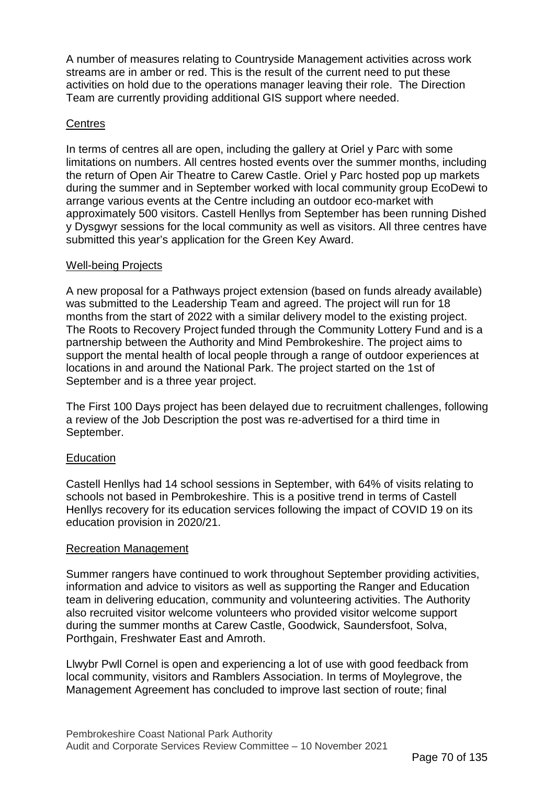A number of measures relating to Countryside Management activities across work streams are in amber or red. This is the result of the current need to put these activities on hold due to the operations manager leaving their role. The Direction Team are currently providing additional GIS support where needed.

# **Centres**

In terms of centres all are open, including the gallery at Oriel y Parc with some limitations on numbers. All centres hosted events over the summer months, including the return of Open Air Theatre to Carew Castle. Oriel y Parc hosted pop up markets during the summer and in September worked with local community group EcoDewi to arrange various events at the Centre including an outdoor eco-market with approximately 500 visitors. Castell Henllys from September has been running Dished y Dysgwyr sessions for the local community as well as visitors. All three centres have submitted this year's application for the Green Key Award.

# Well-being Projects

A new proposal for a Pathways project extension (based on funds already available) was submitted to the Leadership Team and agreed. The project will run for 18 months from the start of 2022 with a similar delivery model to the existing project. The Roots to Recovery Project funded through the Community Lottery Fund and is a partnership between the Authority and Mind Pembrokeshire. The project aims to support the mental health of local people through a range of outdoor experiences at locations in and around the National Park. The project started on the 1st of September and is a three year project.

The First 100 Days project has been delayed due to recruitment challenges, following a review of the Job Description the post was re-advertised for a third time in September.

# **Education**

Castell Henllys had 14 school sessions in September, with 64% of visits relating to schools not based in Pembrokeshire. This is a positive trend in terms of Castell Henllys recovery for its education services following the impact of COVID 19 on its education provision in 2020/21.

#### Recreation Management

Summer rangers have continued to work throughout September providing activities, information and advice to visitors as well as supporting the Ranger and Education team in delivering education, community and volunteering activities. The Authority also recruited visitor welcome volunteers who provided visitor welcome support during the summer months at Carew Castle, Goodwick, Saundersfoot, Solva, Porthgain, Freshwater East and Amroth.

Llwybr Pwll Cornel is open and experiencing a lot of use with good feedback from local community, visitors and Ramblers Association. In terms of Moylegrove, the Management Agreement has concluded to improve last section of route; final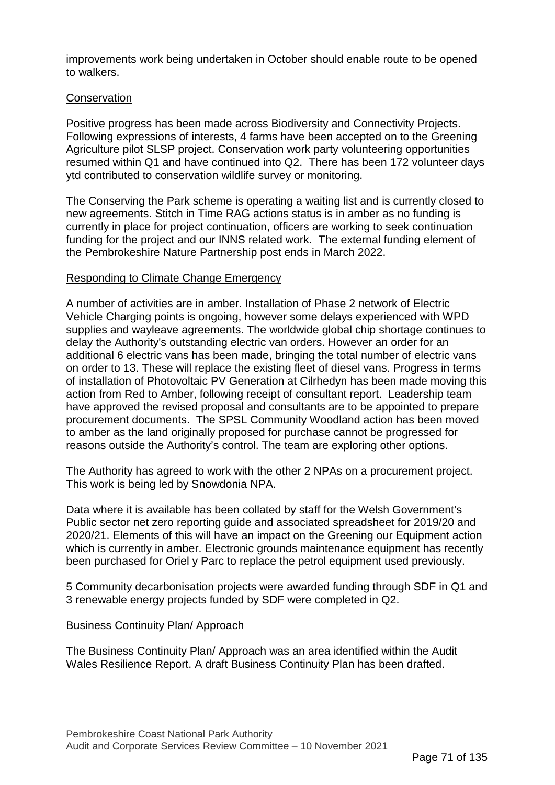improvements work being undertaken in October should enable route to be opened to walkers.

# **Conservation**

Positive progress has been made across Biodiversity and Connectivity Projects. Following expressions of interests, 4 farms have been accepted on to the Greening Agriculture pilot SLSP project. Conservation work party volunteering opportunities resumed within Q1 and have continued into Q2. There has been 172 volunteer days ytd contributed to conservation wildlife survey or monitoring.

The Conserving the Park scheme is operating a waiting list and is currently closed to new agreements. Stitch in Time RAG actions status is in amber as no funding is currently in place for project continuation, officers are working to seek continuation funding for the project and our INNS related work. The external funding element of the Pembrokeshire Nature Partnership post ends in March 2022.

# Responding to Climate Change Emergency

A number of activities are in amber. Installation of Phase 2 network of Electric Vehicle Charging points is ongoing, however some delays experienced with WPD supplies and wayleave agreements. The worldwide global chip shortage continues to delay the Authority's outstanding electric van orders. However an order for an additional 6 electric vans has been made, bringing the total number of electric vans on order to 13. These will replace the existing fleet of diesel vans. Progress in terms of installation of Photovoltaic PV Generation at Cilrhedyn has been made moving this action from Red to Amber, following receipt of consultant report. Leadership team have approved the revised proposal and consultants are to be appointed to prepare procurement documents. The SPSL Community Woodland action has been moved to amber as the land originally proposed for purchase cannot be progressed for reasons outside the Authority's control. The team are exploring other options.

The Authority has agreed to work with the other 2 NPAs on a procurement project. This work is being led by Snowdonia NPA.

Data where it is available has been collated by staff for the Welsh Government's Public sector net zero reporting guide and associated spreadsheet for 2019/20 and 2020/21. Elements of this will have an impact on the Greening our Equipment action which is currently in amber. Electronic grounds maintenance equipment has recently been purchased for Oriel y Parc to replace the petrol equipment used previously.

5 Community decarbonisation projects were awarded funding through SDF in Q1 and 3 renewable energy projects funded by SDF were completed in Q2.

# Business Continuity Plan/ Approach

The Business Continuity Plan/ Approach was an area identified within the Audit Wales Resilience Report. A draft Business Continuity Plan has been drafted.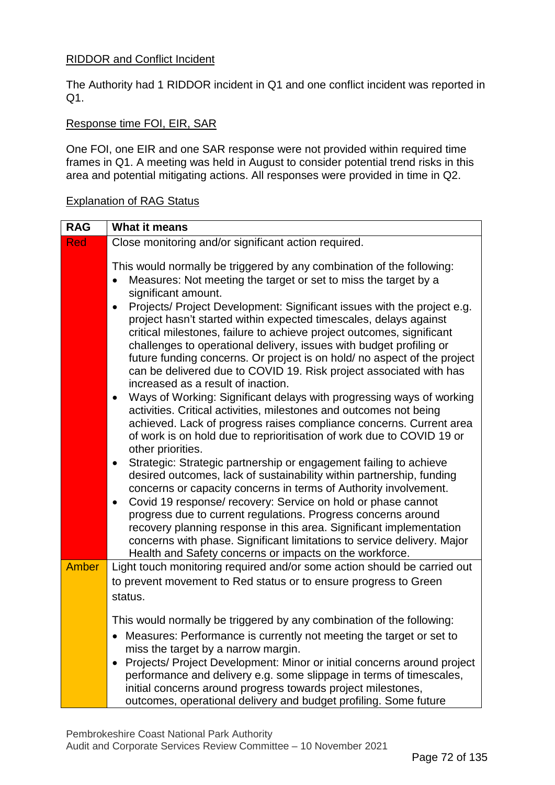# RIDDOR and Conflict Incident

The Authority had 1 RIDDOR incident in Q1 and one conflict incident was reported in Q1.

# Response time FOI, EIR, SAR

One FOI, one EIR and one SAR response were not provided within required time frames in Q1. A meeting was held in August to consider potential trend risks in this area and potential mitigating actions. All responses were provided in time in Q2.

# Explanation of RAG Status

| <b>RAG</b>   | <b>What it means</b>                                                                                                                                                                                                                                                                                                                                                                                                                                                                                                                                                                                                                                                                                                                                                                                                                                                                                                                                                                                                                                                                                                                                                                                                                                                                                                                                                                                                                                                                                                                                                                          |
|--------------|-----------------------------------------------------------------------------------------------------------------------------------------------------------------------------------------------------------------------------------------------------------------------------------------------------------------------------------------------------------------------------------------------------------------------------------------------------------------------------------------------------------------------------------------------------------------------------------------------------------------------------------------------------------------------------------------------------------------------------------------------------------------------------------------------------------------------------------------------------------------------------------------------------------------------------------------------------------------------------------------------------------------------------------------------------------------------------------------------------------------------------------------------------------------------------------------------------------------------------------------------------------------------------------------------------------------------------------------------------------------------------------------------------------------------------------------------------------------------------------------------------------------------------------------------------------------------------------------------|
| <b>Red</b>   | Close monitoring and/or significant action required.                                                                                                                                                                                                                                                                                                                                                                                                                                                                                                                                                                                                                                                                                                                                                                                                                                                                                                                                                                                                                                                                                                                                                                                                                                                                                                                                                                                                                                                                                                                                          |
|              | This would normally be triggered by any combination of the following:<br>Measures: Not meeting the target or set to miss the target by a<br>significant amount.<br>Projects/ Project Development: Significant issues with the project e.g.<br>$\bullet$<br>project hasn't started within expected timescales, delays against<br>critical milestones, failure to achieve project outcomes, significant<br>challenges to operational delivery, issues with budget profiling or<br>future funding concerns. Or project is on hold/ no aspect of the project<br>can be delivered due to COVID 19. Risk project associated with has<br>increased as a result of inaction.<br>Ways of Working: Significant delays with progressing ways of working<br>$\bullet$<br>activities. Critical activities, milestones and outcomes not being<br>achieved. Lack of progress raises compliance concerns. Current area<br>of work is on hold due to reprioritisation of work due to COVID 19 or<br>other priorities.<br>Strategic: Strategic partnership or engagement failing to achieve<br>$\bullet$<br>desired outcomes, lack of sustainability within partnership, funding<br>concerns or capacity concerns in terms of Authority involvement.<br>Covid 19 response/ recovery: Service on hold or phase cannot<br>$\bullet$<br>progress due to current regulations. Progress concerns around<br>recovery planning response in this area. Significant implementation<br>concerns with phase. Significant limitations to service delivery. Major<br>Health and Safety concerns or impacts on the workforce. |
| <b>Amber</b> | Light touch monitoring required and/or some action should be carried out                                                                                                                                                                                                                                                                                                                                                                                                                                                                                                                                                                                                                                                                                                                                                                                                                                                                                                                                                                                                                                                                                                                                                                                                                                                                                                                                                                                                                                                                                                                      |
|              | to prevent movement to Red status or to ensure progress to Green                                                                                                                                                                                                                                                                                                                                                                                                                                                                                                                                                                                                                                                                                                                                                                                                                                                                                                                                                                                                                                                                                                                                                                                                                                                                                                                                                                                                                                                                                                                              |
|              | status.                                                                                                                                                                                                                                                                                                                                                                                                                                                                                                                                                                                                                                                                                                                                                                                                                                                                                                                                                                                                                                                                                                                                                                                                                                                                                                                                                                                                                                                                                                                                                                                       |
|              | This would normally be triggered by any combination of the following:                                                                                                                                                                                                                                                                                                                                                                                                                                                                                                                                                                                                                                                                                                                                                                                                                                                                                                                                                                                                                                                                                                                                                                                                                                                                                                                                                                                                                                                                                                                         |
|              | • Measures: Performance is currently not meeting the target or set to                                                                                                                                                                                                                                                                                                                                                                                                                                                                                                                                                                                                                                                                                                                                                                                                                                                                                                                                                                                                                                                                                                                                                                                                                                                                                                                                                                                                                                                                                                                         |
|              | miss the target by a narrow margin.<br>Projects/ Project Development: Minor or initial concerns around project<br>$\bullet$                                                                                                                                                                                                                                                                                                                                                                                                                                                                                                                                                                                                                                                                                                                                                                                                                                                                                                                                                                                                                                                                                                                                                                                                                                                                                                                                                                                                                                                                   |
|              | performance and delivery e.g. some slippage in terms of timescales,                                                                                                                                                                                                                                                                                                                                                                                                                                                                                                                                                                                                                                                                                                                                                                                                                                                                                                                                                                                                                                                                                                                                                                                                                                                                                                                                                                                                                                                                                                                           |
|              | initial concerns around progress towards project milestones,                                                                                                                                                                                                                                                                                                                                                                                                                                                                                                                                                                                                                                                                                                                                                                                                                                                                                                                                                                                                                                                                                                                                                                                                                                                                                                                                                                                                                                                                                                                                  |
|              | outcomes, operational delivery and budget profiling. Some future                                                                                                                                                                                                                                                                                                                                                                                                                                                                                                                                                                                                                                                                                                                                                                                                                                                                                                                                                                                                                                                                                                                                                                                                                                                                                                                                                                                                                                                                                                                              |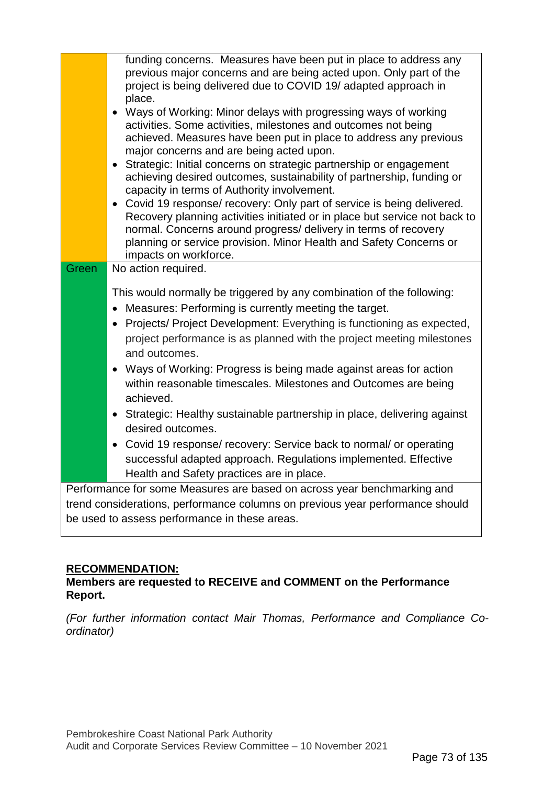| funding concerns. Measures have been put in place to address any<br>previous major concerns and are being acted upon. Only part of the<br>project is being delivered due to COVID 19/ adapted approach in<br>place.<br>• Ways of Working: Minor delays with progressing ways of working<br>activities. Some activities, milestones and outcomes not being<br>achieved. Measures have been put in place to address any previous<br>major concerns and are being acted upon.<br>Strategic: Initial concerns on strategic partnership or engagement<br>achieving desired outcomes, sustainability of partnership, funding or<br>capacity in terms of Authority involvement.<br>• Covid 19 response/ recovery: Only part of service is being delivered.<br>Recovery planning activities initiated or in place but service not back to<br>normal. Concerns around progress/ delivery in terms of recovery<br>planning or service provision. Minor Health and Safety Concerns or<br>impacts on workforce. |
|-----------------------------------------------------------------------------------------------------------------------------------------------------------------------------------------------------------------------------------------------------------------------------------------------------------------------------------------------------------------------------------------------------------------------------------------------------------------------------------------------------------------------------------------------------------------------------------------------------------------------------------------------------------------------------------------------------------------------------------------------------------------------------------------------------------------------------------------------------------------------------------------------------------------------------------------------------------------------------------------------------|
| No action required.<br>Green                                                                                                                                                                                                                                                                                                                                                                                                                                                                                                                                                                                                                                                                                                                                                                                                                                                                                                                                                                        |
| This would normally be triggered by any combination of the following:<br>Measures: Performing is currently meeting the target.<br>$\bullet$<br>Projects/ Project Development: Everything is functioning as expected,<br>project performance is as planned with the project meeting milestones<br>and outcomes.<br>Ways of Working: Progress is being made against areas for action<br>$\bullet$<br>within reasonable timescales. Milestones and Outcomes are being<br>achieved.<br>Strategic: Healthy sustainable partnership in place, delivering against<br>$\bullet$<br>desired outcomes.<br>Covid 19 response/ recovery: Service back to normal/ or operating<br>$\bullet$<br>successful adapted approach. Regulations implemented. Effective<br>Health and Safety practices are in place.                                                                                                                                                                                                      |
| Performance for some Measures are based on across year benchmarking and                                                                                                                                                                                                                                                                                                                                                                                                                                                                                                                                                                                                                                                                                                                                                                                                                                                                                                                             |
| trend considerations, performance columns on previous year performance should                                                                                                                                                                                                                                                                                                                                                                                                                                                                                                                                                                                                                                                                                                                                                                                                                                                                                                                       |
| be used to assess performance in these areas.                                                                                                                                                                                                                                                                                                                                                                                                                                                                                                                                                                                                                                                                                                                                                                                                                                                                                                                                                       |

# **RECOMMENDATION:**

# **Members are requested to RECEIVE and COMMENT on the Performance Report.**

*(For further information contact Mair Thomas, Performance and Compliance Coordinator)*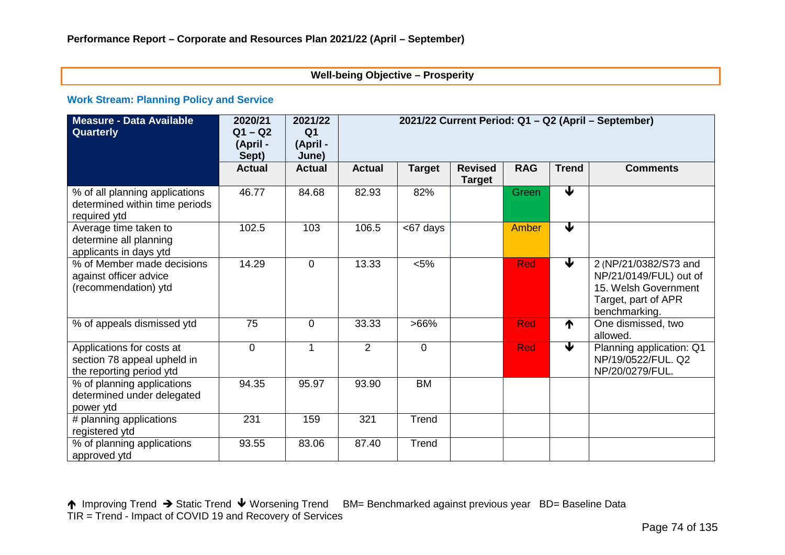#### **Well-being Objective – Prosperity**

#### **Work Stream: Planning Policy and Service**

| <b>Measure - Data Available</b><br>Quarterly                                         | 2020/21<br>$Q1 - Q2$<br>(April -<br>Sept) | 2021/22<br>Q <sub>1</sub><br>(April -<br>June) | 2021/22 Current Period: Q1 - Q2 (April - September) |                |                                 |            |                      |                                                                                                                 |
|--------------------------------------------------------------------------------------|-------------------------------------------|------------------------------------------------|-----------------------------------------------------|----------------|---------------------------------|------------|----------------------|-----------------------------------------------------------------------------------------------------------------|
|                                                                                      | <b>Actual</b>                             | <b>Actual</b>                                  | <b>Actual</b>                                       | <b>Target</b>  | <b>Revised</b><br><b>Target</b> | <b>RAG</b> | <b>Trend</b>         | <b>Comments</b>                                                                                                 |
| % of all planning applications<br>determined within time periods<br>required ytd     | 46.77                                     | 84.68                                          | 82.93                                               | 82%            |                                 | Green      | $\blacktriangledown$ |                                                                                                                 |
| Average time taken to<br>determine all planning<br>applicants in days ytd            | 102.5                                     | 103                                            | 106.5                                               | <67 days       |                                 | Amber      | $\blacktriangledown$ |                                                                                                                 |
| % of Member made decisions<br>against officer advice<br>(recommendation) ytd         | 14.29                                     | $\overline{0}$                                 | 13.33                                               | $< 5\%$        |                                 | <b>Red</b> | $\blacklozenge$      | 2 (NP/21/0382/S73 and<br>NP/21/0149/FUL) out of<br>15. Welsh Government<br>Target, part of APR<br>benchmarking. |
| % of appeals dismissed ytd                                                           | 75                                        | $\overline{0}$                                 | 33.33                                               | $>66\%$        |                                 | <b>Red</b> | ↑                    | One dismissed, two<br>allowed.                                                                                  |
| Applications for costs at<br>section 78 appeal upheld in<br>the reporting period ytd | $\overline{0}$                            | 1                                              | 2                                                   | $\overline{0}$ |                                 | <b>Red</b> | €                    | Planning application: Q1<br>NP/19/0522/FUL. Q2<br>NP/20/0279/FUL.                                               |
| % of planning applications<br>determined under delegated<br>power ytd                | 94.35                                     | 95.97                                          | 93.90                                               | <b>BM</b>      |                                 |            |                      |                                                                                                                 |
| # planning applications<br>registered ytd                                            | 231                                       | 159                                            | 321                                                 | Trend          |                                 |            |                      |                                                                                                                 |
| % of planning applications<br>approved ytd                                           | 93.55                                     | 83.06                                          | 87.40                                               | Trend          |                                 |            |                      |                                                                                                                 |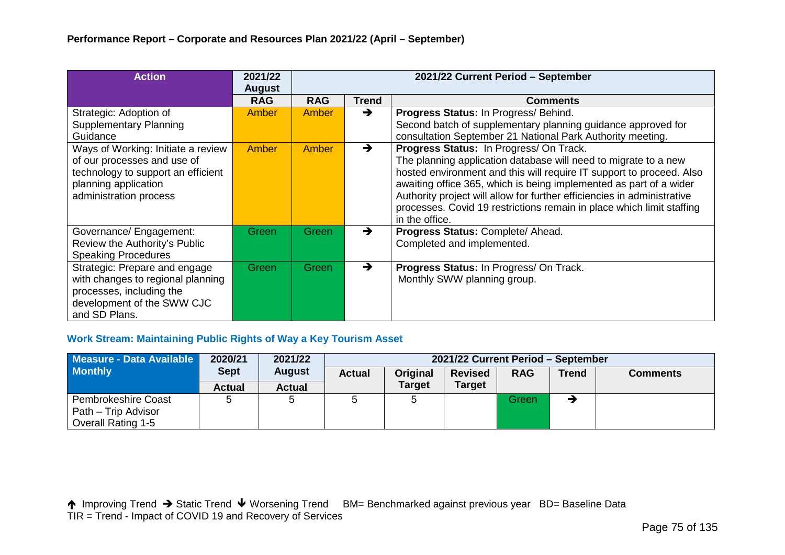| <b>Action</b>                                                                                                                                             | 2021/22<br><b>August</b> | 2021/22 Current Period - September |               |                                                                                                                                                                                                                                                                                                                                                                                                                                |  |  |  |
|-----------------------------------------------------------------------------------------------------------------------------------------------------------|--------------------------|------------------------------------|---------------|--------------------------------------------------------------------------------------------------------------------------------------------------------------------------------------------------------------------------------------------------------------------------------------------------------------------------------------------------------------------------------------------------------------------------------|--|--|--|
|                                                                                                                                                           | <b>RAG</b>               | <b>RAG</b>                         | <b>Trend</b>  | <b>Comments</b>                                                                                                                                                                                                                                                                                                                                                                                                                |  |  |  |
| Strategic: Adoption of<br><b>Supplementary Planning</b><br>Guidance                                                                                       | Amber                    | Amber                              | $\rightarrow$ | Progress Status: In Progress/ Behind.<br>Second batch of supplementary planning guidance approved for<br>consultation September 21 National Park Authority meeting.                                                                                                                                                                                                                                                            |  |  |  |
| Ways of Working: Initiate a review<br>of our processes and use of<br>technology to support an efficient<br>planning application<br>administration process | Amber                    | Amber                              | $\rightarrow$ | Progress Status: In Progress/ On Track.<br>The planning application database will need to migrate to a new<br>hosted environment and this will require IT support to proceed. Also<br>awaiting office 365, which is being implemented as part of a wider<br>Authority project will allow for further efficiencies in administrative<br>processes. Covid 19 restrictions remain in place which limit staffing<br>in the office. |  |  |  |
| Governance/ Engagement:<br>Review the Authority's Public<br><b>Speaking Procedures</b>                                                                    | Green                    | Green                              | $\rightarrow$ | Progress Status: Complete/ Ahead.<br>Completed and implemented.                                                                                                                                                                                                                                                                                                                                                                |  |  |  |
| Strategic: Prepare and engage<br>with changes to regional planning<br>processes, including the<br>development of the SWW CJC<br>and SD Plans.             | Green                    | Green                              | $\rightarrow$ | Progress Status: In Progress/ On Track.<br>Monthly SWW planning group.                                                                                                                                                                                                                                                                                                                                                         |  |  |  |

# **Work Stream: Maintaining Public Rights of Way a Key Tourism Asset**

| Measure - Data Available  | 2020/21       | 2021/22       | 2021/22 Current Period - September |               |                |            |              |                 |
|---------------------------|---------------|---------------|------------------------------------|---------------|----------------|------------|--------------|-----------------|
| <b>Monthly</b>            | <b>Sept</b>   | <b>August</b> | <b>Actual</b>                      | Original      | <b>Revised</b> | <b>RAG</b> | <b>Trend</b> | <b>Comments</b> |
|                           | <b>Actual</b> | <b>Actual</b> |                                    | <b>Target</b> | <b>Target</b>  |            |              |                 |
| Pembrokeshire Coast       |               |               |                                    |               |                | Green      |              |                 |
| Path – Trip Advisor       |               |               |                                    |               |                |            |              |                 |
| <b>Overall Rating 1-5</b> |               |               |                                    |               |                |            |              |                 |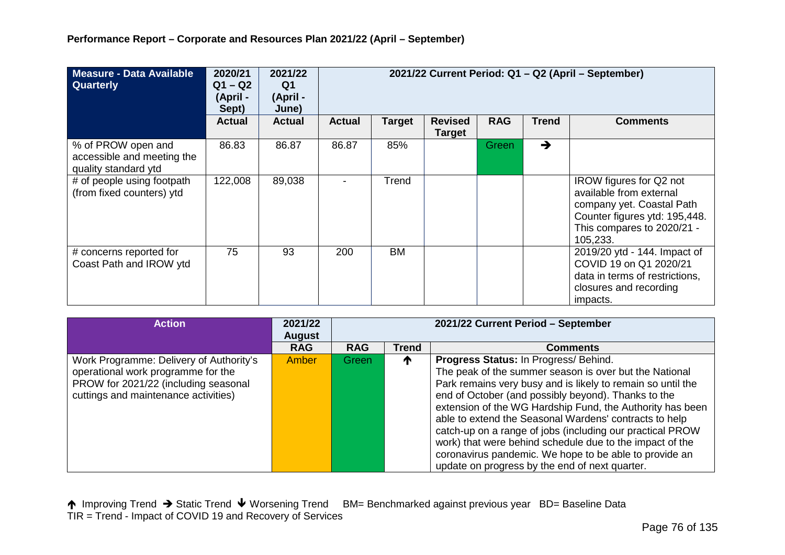| Measure - Data Available<br><b>Quarterly</b>                             | 2020/21<br>$Q1 - Q2$<br>(April -<br>Sept) | 2021/22<br>Q1<br>(April -<br>June) | 2021/22 Current Period: Q1 - Q2 (April - September) |           |                                 |              |               |                                                                                                                                                            |
|--------------------------------------------------------------------------|-------------------------------------------|------------------------------------|-----------------------------------------------------|-----------|---------------------------------|--------------|---------------|------------------------------------------------------------------------------------------------------------------------------------------------------------|
|                                                                          | <b>Actual</b>                             | <b>Actual</b>                      | <b>Actual</b>                                       | Target    | <b>Revised</b><br><b>Target</b> | <b>RAG</b>   | <b>Trend</b>  | <b>Comments</b>                                                                                                                                            |
| % of PROW open and<br>accessible and meeting the<br>quality standard ytd | 86.83                                     | 86.87                              | 86.87                                               | 85%       |                                 | <b>Green</b> | $\rightarrow$ |                                                                                                                                                            |
| # of people using footpath<br>(from fixed counters) ytd                  | 122,008                                   | 89,038                             |                                                     | Trend     |                                 |              |               | IROW figures for Q2 not<br>available from external<br>company yet. Coastal Path<br>Counter figures ytd: 195,448.<br>This compares to 2020/21 -<br>105,233. |
| # concerns reported for<br>Coast Path and IROW ytd                       | 75                                        | 93                                 | 200                                                 | <b>BM</b> |                                 |              |               | 2019/20 ytd - 144. Impact of<br>COVID 19 on Q1 2020/21<br>data in terms of restrictions,<br>closures and recording<br>impacts.                             |

| <b>Action</b>                                                                                                                                                 | 2021/22<br><b>August</b> | 2021/22 Current Period - September |              |                                                                                                                                                                                                                                                                                                                                                                                                                                                                                                                                                                                   |  |  |  |
|---------------------------------------------------------------------------------------------------------------------------------------------------------------|--------------------------|------------------------------------|--------------|-----------------------------------------------------------------------------------------------------------------------------------------------------------------------------------------------------------------------------------------------------------------------------------------------------------------------------------------------------------------------------------------------------------------------------------------------------------------------------------------------------------------------------------------------------------------------------------|--|--|--|
|                                                                                                                                                               | <b>RAG</b>               | <b>RAG</b>                         | <b>Trend</b> | <b>Comments</b>                                                                                                                                                                                                                                                                                                                                                                                                                                                                                                                                                                   |  |  |  |
| Work Programme: Delivery of Authority's<br>operational work programme for the<br>PROW for 2021/22 (including seasonal<br>cuttings and maintenance activities) | Amber                    | Green                              | T            | Progress Status: In Progress/ Behind.<br>The peak of the summer season is over but the National<br>Park remains very busy and is likely to remain so until the<br>end of October (and possibly beyond). Thanks to the<br>extension of the WG Hardship Fund, the Authority has been<br>able to extend the Seasonal Wardens' contracts to help<br>catch-up on a range of jobs (including our practical PROW<br>work) that were behind schedule due to the impact of the<br>coronavirus pandemic. We hope to be able to provide an<br>update on progress by the end of next quarter. |  |  |  |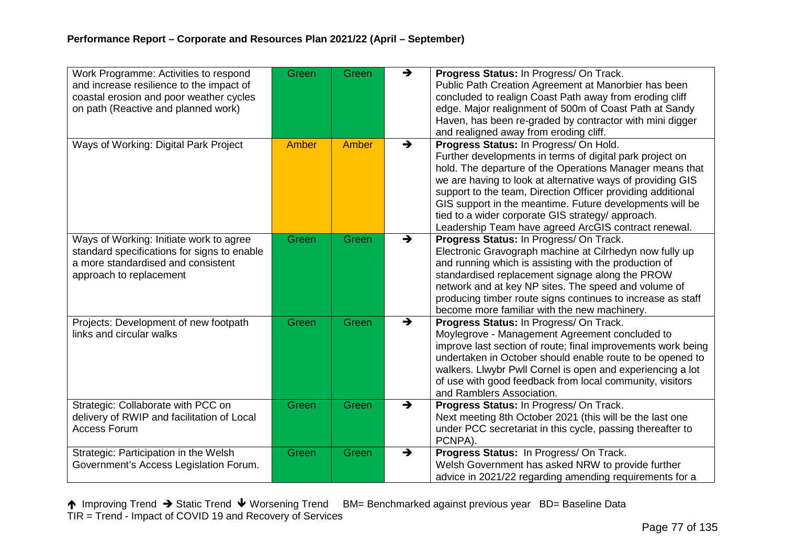| Work Programme: Activities to respond<br>and increase resilience to the impact of<br>coastal erosion and poor weather cycles<br>on path (Reactive and planned work) | Green        | Green | $\rightarrow$ | Progress Status: In Progress/ On Track.<br>Public Path Creation Agreement at Manorbier has been<br>concluded to realign Coast Path away from eroding cliff<br>edge. Major realignment of 500m of Coast Path at Sandy<br>Haven, has been re-graded by contractor with mini digger                                                                                                                                                                                                                               |
|---------------------------------------------------------------------------------------------------------------------------------------------------------------------|--------------|-------|---------------|----------------------------------------------------------------------------------------------------------------------------------------------------------------------------------------------------------------------------------------------------------------------------------------------------------------------------------------------------------------------------------------------------------------------------------------------------------------------------------------------------------------|
| Ways of Working: Digital Park Project                                                                                                                               | <b>Amber</b> | Amber | $\rightarrow$ | and realigned away from eroding cliff.<br>Progress Status: In Progress/ On Hold.<br>Further developments in terms of digital park project on<br>hold. The departure of the Operations Manager means that<br>we are having to look at alternative ways of providing GIS<br>support to the team, Direction Officer providing additional<br>GIS support in the meantime. Future developments will be<br>tied to a wider corporate GIS strategy/ approach.<br>Leadership Team have agreed ArcGIS contract renewal. |
| Ways of Working: Initiate work to agree<br>standard specifications for signs to enable<br>a more standardised and consistent<br>approach to replacement             | Green        | Green | $\rightarrow$ | Progress Status: In Progress/ On Track.<br>Electronic Gravograph machine at Cilrhedyn now fully up<br>and running which is assisting with the production of<br>standardised replacement signage along the PROW<br>network and at key NP sites. The speed and volume of<br>producing timber route signs continues to increase as staff<br>become more familiar with the new machinery.                                                                                                                          |
| Projects: Development of new footpath<br>links and circular walks                                                                                                   | Green        | Green | $\rightarrow$ | Progress Status: In Progress/ On Track.<br>Moylegrove - Management Agreement concluded to<br>improve last section of route; final improvements work being<br>undertaken in October should enable route to be opened to<br>walkers. Llwybr Pwll Cornel is open and experiencing a lot<br>of use with good feedback from local community, visitors<br>and Ramblers Association.                                                                                                                                  |
| Strategic: Collaborate with PCC on<br>delivery of RWIP and facilitation of Local<br><b>Access Forum</b>                                                             | Green        | Green | $\rightarrow$ | Progress Status: In Progress/ On Track.<br>Next meeting 8th October 2021 (this will be the last one<br>under PCC secretariat in this cycle, passing thereafter to<br>PCNPA).                                                                                                                                                                                                                                                                                                                                   |
| Strategic: Participation in the Welsh<br>Government's Access Legislation Forum.                                                                                     | Green        | Green | $\rightarrow$ | Progress Status: In Progress/ On Track.<br>Welsh Government has asked NRW to provide further<br>advice in 2021/22 regarding amending requirements for a                                                                                                                                                                                                                                                                                                                                                        |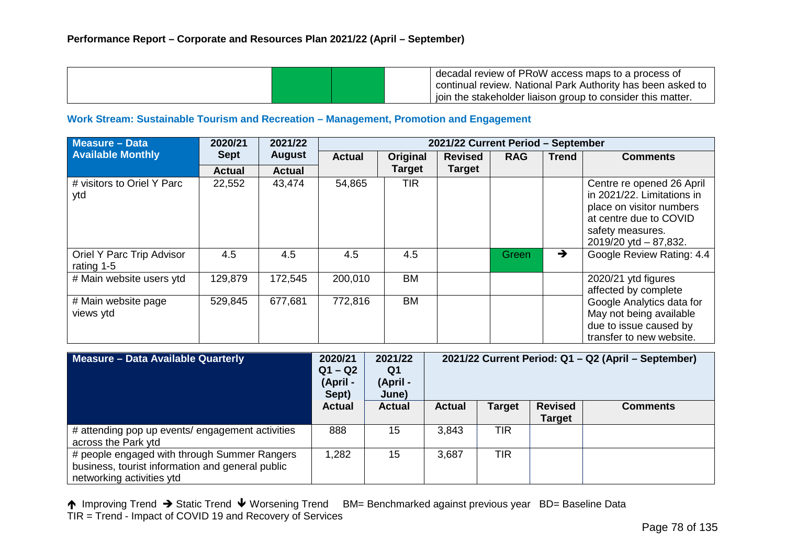|  | decadal review of PRoW access maps to a process of           |
|--|--------------------------------------------------------------|
|  | continual review. National Park Authority has been asked to  |
|  | gioin the stakeholder liaison group to consider this matter. |

#### **Work Stream: Sustainable Tourism and Recreation – Management, Promotion and Engagement**

| <b>Measure - Data</b>                   | 2020/21       | 2021/22       | 2021/22 Current Period - September |               |                |              |               |                                                                                                                                                              |  |  |
|-----------------------------------------|---------------|---------------|------------------------------------|---------------|----------------|--------------|---------------|--------------------------------------------------------------------------------------------------------------------------------------------------------------|--|--|
| <b>Available Monthly</b>                | <b>Sept</b>   | <b>August</b> | <b>Actual</b>                      | Original      | <b>Revised</b> | <b>RAG</b>   | <b>Trend</b>  | <b>Comments</b>                                                                                                                                              |  |  |
|                                         | <b>Actual</b> | <b>Actual</b> |                                    | <b>Target</b> | <b>Target</b>  |              |               |                                                                                                                                                              |  |  |
| # visitors to Oriel Y Parc<br>ytd       | 22,552        | 43,474        | 54,865                             | <b>TIR</b>    |                |              |               | Centre re opened 26 April<br>in 2021/22. Limitations in<br>place on visitor numbers<br>at centre due to COVID<br>safety measures.<br>2019/20 ytd $-87,832$ . |  |  |
| Oriel Y Parc Trip Advisor<br>rating 1-5 | 4.5           | 4.5           | 4.5                                | 4.5           |                | <b>Green</b> | $\rightarrow$ | Google Review Rating: 4.4                                                                                                                                    |  |  |
| # Main website users ytd                | 129,879       | 172,545       | 200,010                            | BM            |                |              |               | 2020/21 ytd figures<br>affected by complete                                                                                                                  |  |  |
| # Main website page<br>views ytd        | 529,845       | 677,681       | 772,816                            | BM            |                |              |               | Google Analytics data for<br>May not being available<br>due to issue caused by<br>transfer to new website.                                                   |  |  |

| Measure - Data Available Quarterly                                                                                            | 2020/21<br>$Q1 - Q2$<br>(April -<br>Sept) | 2021/22<br>Q1<br>(April -<br>June) | 2021/22 Current Period: Q1 - Q2 (April - September) |               |                                 |                 |
|-------------------------------------------------------------------------------------------------------------------------------|-------------------------------------------|------------------------------------|-----------------------------------------------------|---------------|---------------------------------|-----------------|
|                                                                                                                               | <b>Actual</b>                             | <b>Actual</b>                      | <b>Actual</b>                                       | <b>Target</b> | <b>Revised</b><br><b>Target</b> | <b>Comments</b> |
| # attending pop up events/ engagement activities<br>across the Park ytd                                                       | 888                                       | 15                                 | 3,843                                               | TIR           |                                 |                 |
| # people engaged with through Summer Rangers<br>business, tourist information and general public<br>networking activities ytd | 1,282                                     | 15                                 | 3,687                                               | <b>TIR</b>    |                                 |                 |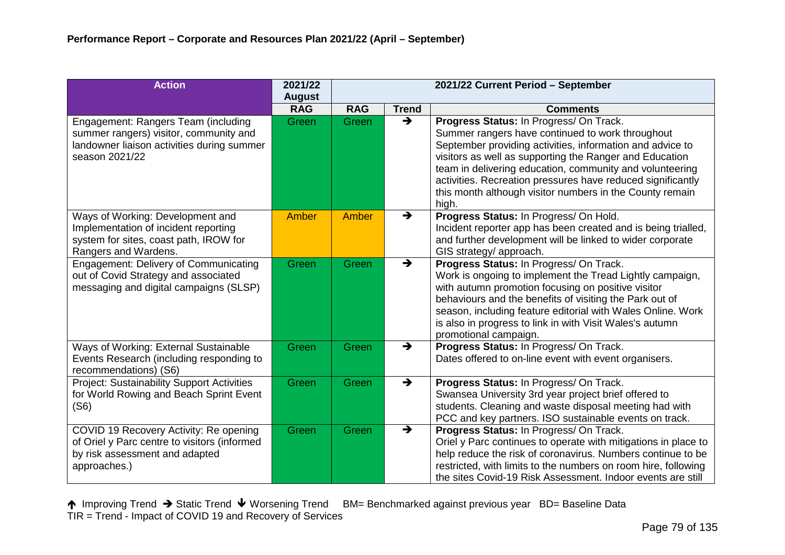| <b>Action</b>                                                                                                                                 | 2021/22<br><b>August</b> | 2021/22 Current Period - September |               |                                                                                                                                                                                                                                                                                                                                                                                                                     |  |  |
|-----------------------------------------------------------------------------------------------------------------------------------------------|--------------------------|------------------------------------|---------------|---------------------------------------------------------------------------------------------------------------------------------------------------------------------------------------------------------------------------------------------------------------------------------------------------------------------------------------------------------------------------------------------------------------------|--|--|
|                                                                                                                                               | <b>RAG</b>               | <b>RAG</b>                         | <b>Trend</b>  | <b>Comments</b>                                                                                                                                                                                                                                                                                                                                                                                                     |  |  |
| Engagement: Rangers Team (including<br>summer rangers) visitor, community and<br>landowner liaison activities during summer<br>season 2021/22 | Green                    | Green                              | $\rightarrow$ | Progress Status: In Progress/ On Track.<br>Summer rangers have continued to work throughout<br>September providing activities, information and advice to<br>visitors as well as supporting the Ranger and Education<br>team in delivering education, community and volunteering<br>activities. Recreation pressures have reduced significantly<br>this month although visitor numbers in the County remain<br>high. |  |  |
| Ways of Working: Development and<br>Implementation of incident reporting<br>system for sites, coast path, IROW for<br>Rangers and Wardens.    | Amber                    | Amber                              | $\rightarrow$ | Progress Status: In Progress/ On Hold.<br>Incident reporter app has been created and is being trialled,<br>and further development will be linked to wider corporate<br>GIS strategy/ approach.                                                                                                                                                                                                                     |  |  |
| <b>Engagement: Delivery of Communicating</b><br>out of Covid Strategy and associated<br>messaging and digital campaigns (SLSP)                | Green                    | Green                              | $\rightarrow$ | Progress Status: In Progress/ On Track.<br>Work is ongoing to implement the Tread Lightly campaign,<br>with autumn promotion focusing on positive visitor<br>behaviours and the benefits of visiting the Park out of<br>season, including feature editorial with Wales Online. Work<br>is also in progress to link in with Visit Wales's autumn<br>promotional campaign.                                            |  |  |
| Ways of Working: External Sustainable<br>Events Research (including responding to<br>recommendations) (S6)                                    | Green                    | Green                              | $\rightarrow$ | Progress Status: In Progress/ On Track.<br>Dates offered to on-line event with event organisers.                                                                                                                                                                                                                                                                                                                    |  |  |
| <b>Project: Sustainability Support Activities</b><br>for World Rowing and Beach Sprint Event<br>(S6)                                          | Green                    | Green                              | $\rightarrow$ | Progress Status: In Progress/ On Track.<br>Swansea University 3rd year project brief offered to<br>students. Cleaning and waste disposal meeting had with<br>PCC and key partners. ISO sustainable events on track.                                                                                                                                                                                                 |  |  |
| COVID 19 Recovery Activity: Re opening<br>of Oriel y Parc centre to visitors (informed<br>by risk assessment and adapted<br>approaches.)      | Green                    | Green                              | $\rightarrow$ | Progress Status: In Progress/ On Track.<br>Oriel y Parc continues to operate with mitigations in place to<br>help reduce the risk of coronavirus. Numbers continue to be<br>restricted, with limits to the numbers on room hire, following<br>the sites Covid-19 Risk Assessment. Indoor events are still                                                                                                           |  |  |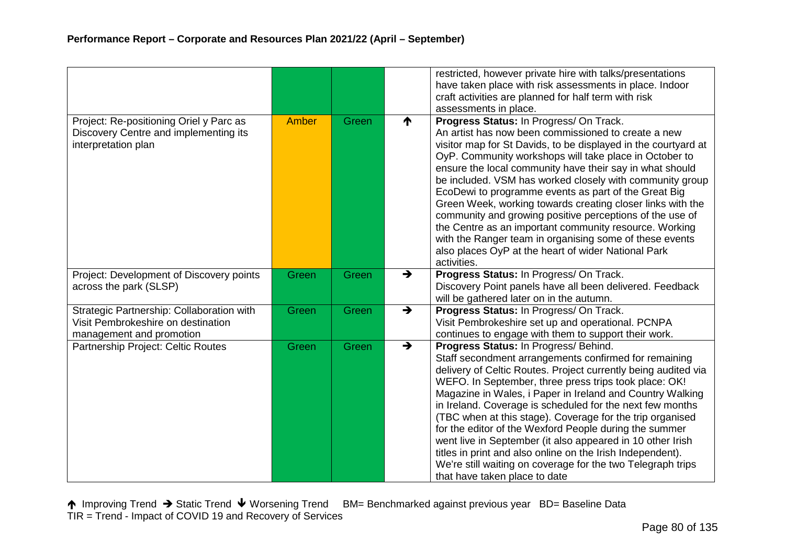|                                                                                                             |       |       |               | restricted, however private hire with talks/presentations<br>have taken place with risk assessments in place. Indoor                                                                                                                                                                                                                                                                                                                                                                                                                                                                                                                                                                                                            |
|-------------------------------------------------------------------------------------------------------------|-------|-------|---------------|---------------------------------------------------------------------------------------------------------------------------------------------------------------------------------------------------------------------------------------------------------------------------------------------------------------------------------------------------------------------------------------------------------------------------------------------------------------------------------------------------------------------------------------------------------------------------------------------------------------------------------------------------------------------------------------------------------------------------------|
|                                                                                                             |       |       |               | craft activities are planned for half term with risk<br>assessments in place.                                                                                                                                                                                                                                                                                                                                                                                                                                                                                                                                                                                                                                                   |
| Project: Re-positioning Oriel y Parc as<br>Discovery Centre and implementing its<br>interpretation plan     | Amber | Green | ₼             | Progress Status: In Progress/ On Track.<br>An artist has now been commissioned to create a new<br>visitor map for St Davids, to be displayed in the courtyard at<br>OyP. Community workshops will take place in October to<br>ensure the local community have their say in what should<br>be included. VSM has worked closely with community group<br>EcoDewi to programme events as part of the Great Big<br>Green Week, working towards creating closer links with the<br>community and growing positive perceptions of the use of<br>the Centre as an important community resource. Working<br>with the Ranger team in organising some of these events<br>also places OyP at the heart of wider National Park<br>activities. |
| Project: Development of Discovery points<br>across the park (SLSP)                                          | Green | Green | $\rightarrow$ | Progress Status: In Progress/ On Track.<br>Discovery Point panels have all been delivered. Feedback<br>will be gathered later on in the autumn.                                                                                                                                                                                                                                                                                                                                                                                                                                                                                                                                                                                 |
| Strategic Partnership: Collaboration with<br>Visit Pembrokeshire on destination<br>management and promotion | Green | Green | $\rightarrow$ | Progress Status: In Progress/ On Track.<br>Visit Pembrokeshire set up and operational. PCNPA<br>continues to engage with them to support their work.                                                                                                                                                                                                                                                                                                                                                                                                                                                                                                                                                                            |
| Partnership Project: Celtic Routes                                                                          | Green | Green | $\rightarrow$ | Progress Status: In Progress/ Behind.<br>Staff secondment arrangements confirmed for remaining<br>delivery of Celtic Routes. Project currently being audited via<br>WEFO. In September, three press trips took place: OK!<br>Magazine in Wales, i Paper in Ireland and Country Walking<br>in Ireland. Coverage is scheduled for the next few months<br>(TBC when at this stage). Coverage for the trip organised<br>for the editor of the Wexford People during the summer<br>went live in September (it also appeared in 10 other Irish<br>titles in print and also online on the Irish Independent).<br>We're still waiting on coverage for the two Telegraph trips<br>that have taken place to date                          |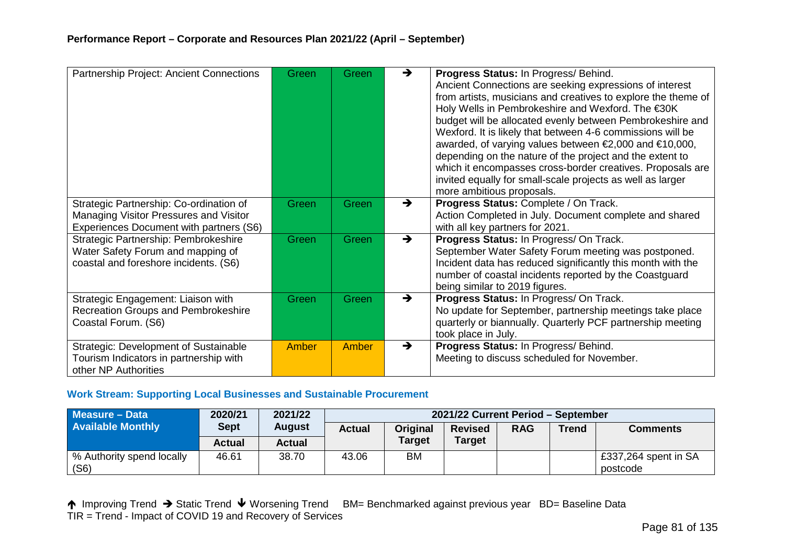| Partnership Project: Ancient Connections                                                                                     | Green        | Green | $\rightarrow$ | Progress Status: In Progress/ Behind.<br>Ancient Connections are seeking expressions of interest<br>from artists, musicians and creatives to explore the theme of<br>Holy Wells in Pembrokeshire and Wexford. The €30K<br>budget will be allocated evenly between Pembrokeshire and<br>Wexford. It is likely that between 4-6 commissions will be<br>awarded, of varying values between €2,000 and €10,000,<br>depending on the nature of the project and the extent to<br>which it encompasses cross-border creatives. Proposals are<br>invited equally for small-scale projects as well as larger<br>more ambitious proposals. |
|------------------------------------------------------------------------------------------------------------------------------|--------------|-------|---------------|----------------------------------------------------------------------------------------------------------------------------------------------------------------------------------------------------------------------------------------------------------------------------------------------------------------------------------------------------------------------------------------------------------------------------------------------------------------------------------------------------------------------------------------------------------------------------------------------------------------------------------|
| Strategic Partnership: Co-ordination of<br>Managing Visitor Pressures and Visitor<br>Experiences Document with partners (S6) | Green        | Green | $\rightarrow$ | Progress Status: Complete / On Track.<br>Action Completed in July. Document complete and shared<br>with all key partners for 2021.                                                                                                                                                                                                                                                                                                                                                                                                                                                                                               |
| Strategic Partnership: Pembrokeshire<br>Water Safety Forum and mapping of<br>coastal and foreshore incidents. (S6)           | Green        | Green | $\rightarrow$ | Progress Status: In Progress/ On Track.<br>September Water Safety Forum meeting was postponed.<br>Incident data has reduced significantly this month with the<br>number of coastal incidents reported by the Coastguard<br>being similar to 2019 figures.                                                                                                                                                                                                                                                                                                                                                                        |
| Strategic Engagement: Liaison with<br>Recreation Groups and Pembrokeshire<br>Coastal Forum. (S6)                             | Green        | Green | $\rightarrow$ | Progress Status: In Progress/ On Track.<br>No update for September, partnership meetings take place<br>quarterly or biannually. Quarterly PCF partnership meeting<br>took place in July.                                                                                                                                                                                                                                                                                                                                                                                                                                         |
| <b>Strategic: Development of Sustainable</b><br>Tourism Indicators in partnership with<br>other NP Authorities               | <b>Amber</b> | Amber | →             | Progress Status: In Progress/ Behind.<br>Meeting to discuss scheduled for November.                                                                                                                                                                                                                                                                                                                                                                                                                                                                                                                                              |

#### **Work Stream: Supporting Local Businesses and Sustainable Procurement**

| Measure - Data                    | 2020/21       | 2021/22 |               | 2021/22 Current Period - September |                |            |       |                                     |  |  |
|-----------------------------------|---------------|---------|---------------|------------------------------------|----------------|------------|-------|-------------------------------------|--|--|
| <b>Available Monthly</b>          | <b>Sept</b>   | August  | <b>Actual</b> | Original                           | <b>Revised</b> | <b>RAG</b> | Trend | <b>Comments</b>                     |  |  |
|                                   | <b>Actual</b> | Actual  |               | <b>Target</b>                      | <b>Target</b>  |            |       |                                     |  |  |
| % Authority spend locally<br>(S6) | 46.61         | 38.70   | 43.06         | <b>BM</b>                          |                |            |       | $E$ 337,264 spent in SA<br>postcode |  |  |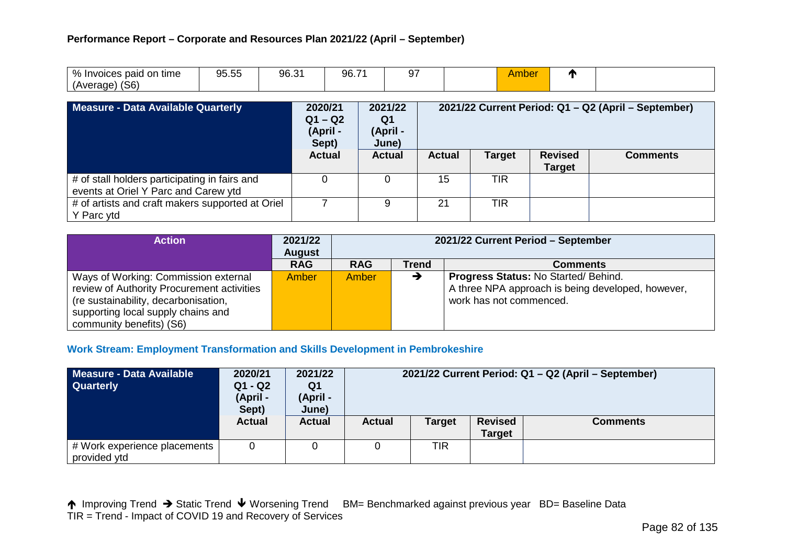| % Invoices paid on time | 05 FF<br>$\mathbf{u}$<br>$\sim$<br>ວບ.ບບ | $\sim$ $\sim$<br>ur<br>∪.∪ | 96.7' | $\sim$<br>ີ | $\Delta r$<br>.nor<br>udulla | и |  |
|-------------------------|------------------------------------------|----------------------------|-------|-------------|------------------------------|---|--|
| (S6)<br>(Average)       |                                          |                            |       |             |                              |   |  |

| Measure - Data Available Quarterly                                                    | 2021/22<br>2020/21<br>$Q1 - Q2$<br>Q1<br>(April -<br>(April -<br>Sept)<br>June) |               | 2021/22 Current Period: Q1 - Q2 (April - September) |               |                                 |                 |
|---------------------------------------------------------------------------------------|---------------------------------------------------------------------------------|---------------|-----------------------------------------------------|---------------|---------------------------------|-----------------|
|                                                                                       | <b>Actual</b>                                                                   | <b>Actual</b> | <b>Actual</b>                                       | <b>Target</b> | <b>Revised</b><br><b>Target</b> | <b>Comments</b> |
| # of stall holders participating in fairs and<br>events at Oriel Y Parc and Carew ytd |                                                                                 |               | 15                                                  | <b>TIR</b>    |                                 |                 |
| # of artists and craft makers supported at Oriel<br>Y Parc ytd                        |                                                                                 |               | 21                                                  | <b>TIR</b>    |                                 |                 |

| <b>Action</b>                              | 2021/22<br><b>August</b> | 2021/22 Current Period - September            |   |                                                   |  |  |  |
|--------------------------------------------|--------------------------|-----------------------------------------------|---|---------------------------------------------------|--|--|--|
|                                            | <b>RAG</b>               | <b>RAG</b><br><b>Trend</b><br><b>Comments</b> |   |                                                   |  |  |  |
| Ways of Working: Commission external       | <b>Amber</b>             | Amber                                         | → | <b>Progress Status: No Started/ Behind.</b>       |  |  |  |
| review of Authority Procurement activities |                          |                                               |   | A three NPA approach is being developed, however, |  |  |  |
| (re sustainability, decarbonisation,       |                          |                                               |   | work has not commenced.                           |  |  |  |
| supporting local supply chains and         |                          |                                               |   |                                                   |  |  |  |
| community benefits) (S6)                   |                          |                                               |   |                                                   |  |  |  |

#### **Work Stream: Employment Transformation and Skills Development in Pembrokeshire**

| Measure - Data Available<br><b>Quarterly</b>   | 2020/21<br>$Q1 - Q2$<br>(April -<br>Sept) | 2021/22<br>Q1<br>(April -<br>June) | 2021/22 Current Period: Q1 - Q2 (April - September) |               |                                 |                 |  |  |  |
|------------------------------------------------|-------------------------------------------|------------------------------------|-----------------------------------------------------|---------------|---------------------------------|-----------------|--|--|--|
|                                                | <b>Actual</b>                             | <b>Actual</b>                      | <b>Actual</b>                                       | <b>Target</b> | <b>Revised</b><br><b>Target</b> | <b>Comments</b> |  |  |  |
| # Work experience placements  <br>provided ytd |                                           |                                    |                                                     | TIR           |                                 |                 |  |  |  |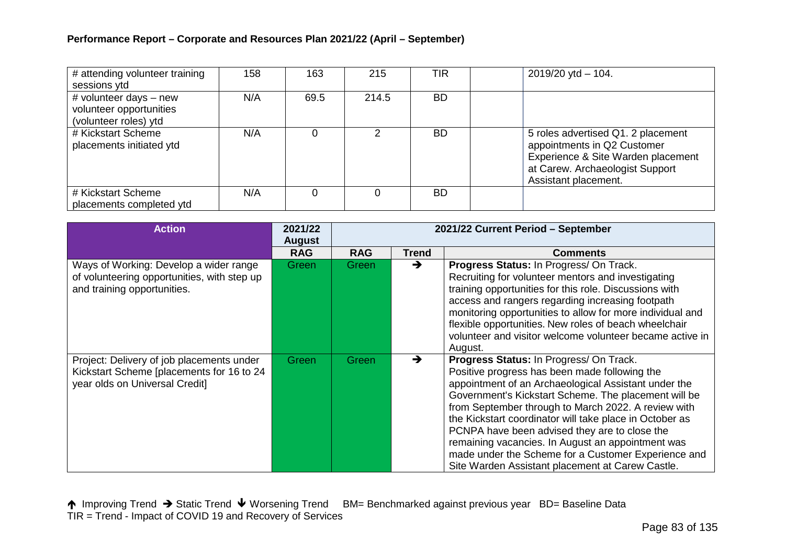| # attending volunteer training<br>sessions ytd                               | 158 | 163  | 215   | TIR       | $2019/20$ ytd $- 104$ .                                                                                                                                            |
|------------------------------------------------------------------------------|-----|------|-------|-----------|--------------------------------------------------------------------------------------------------------------------------------------------------------------------|
| # volunteer days $-$ new<br>volunteer opportunities<br>(volunteer roles) ytd | N/A | 69.5 | 214.5 | BD.       |                                                                                                                                                                    |
| # Kickstart Scheme<br>placements initiated ytd                               | N/A | 0    | 2     | <b>BD</b> | 5 roles advertised Q1. 2 placement<br>appointments in Q2 Customer<br>Experience & Site Warden placement<br>at Carew. Archaeologist Support<br>Assistant placement. |
| # Kickstart Scheme<br>placements completed ytd                               | N/A |      |       | <b>BD</b> |                                                                                                                                                                    |

| <b>Action</b>                                                                                                            | 2021/22<br><b>August</b> | 2021/22 Current Period - September |       |                                                                                                                                                                                                                                                                                                                                                                                                                                                                                                                                             |  |  |
|--------------------------------------------------------------------------------------------------------------------------|--------------------------|------------------------------------|-------|---------------------------------------------------------------------------------------------------------------------------------------------------------------------------------------------------------------------------------------------------------------------------------------------------------------------------------------------------------------------------------------------------------------------------------------------------------------------------------------------------------------------------------------------|--|--|
|                                                                                                                          | <b>RAG</b>               | <b>RAG</b>                         | Trend | <b>Comments</b>                                                                                                                                                                                                                                                                                                                                                                                                                                                                                                                             |  |  |
| Ways of Working: Develop a wider range<br>of volunteering opportunities, with step up<br>and training opportunities.     | Green                    | Green                              | →     | Progress Status: In Progress/ On Track.<br>Recruiting for volunteer mentors and investigating<br>training opportunities for this role. Discussions with<br>access and rangers regarding increasing footpath<br>monitoring opportunities to allow for more individual and<br>flexible opportunities. New roles of beach wheelchair<br>volunteer and visitor welcome volunteer became active in<br>August.                                                                                                                                    |  |  |
| Project: Delivery of job placements under<br>Kickstart Scheme [placements for 16 to 24<br>year olds on Universal Credit] | Green                    | <b>Green</b>                       | →     | Progress Status: In Progress/ On Track.<br>Positive progress has been made following the<br>appointment of an Archaeological Assistant under the<br>Government's Kickstart Scheme. The placement will be<br>from September through to March 2022. A review with<br>the Kickstart coordinator will take place in October as<br>PCNPA have been advised they are to close the<br>remaining vacancies. In August an appointment was<br>made under the Scheme for a Customer Experience and<br>Site Warden Assistant placement at Carew Castle. |  |  |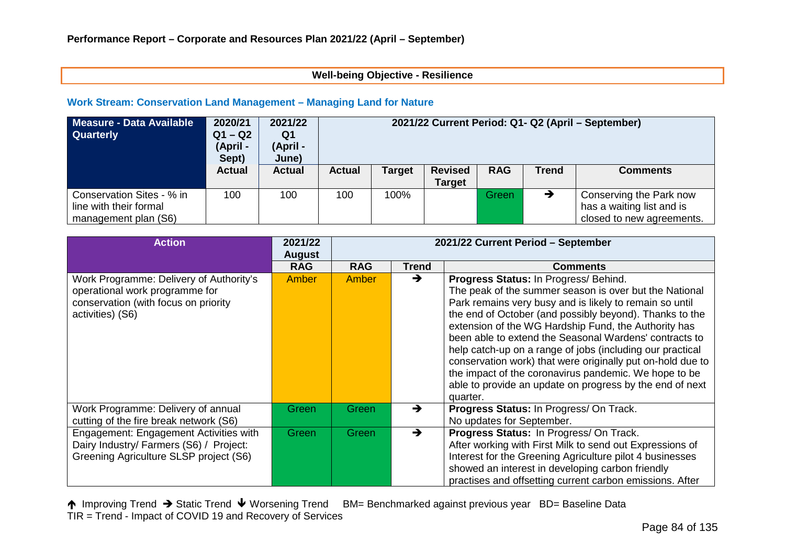#### **Well-being Objective - Resilience**

#### **Work Stream: Conservation Land Management – Managing Land for Nature**

| Measure - Data Available<br><b>Quarterly</b>                                | 2020/21<br>$Q1 - Q2$<br>(April -<br>Sept) | 2021/22<br>Q1<br>(April -<br>June) | 2021/22 Current Period: Q1- Q2 (April – September) |               |                                 |            |               |                                                                                   |
|-----------------------------------------------------------------------------|-------------------------------------------|------------------------------------|----------------------------------------------------|---------------|---------------------------------|------------|---------------|-----------------------------------------------------------------------------------|
|                                                                             | <b>Actual</b>                             | <b>Actual</b>                      | <b>Actual</b>                                      | <b>Target</b> | <b>Revised</b><br><b>Target</b> | <b>RAG</b> | <b>Trend</b>  | <b>Comments</b>                                                                   |
| Conservation Sites - % in<br>line with their formal<br>management plan (S6) | 100                                       | 100                                | 100                                                | 100%          |                                 | Green      | $\rightarrow$ | Conserving the Park now<br>has a waiting list and is<br>closed to new agreements. |

| <b>Action</b>                                                                                                                         | 2021/22<br><b>August</b> | 2021/22 Current Period - September |              |                                                                                                                                                                                                                                                                                                                                                                                                                                                                                                                                                                                                     |  |  |
|---------------------------------------------------------------------------------------------------------------------------------------|--------------------------|------------------------------------|--------------|-----------------------------------------------------------------------------------------------------------------------------------------------------------------------------------------------------------------------------------------------------------------------------------------------------------------------------------------------------------------------------------------------------------------------------------------------------------------------------------------------------------------------------------------------------------------------------------------------------|--|--|
|                                                                                                                                       | <b>RAG</b>               | <b>RAG</b>                         | <b>Trend</b> | <b>Comments</b>                                                                                                                                                                                                                                                                                                                                                                                                                                                                                                                                                                                     |  |  |
| Work Programme: Delivery of Authority's<br>operational work programme for<br>conservation (with focus on priority<br>activities) (S6) | Amber                    | Amber                              | →            | Progress Status: In Progress/ Behind.<br>The peak of the summer season is over but the National<br>Park remains very busy and is likely to remain so until<br>the end of October (and possibly beyond). Thanks to the<br>extension of the WG Hardship Fund, the Authority has<br>been able to extend the Seasonal Wardens' contracts to<br>help catch-up on a range of jobs (including our practical<br>conservation work) that were originally put on-hold due to<br>the impact of the coronavirus pandemic. We hope to be<br>able to provide an update on progress by the end of next<br>quarter. |  |  |
| Work Programme: Delivery of annual<br>cutting of the fire break network (S6)                                                          | Green                    | <b>Green</b>                       |              | Progress Status: In Progress/ On Track.<br>No updates for September.                                                                                                                                                                                                                                                                                                                                                                                                                                                                                                                                |  |  |
| Engagement: Engagement Activities with<br>Dairy Industry/ Farmers (S6) / Project:<br>Greening Agriculture SLSP project (S6)           | Green                    | <b>Green</b>                       | →            | Progress Status: In Progress/ On Track.<br>After working with First Milk to send out Expressions of<br>Interest for the Greening Agriculture pilot 4 businesses<br>showed an interest in developing carbon friendly<br>practises and offsetting current carbon emissions. After                                                                                                                                                                                                                                                                                                                     |  |  |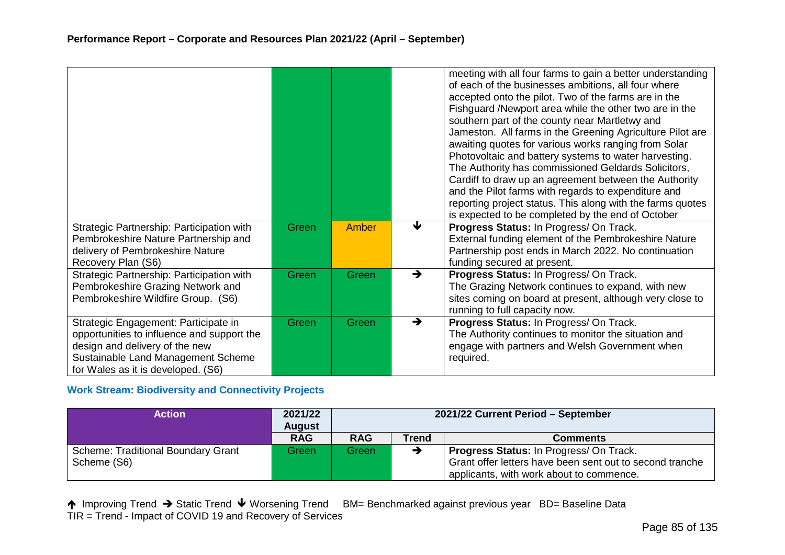|                                                                              |       |       |               | meeting with all four farms to gain a better understanding<br>of each of the businesses ambitions, all four where<br>accepted onto the pilot. Two of the farms are in the<br>Fishguard /Newport area while the other two are in the |
|------------------------------------------------------------------------------|-------|-------|---------------|-------------------------------------------------------------------------------------------------------------------------------------------------------------------------------------------------------------------------------------|
|                                                                              |       |       |               | southern part of the county near Martletwy and<br>Jameston. All farms in the Greening Agriculture Pilot are                                                                                                                         |
|                                                                              |       |       |               | awaiting quotes for various works ranging from Solar<br>Photovoltaic and battery systems to water harvesting.                                                                                                                       |
|                                                                              |       |       |               | The Authority has commissioned Geldards Solicitors,                                                                                                                                                                                 |
|                                                                              |       |       |               | Cardiff to draw up an agreement between the Authority                                                                                                                                                                               |
|                                                                              |       |       |               | and the Pilot farms with regards to expenditure and                                                                                                                                                                                 |
|                                                                              |       |       |               | reporting project status. This along with the farms quotes<br>is expected to be completed by the end of October                                                                                                                     |
| Strategic Partnership: Participation with                                    | Green | Amber | ₩             | Progress Status: In Progress/ On Track.                                                                                                                                                                                             |
| Pembrokeshire Nature Partnership and                                         |       |       |               | External funding element of the Pembrokeshire Nature                                                                                                                                                                                |
| delivery of Pembrokeshire Nature                                             |       |       |               | Partnership post ends in March 2022. No continuation                                                                                                                                                                                |
| Recovery Plan (S6)                                                           |       |       |               | funding secured at present.                                                                                                                                                                                                         |
| Strategic Partnership: Participation with                                    | Green | Green | $\rightarrow$ | Progress Status: In Progress/ On Track.                                                                                                                                                                                             |
| Pembrokeshire Grazing Network and                                            |       |       |               | The Grazing Network continues to expand, with new                                                                                                                                                                                   |
| Pembrokeshire Wildfire Group. (S6)                                           |       |       |               | sites coming on board at present, although very close to                                                                                                                                                                            |
|                                                                              |       |       | $\rightarrow$ | running to full capacity now.                                                                                                                                                                                                       |
| Strategic Engagement: Participate in                                         | Green | Green |               | Progress Status: In Progress/ On Track.                                                                                                                                                                                             |
| opportunities to influence and support the<br>design and delivery of the new |       |       |               | The Authority continues to monitor the situation and<br>engage with partners and Welsh Government when                                                                                                                              |
| Sustainable Land Management Scheme                                           |       |       |               | required.                                                                                                                                                                                                                           |
| for Wales as it is developed. (S6)                                           |       |       |               |                                                                                                                                                                                                                                     |

# **Work Stream: Biodiversity and Connectivity Projects**

| <b>Action</b>                             | 2021/22<br><b>August</b> | 2021/22 Current Period - September |       |                                                          |  |
|-------------------------------------------|--------------------------|------------------------------------|-------|----------------------------------------------------------|--|
|                                           | <b>RAG</b>               | <b>RAG</b>                         | Trend | <b>Comments</b>                                          |  |
| <b>Scheme: Traditional Boundary Grant</b> | Green                    | Green\                             |       | <b>Progress Status: In Progress/ On Track.</b>           |  |
| Scheme (S6)                               |                          |                                    |       | Grant offer letters have been sent out to second tranche |  |
|                                           |                          |                                    |       | applicants, with work about to commence.                 |  |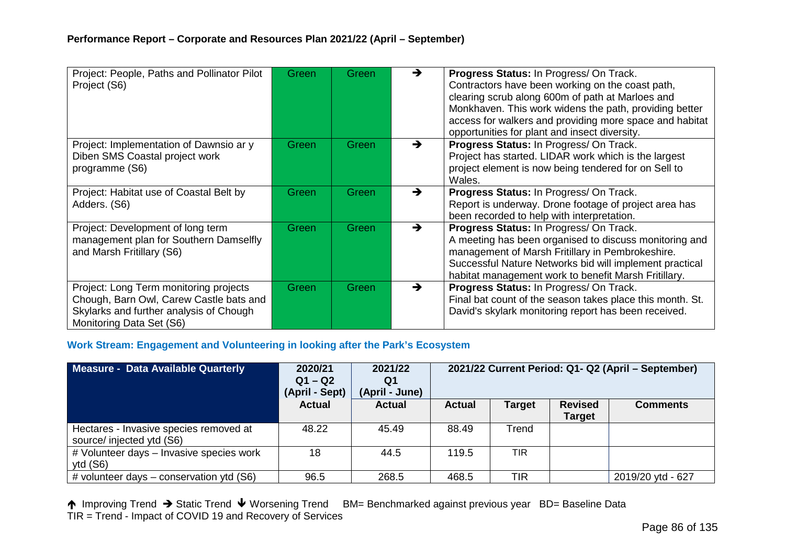| Project: People, Paths and Pollinator Pilot<br>Project (S6)                                                                                              | Green | Green        | →             | Progress Status: In Progress/ On Track.<br>Contractors have been working on the coast path,<br>clearing scrub along 600m of path at Marloes and<br>Monkhaven. This work widens the path, providing better<br>access for walkers and providing more space and habitat<br>opportunities for plant and insect diversity. |
|----------------------------------------------------------------------------------------------------------------------------------------------------------|-------|--------------|---------------|-----------------------------------------------------------------------------------------------------------------------------------------------------------------------------------------------------------------------------------------------------------------------------------------------------------------------|
| Project: Implementation of Dawnsio ar y<br>Diben SMS Coastal project work<br>programme (S6)                                                              | Green | Green        | $\rightarrow$ | Progress Status: In Progress/ On Track.<br>Project has started. LIDAR work which is the largest<br>project element is now being tendered for on Sell to<br>Wales.                                                                                                                                                     |
| Project: Habitat use of Coastal Belt by<br>Adders. (S6)                                                                                                  | Green | <b>Green</b> | →             | Progress Status: In Progress/ On Track.<br>Report is underway. Drone footage of project area has<br>been recorded to help with interpretation.                                                                                                                                                                        |
| Project: Development of long term<br>management plan for Southern Damselfly<br>and Marsh Fritillary (S6)                                                 | Green | Green        | →             | Progress Status: In Progress/ On Track.<br>A meeting has been organised to discuss monitoring and<br>management of Marsh Fritillary in Pembrokeshire.<br>Successful Nature Networks bid will implement practical<br>habitat management work to benefit Marsh Fritillary.                                              |
| Project: Long Term monitoring projects<br>Chough, Barn Owl, Carew Castle bats and<br>Skylarks and further analysis of Chough<br>Monitoring Data Set (S6) | Green | Green        | →             | Progress Status: In Progress/ On Track.<br>Final bat count of the season takes place this month. St.<br>David's skylark monitoring report has been received.                                                                                                                                                          |

#### **Work Stream: Engagement and Volunteering in looking after the Park's Ecosystem**

| Measure - Data Available Quarterly                                  | 2020/21<br>$Q1 - Q2$<br>(April - Sept) | 2021/22<br>Q1<br>(April - June) | 2021/22 Current Period: Q1- Q2 (April - September) |               |                                 |                   |
|---------------------------------------------------------------------|----------------------------------------|---------------------------------|----------------------------------------------------|---------------|---------------------------------|-------------------|
|                                                                     | <b>Actual</b>                          | <b>Actual</b>                   | <b>Actual</b>                                      | <b>Target</b> | <b>Revised</b><br><b>Target</b> | <b>Comments</b>   |
| Hectares - Invasive species removed at<br>source/ injected ytd (S6) | 48.22                                  | 45.49                           | 88.49                                              | Trend         |                                 |                   |
| # Volunteer days - Invasive species work<br>ytd $(S6)$              | 18                                     | 44.5                            | 119.5                                              | <b>TIR</b>    |                                 |                   |
| # volunteer days – conservation ytd (S6)                            | 96.5                                   | 268.5                           | 468.5                                              | TIR           |                                 | 2019/20 ytd - 627 |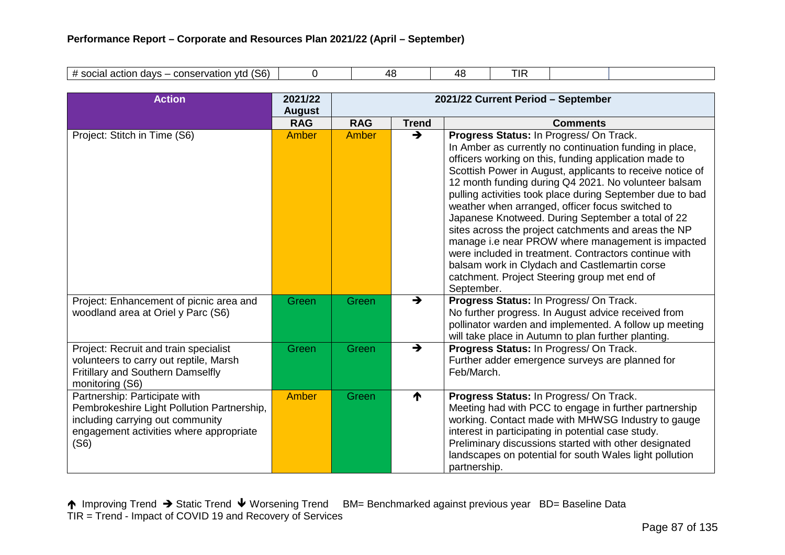| (S6)<br>$^{\prime}$<br>conservation<br>davs<br>vtd<br>action<br>- വെവി<br>suudi | ייג ו | ⁄1 > | TIF |  |
|---------------------------------------------------------------------------------|-------|------|-----|--|
|                                                                                 |       |      |     |  |

| <b>Action</b>                                                                                                                                                      | 2021/22<br><b>August</b> | 2021/22 Current Period - September |               |                                                                                                                                                                                                                                                                                                                                                                                                                                                                                                                                                                                                                                                                                                                                             |  |  |
|--------------------------------------------------------------------------------------------------------------------------------------------------------------------|--------------------------|------------------------------------|---------------|---------------------------------------------------------------------------------------------------------------------------------------------------------------------------------------------------------------------------------------------------------------------------------------------------------------------------------------------------------------------------------------------------------------------------------------------------------------------------------------------------------------------------------------------------------------------------------------------------------------------------------------------------------------------------------------------------------------------------------------------|--|--|
|                                                                                                                                                                    | <b>RAG</b>               | <b>RAG</b>                         | <b>Trend</b>  | <b>Comments</b>                                                                                                                                                                                                                                                                                                                                                                                                                                                                                                                                                                                                                                                                                                                             |  |  |
| Project: Stitch in Time (S6)                                                                                                                                       | Amber                    | Amber                              | $\rightarrow$ | Progress Status: In Progress/ On Track.<br>In Amber as currently no continuation funding in place,<br>officers working on this, funding application made to<br>Scottish Power in August, applicants to receive notice of<br>12 month funding during Q4 2021. No volunteer balsam<br>pulling activities took place during September due to bad<br>weather when arranged, officer focus switched to<br>Japanese Knotweed. During September a total of 22<br>sites across the project catchments and areas the NP<br>manage i.e near PROW where management is impacted<br>were included in treatment. Contractors continue with<br>balsam work in Clydach and Castlemartin corse<br>catchment. Project Steering group met end of<br>September. |  |  |
| Project: Enhancement of picnic area and<br>woodland area at Oriel y Parc (S6)                                                                                      | Green                    | Green                              | $\rightarrow$ | Progress Status: In Progress/ On Track.<br>No further progress. In August advice received from<br>pollinator warden and implemented. A follow up meeting<br>will take place in Autumn to plan further planting.                                                                                                                                                                                                                                                                                                                                                                                                                                                                                                                             |  |  |
| Project: Recruit and train specialist<br>volunteers to carry out reptile, Marsh<br>Fritillary and Southern Damselfly<br>monitoring (S6)                            | Green                    | Green                              | $\rightarrow$ | Progress Status: In Progress/ On Track.<br>Further adder emergence surveys are planned for<br>Feb/March.                                                                                                                                                                                                                                                                                                                                                                                                                                                                                                                                                                                                                                    |  |  |
| Partnership: Participate with<br>Pembrokeshire Light Pollution Partnership,<br>including carrying out community<br>engagement activities where appropriate<br>(S6) | Amber                    | Green                              | ↑             | Progress Status: In Progress/ On Track.<br>Meeting had with PCC to engage in further partnership<br>working. Contact made with MHWSG Industry to gauge<br>interest in participating in potential case study.<br>Preliminary discussions started with other designated<br>landscapes on potential for south Wales light pollution<br>partnership.                                                                                                                                                                                                                                                                                                                                                                                            |  |  |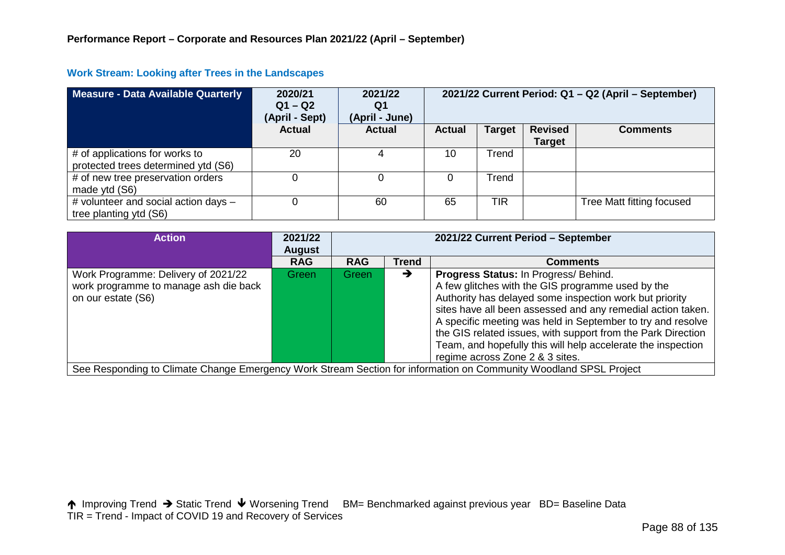| <b>Measure - Data Available Quarterly</b>                             | 2020/21<br>$Q1 - Q2$<br>(April - Sept) | 2021/22<br>Q1<br>(April - June) |               |               |                                 | 2021/22 Current Period: Q1 - Q2 (April - September) |
|-----------------------------------------------------------------------|----------------------------------------|---------------------------------|---------------|---------------|---------------------------------|-----------------------------------------------------|
|                                                                       | <b>Actual</b>                          | <b>Actual</b>                   | <b>Actual</b> | <b>Target</b> | <b>Revised</b><br><b>Target</b> | <b>Comments</b>                                     |
| # of applications for works to<br>protected trees determined ytd (S6) | 20                                     |                                 | 10            | Trend         |                                 |                                                     |
| # of new tree preservation orders<br>made ytd (S6)                    |                                        |                                 |               | Trend         |                                 |                                                     |
| # volunteer and social action days -                                  |                                        | 60                              | 65            | TIR           |                                 | Tree Matt fitting focused                           |

### **Work Stream: Looking after Trees in the Landscapes**

tree planting ytd (S6)

| <b>Action</b>                                                                                      | 2021/22<br><b>August</b> | 2021/22 Current Period - September |              |                                                                                                                                                                                                                                                                                                                                                                                                                                                        |  |  |
|----------------------------------------------------------------------------------------------------|--------------------------|------------------------------------|--------------|--------------------------------------------------------------------------------------------------------------------------------------------------------------------------------------------------------------------------------------------------------------------------------------------------------------------------------------------------------------------------------------------------------------------------------------------------------|--|--|
|                                                                                                    | <b>RAG</b>               | <b>RAG</b>                         | <b>Trend</b> | <b>Comments</b>                                                                                                                                                                                                                                                                                                                                                                                                                                        |  |  |
| Work Programme: Delivery of 2021/22<br>work programme to manage ash die back<br>on our estate (S6) | Green                    | Green                              | →            | Progress Status: In Progress/ Behind.<br>A few glitches with the GIS programme used by the<br>Authority has delayed some inspection work but priority<br>sites have all been assessed and any remedial action taken.<br>A specific meeting was held in September to try and resolve<br>the GIS related issues, with support from the Park Direction<br>Team, and hopefully this will help accelerate the inspection<br>regime across Zone 2 & 3 sites. |  |  |
|                                                                                                    |                          |                                    |              | See Responding to Climate Change Emergency Work Stream Section for information on Community Woodland SPSL Project                                                                                                                                                                                                                                                                                                                                      |  |  |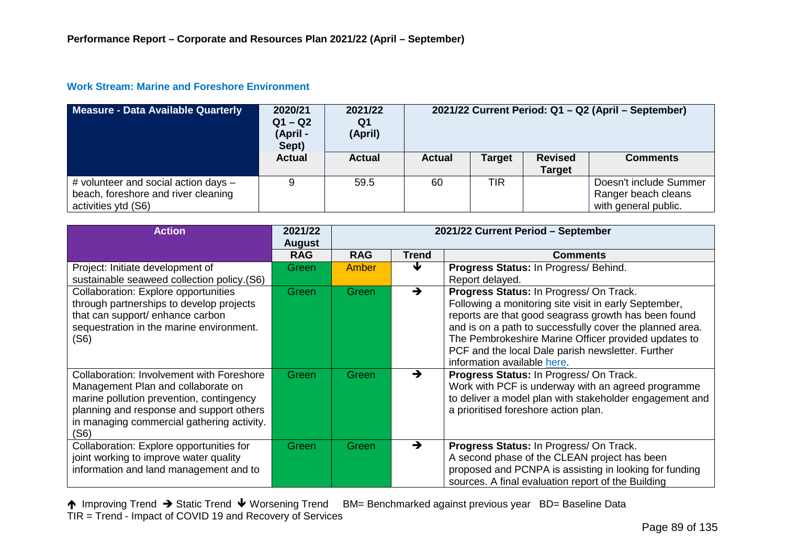#### **Work Stream: Marine and Foreshore Environment**

| Measure - Data Available Quarterly                                                                 | 2020/21<br>$Q1 - Q2$<br>(April -<br>Sept) | 2021/22<br>Q1<br>(April) | 2021/22 Current Period: Q1 - Q2 (April - September) |               |                                 |                                                                       |
|----------------------------------------------------------------------------------------------------|-------------------------------------------|--------------------------|-----------------------------------------------------|---------------|---------------------------------|-----------------------------------------------------------------------|
|                                                                                                    | <b>Actual</b>                             | <b>Actual</b>            | <b>Actual</b>                                       | <b>Target</b> | <b>Revised</b><br><b>Target</b> | <b>Comments</b>                                                       |
| # volunteer and social action days -<br>beach, foreshore and river cleaning<br>activities ytd (S6) | $\Omega$                                  | 59.5                     | 60                                                  | TIR           |                                 | Doesn't include Summer<br>Ranger beach cleans<br>with general public. |

| <b>Action</b>                                                                                                                                                                                                                        | 2021/22<br><b>August</b> | 2021/22 Current Period - September |              |                                                                                                                                                                                                                                                                                                                                                                  |  |
|--------------------------------------------------------------------------------------------------------------------------------------------------------------------------------------------------------------------------------------|--------------------------|------------------------------------|--------------|------------------------------------------------------------------------------------------------------------------------------------------------------------------------------------------------------------------------------------------------------------------------------------------------------------------------------------------------------------------|--|
|                                                                                                                                                                                                                                      | <b>RAG</b>               | <b>RAG</b>                         | <b>Trend</b> | <b>Comments</b>                                                                                                                                                                                                                                                                                                                                                  |  |
| Project: Initiate development of<br>sustainable seaweed collection policy.(S6)                                                                                                                                                       | Green                    | Amber                              | Ψ            | Progress Status: In Progress/ Behind.<br>Report delayed.                                                                                                                                                                                                                                                                                                         |  |
| <b>Collaboration: Explore opportunities</b><br>through partnerships to develop projects<br>that can support/ enhance carbon<br>sequestration in the marine environment.<br>(S6)                                                      | Green                    | Green                              | →            | Progress Status: In Progress/ On Track.<br>Following a monitoring site visit in early September,<br>reports are that good seagrass growth has been found<br>and is on a path to successfully cover the planned area.<br>The Pembrokeshire Marine Officer provided updates to<br>PCF and the local Dale parish newsletter. Further<br>information available here. |  |
| <b>Collaboration: Involvement with Foreshore</b><br>Management Plan and collaborate on<br>marine pollution prevention, contingency<br>planning and response and support others<br>in managing commercial gathering activity.<br>(S6) | Green                    | Green                              | →            | Progress Status: In Progress/ On Track.<br>Work with PCF is underway with an agreed programme<br>to deliver a model plan with stakeholder engagement and<br>a prioritised foreshore action plan.                                                                                                                                                                 |  |
| Collaboration: Explore opportunities for<br>joint working to improve water quality<br>information and land management and to                                                                                                         | Green                    | Green                              | →            | Progress Status: In Progress/ On Track.<br>A second phase of the CLEAN project has been<br>proposed and PCNPA is assisting in looking for funding<br>sources. A final evaluation report of the Building                                                                                                                                                          |  |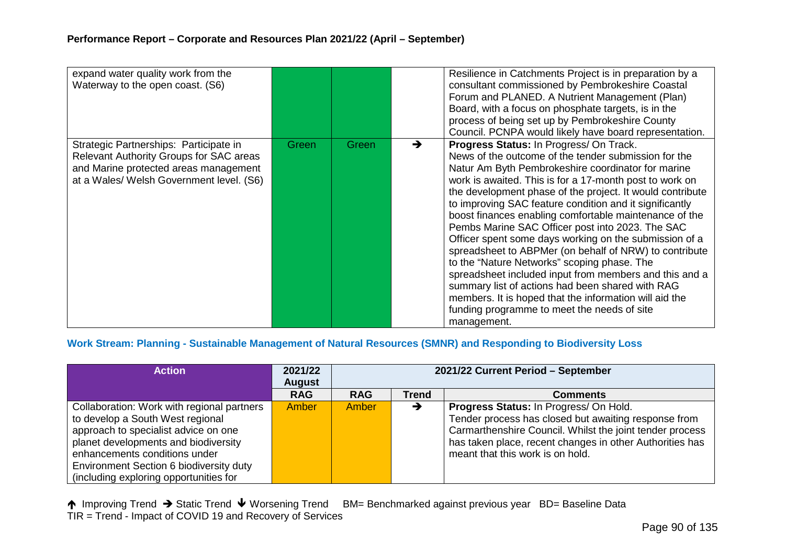| expand water quality work from the<br>Waterway to the open coast. (S6)                                                                                                 |       |       |   | Resilience in Catchments Project is in preparation by a<br>consultant commissioned by Pembrokeshire Coastal<br>Forum and PLANED. A Nutrient Management (Plan)<br>Board, with a focus on phosphate targets, is in the<br>process of being set up by Pembrokeshire County<br>Council. PCNPA would likely have board representation.                                                                                                                                                                                                                                                                                                                                                                                                                                                                                                                               |
|------------------------------------------------------------------------------------------------------------------------------------------------------------------------|-------|-------|---|-----------------------------------------------------------------------------------------------------------------------------------------------------------------------------------------------------------------------------------------------------------------------------------------------------------------------------------------------------------------------------------------------------------------------------------------------------------------------------------------------------------------------------------------------------------------------------------------------------------------------------------------------------------------------------------------------------------------------------------------------------------------------------------------------------------------------------------------------------------------|
| Strategic Partnerships: Participate in<br>Relevant Authority Groups for SAC areas<br>and Marine protected areas management<br>at a Wales/ Welsh Government level. (S6) | Green | Green | → | Progress Status: In Progress/ On Track.<br>News of the outcome of the tender submission for the<br>Natur Am Byth Pembrokeshire coordinator for marine<br>work is awaited. This is for a 17-month post to work on<br>the development phase of the project. It would contribute<br>to improving SAC feature condition and it significantly<br>boost finances enabling comfortable maintenance of the<br>Pembs Marine SAC Officer post into 2023. The SAC<br>Officer spent some days working on the submission of a<br>spreadsheet to ABPMer (on behalf of NRW) to contribute<br>to the "Nature Networks" scoping phase. The<br>spreadsheet included input from members and this and a<br>summary list of actions had been shared with RAG<br>members. It is hoped that the information will aid the<br>funding programme to meet the needs of site<br>management. |

# **Work Stream: Planning - Sustainable Management of Natural Resources (SMNR) and Responding to Biodiversity Loss**

| <b>Action</b>                                                                                                                                                                                                                                                                        | 2021/22<br><b>August</b> | 2021/22 Current Period - September |              |                                                                                                                                                                                                                                                            |  |  |
|--------------------------------------------------------------------------------------------------------------------------------------------------------------------------------------------------------------------------------------------------------------------------------------|--------------------------|------------------------------------|--------------|------------------------------------------------------------------------------------------------------------------------------------------------------------------------------------------------------------------------------------------------------------|--|--|
|                                                                                                                                                                                                                                                                                      | <b>RAG</b>               | <b>RAG</b>                         | <b>Trend</b> | <b>Comments</b>                                                                                                                                                                                                                                            |  |  |
| Collaboration: Work with regional partners<br>to develop a South West regional<br>approach to specialist advice on one<br>planet developments and biodiversity<br>enhancements conditions under<br>Environment Section 6 biodiversity duty<br>(including exploring opportunities for | Amber                    | Amber                              | →            | Progress Status: In Progress/ On Hold.<br>Tender process has closed but awaiting response from<br>Carmarthenshire Council. Whilst the joint tender process<br>has taken place, recent changes in other Authorities has<br>meant that this work is on hold. |  |  |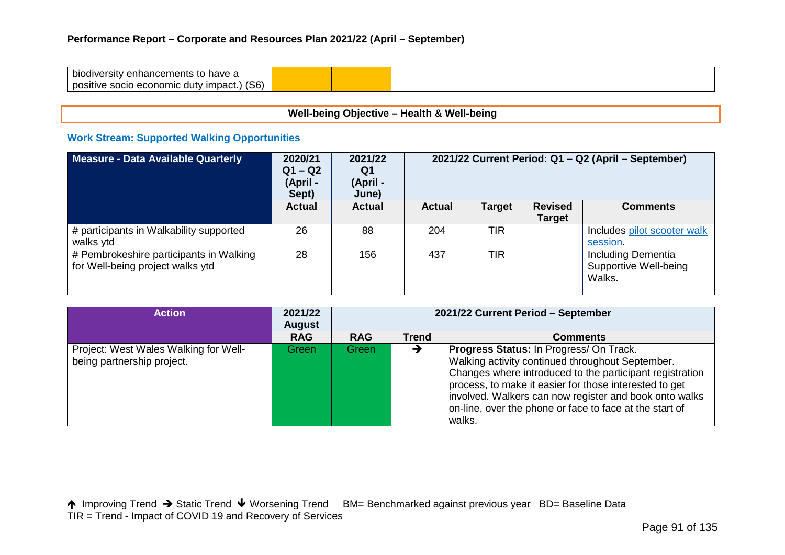| bio<br>have a<br>diversitv<br>nancements<br>∩∩<br>எய<br>w                        |  |  |  |
|----------------------------------------------------------------------------------|--|--|--|
| (S6)<br>nne<br>nomic<br>' impact.<br><b>OCIO</b><br>uutv<br>.sitivc<br>.<br>- 51 |  |  |  |

# **Well-being Objective – Health & Well-being**

# **Work Stream: Supported Walking Opportunities**

| Measure - Data Available Quarterly                                          | 2020/21<br>$Q1 - Q2$<br>(April -<br>Sept) | 2021/22<br>Q1<br>(April -<br>June) | 2021/22 Current Period: Q1 - Q2 (April - September) |               |                          |                                                       |  |
|-----------------------------------------------------------------------------|-------------------------------------------|------------------------------------|-----------------------------------------------------|---------------|--------------------------|-------------------------------------------------------|--|
|                                                                             | <b>Actual</b>                             | <b>Actual</b>                      | <b>Actual</b>                                       | <b>Target</b> | <b>Revised</b><br>Target | <b>Comments</b>                                       |  |
| # participants in Walkability supported<br>walks ytd                        | 26                                        | 88                                 | 204                                                 | <b>TIR</b>    |                          | Includes pilot scooter walk<br>session.               |  |
| # Pembrokeshire participants in Walking<br>for Well-being project walks ytd | 28                                        | 156                                | 437                                                 | TIR           |                          | Including Dementia<br>Supportive Well-being<br>Walks. |  |

| <b>Action</b>                                                       | 2021/22<br><b>August</b> | 2021/22 Current Period - September |              |                                                                                                                                                                                                                                                                                                                                                  |  |  |
|---------------------------------------------------------------------|--------------------------|------------------------------------|--------------|--------------------------------------------------------------------------------------------------------------------------------------------------------------------------------------------------------------------------------------------------------------------------------------------------------------------------------------------------|--|--|
|                                                                     | <b>RAG</b>               | <b>RAG</b>                         | <b>Trend</b> | <b>Comments</b>                                                                                                                                                                                                                                                                                                                                  |  |  |
| Project: West Wales Walking for Well-<br>being partnership project. | Green7                   | Green                              | →            | Progress Status: In Progress/ On Track.<br>Walking activity continued throughout September.<br>Changes where introduced to the participant registration<br>process, to make it easier for those interested to get<br>involved. Walkers can now register and book onto walks<br>on-line, over the phone or face to face at the start of<br>walks. |  |  |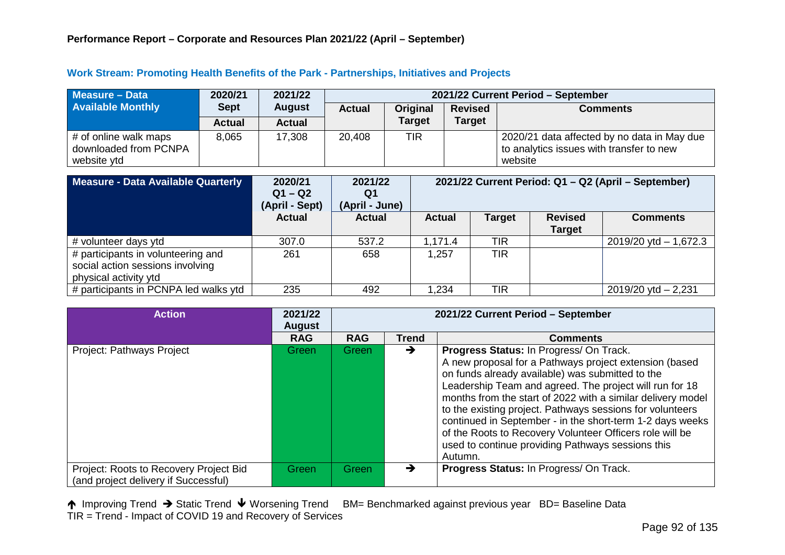#### **Work Stream: Promoting Health Benefits of the Park - Partnerships, Initiatives and Projects**

| Measure - Data                                                | 2020/21       | 2021/22       | 2021/22 Current Period - September |               |                |                                                                                                    |  |  |
|---------------------------------------------------------------|---------------|---------------|------------------------------------|---------------|----------------|----------------------------------------------------------------------------------------------------|--|--|
| <b>Available Monthly</b>                                      | <b>Sept</b>   | <b>August</b> | <b>Actual</b>                      | Original      | <b>Revised</b> | <b>Comments</b>                                                                                    |  |  |
|                                                               | <b>Actual</b> | <b>Actual</b> |                                    | <b>Target</b> | <b>Target</b>  |                                                                                                    |  |  |
| # of online walk maps<br>downloaded from PCNPA<br>website ytd | 8,065         | 17,308        | 20,408                             | TIR           |                | 2020/21 data affected by no data in May due<br>to analytics issues with transfer to new<br>website |  |  |

| Measure - Data Available Quarterly                                                              | 2020/21<br>$Q1 - Q2$<br>(April - Sept) | 2021/22<br>Q1<br>(April - June) | 2021/22 Current Period: Q1 - Q2 (April - September) |               |                                 |                           |
|-------------------------------------------------------------------------------------------------|----------------------------------------|---------------------------------|-----------------------------------------------------|---------------|---------------------------------|---------------------------|
|                                                                                                 | <b>Actual</b>                          | <b>Actual</b>                   | <b>Actual</b>                                       | <b>Target</b> | <b>Revised</b><br><b>Target</b> | <b>Comments</b>           |
| # volunteer days ytd                                                                            | 307.0                                  | 537.2                           | 1,171.4                                             | <b>TIR</b>    |                                 | $2019/20$ ytd $- 1,672.3$ |
| # participants in volunteering and<br>social action sessions involving<br>physical activity ytd | 261                                    | 658                             | 1,257                                               | <b>TIR</b>    |                                 |                           |
| # participants in PCNPA led walks ytd                                                           | 235                                    | 492                             | 1,234                                               | <b>TIR</b>    |                                 | $2019/20$ ytd $- 2,231$   |

| <b>Action</b>                                                                  | 2021/22<br><b>August</b> | 2021/22 Current Period - September |               |                                                                                                                                                                                                                                                                                                                                                                                                                                                                                                                                       |  |  |
|--------------------------------------------------------------------------------|--------------------------|------------------------------------|---------------|---------------------------------------------------------------------------------------------------------------------------------------------------------------------------------------------------------------------------------------------------------------------------------------------------------------------------------------------------------------------------------------------------------------------------------------------------------------------------------------------------------------------------------------|--|--|
|                                                                                | <b>RAG</b>               | <b>RAG</b>                         | <b>Trend</b>  | <b>Comments</b>                                                                                                                                                                                                                                                                                                                                                                                                                                                                                                                       |  |  |
| Project: Pathways Project                                                      | Green                    | <b>Green</b>                       | →             | Progress Status: In Progress/ On Track.<br>A new proposal for a Pathways project extension (based<br>on funds already available) was submitted to the<br>Leadership Team and agreed. The project will run for 18<br>months from the start of 2022 with a similar delivery model<br>to the existing project. Pathways sessions for volunteers<br>continued in September - in the short-term 1-2 days weeks<br>of the Roots to Recovery Volunteer Officers role will be<br>used to continue providing Pathways sessions this<br>Autumn. |  |  |
| Project: Roots to Recovery Project Bid<br>(and project delivery if Successful) | Green                    | Green                              | $\rightarrow$ | Progress Status: In Progress/ On Track.                                                                                                                                                                                                                                                                                                                                                                                                                                                                                               |  |  |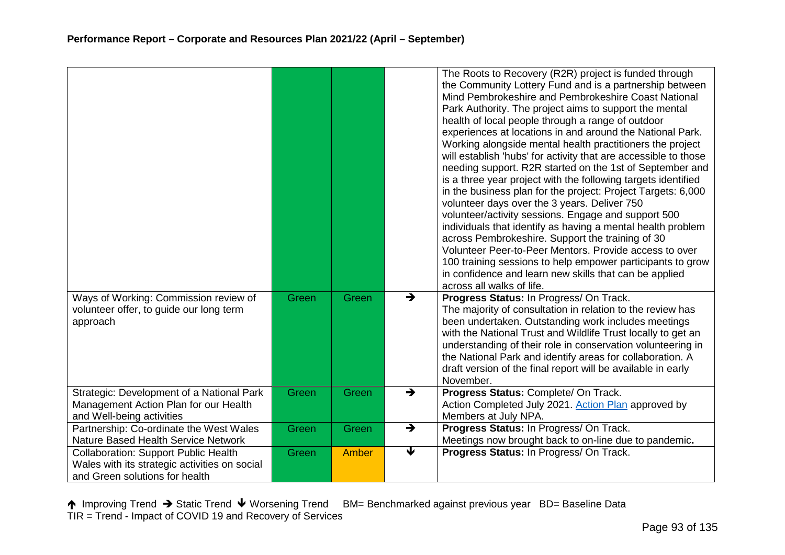|                                                                                                                                |       |       |               | The Roots to Recovery (R2R) project is funded through<br>the Community Lottery Fund and is a partnership between<br>Mind Pembrokeshire and Pembrokeshire Coast National<br>Park Authority. The project aims to support the mental<br>health of local people through a range of outdoor<br>experiences at locations in and around the National Park.<br>Working alongside mental health practitioners the project<br>will establish 'hubs' for activity that are accessible to those<br>needing support. R2R started on the 1st of September and<br>is a three year project with the following targets identified<br>in the business plan for the project: Project Targets: 6,000<br>volunteer days over the 3 years. Deliver 750<br>volunteer/activity sessions. Engage and support 500<br>individuals that identify as having a mental health problem<br>across Pembrokeshire. Support the training of 30<br>Volunteer Peer-to-Peer Mentors. Provide access to over<br>100 training sessions to help empower participants to grow<br>in confidence and learn new skills that can be applied<br>across all walks of life. |
|--------------------------------------------------------------------------------------------------------------------------------|-------|-------|---------------|---------------------------------------------------------------------------------------------------------------------------------------------------------------------------------------------------------------------------------------------------------------------------------------------------------------------------------------------------------------------------------------------------------------------------------------------------------------------------------------------------------------------------------------------------------------------------------------------------------------------------------------------------------------------------------------------------------------------------------------------------------------------------------------------------------------------------------------------------------------------------------------------------------------------------------------------------------------------------------------------------------------------------------------------------------------------------------------------------------------------------|
| Ways of Working: Commission review of<br>volunteer offer, to guide our long term<br>approach                                   | Green | Green | $\rightarrow$ | Progress Status: In Progress/ On Track.<br>The majority of consultation in relation to the review has<br>been undertaken. Outstanding work includes meetings<br>with the National Trust and Wildlife Trust locally to get an<br>understanding of their role in conservation volunteering in<br>the National Park and identify areas for collaboration. A<br>draft version of the final report will be available in early<br>November.                                                                                                                                                                                                                                                                                                                                                                                                                                                                                                                                                                                                                                                                                     |
| Strategic: Development of a National Park<br>Management Action Plan for our Health<br>and Well-being activities                | Green | Green | $\rightarrow$ | Progress Status: Complete/ On Track.<br>Action Completed July 2021. Action Plan approved by<br>Members at July NPA.                                                                                                                                                                                                                                                                                                                                                                                                                                                                                                                                                                                                                                                                                                                                                                                                                                                                                                                                                                                                       |
| Partnership: Co-ordinate the West Wales<br>Nature Based Health Service Network                                                 | Green | Green | $\rightarrow$ | Progress Status: In Progress/ On Track.<br>Meetings now brought back to on-line due to pandemic.                                                                                                                                                                                                                                                                                                                                                                                                                                                                                                                                                                                                                                                                                                                                                                                                                                                                                                                                                                                                                          |
| <b>Collaboration: Support Public Health</b><br>Wales with its strategic activities on social<br>and Green solutions for health | Green | Amber | ₩             | Progress Status: In Progress/ On Track.                                                                                                                                                                                                                                                                                                                                                                                                                                                                                                                                                                                                                                                                                                                                                                                                                                                                                                                                                                                                                                                                                   |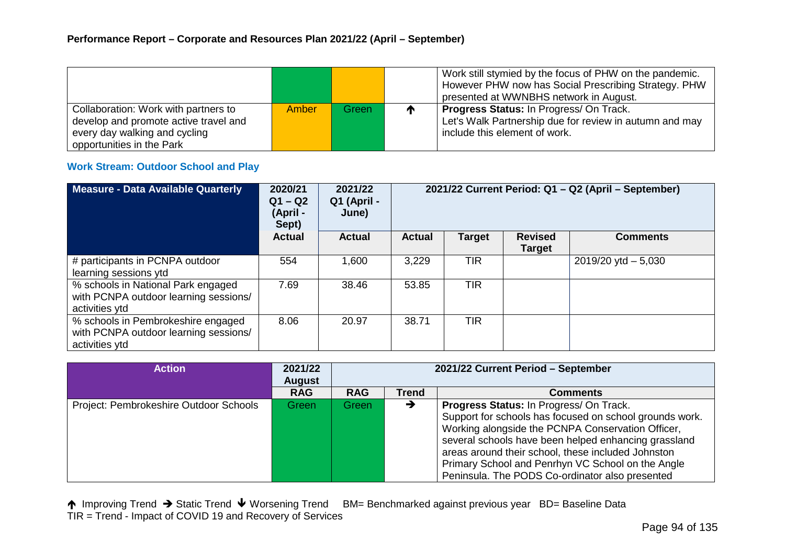|                                       |        |       |              | Work still stymied by the focus of PHW on the pandemic. |
|---------------------------------------|--------|-------|--------------|---------------------------------------------------------|
|                                       |        |       |              | However PHW now has Social Prescribing Strategy. PHW    |
|                                       |        |       |              | presented at WWNBHS network in August.                  |
| Collaboration: Work with partners to  | Amber/ | Green | $\mathbf{r}$ | <b>Progress Status: In Progress/ On Track.</b>          |
| develop and promote active travel and |        |       |              | Let's Walk Partnership due for review in autumn and may |
| every day walking and cycling         |        |       |              | include this element of work.                           |
| opportunities in the Park             |        |       |              |                                                         |

#### **Work Stream: Outdoor School and Play**

| Measure - Data Available Quarterly                                                            | 2020/21<br>$Q1 - Q2$<br>(April -<br>Sept) | 2021/22<br>Q1 (April -<br>June) | 2021/22 Current Period: Q1 - Q2 (April - September) |               |                                 |                        |  |
|-----------------------------------------------------------------------------------------------|-------------------------------------------|---------------------------------|-----------------------------------------------------|---------------|---------------------------------|------------------------|--|
|                                                                                               | <b>Actual</b>                             | <b>Actual</b>                   | <b>Actual</b>                                       | <b>Target</b> | <b>Revised</b><br><b>Target</b> | <b>Comments</b>        |  |
| # participants in PCNPA outdoor<br>learning sessions ytd                                      | 554                                       | 1,600                           | 3,229                                               | <b>TIR</b>    |                                 | $2019/20$ ytd $-5,030$ |  |
| % schools in National Park engaged<br>with PCNPA outdoor learning sessions/<br>activities ytd | 7.69                                      | 38.46                           | 53.85                                               | <b>TIR</b>    |                                 |                        |  |
| % schools in Pembrokeshire engaged<br>with PCNPA outdoor learning sessions/<br>activities ytd | 8.06                                      | 20.97                           | 38.71                                               | <b>TIR</b>    |                                 |                        |  |

| <b>Action</b>                          | 2021/22<br><b>August</b> | 2021/22 Current Period - September |              |                                                                                                                                                                                                                                                                                                                                                                               |  |
|----------------------------------------|--------------------------|------------------------------------|--------------|-------------------------------------------------------------------------------------------------------------------------------------------------------------------------------------------------------------------------------------------------------------------------------------------------------------------------------------------------------------------------------|--|
|                                        | <b>RAG</b>               | <b>RAG</b>                         | <b>Trend</b> | <b>Comments</b>                                                                                                                                                                                                                                                                                                                                                               |  |
| Project: Pembrokeshire Outdoor Schools | Green                    | Green                              | →            | Progress Status: In Progress/ On Track.<br>Support for schools has focused on school grounds work.<br>Working alongside the PCNPA Conservation Officer,<br>several schools have been helped enhancing grassland<br>areas around their school, these included Johnston<br>Primary School and Penrhyn VC School on the Angle<br>Peninsula. The PODS Co-ordinator also presented |  |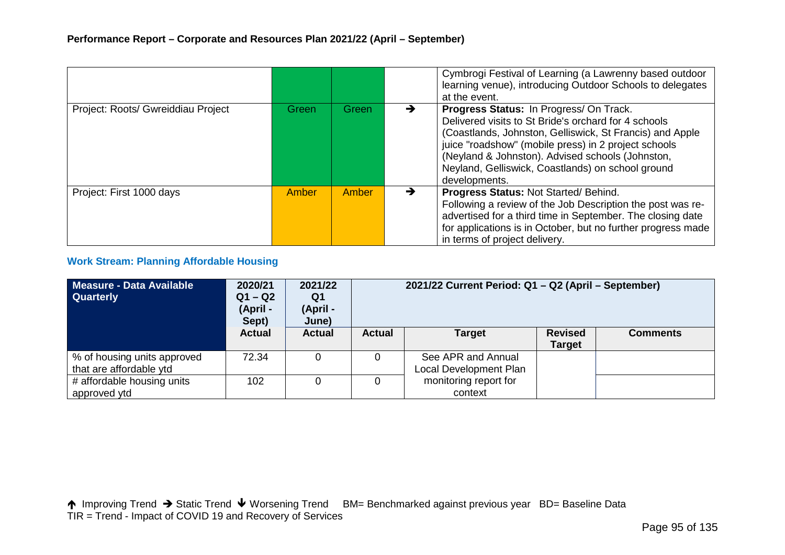|                                    |              |       |   | Cymbrogi Festival of Learning (a Lawrenny based outdoor<br>learning venue), introducing Outdoor Schools to delegates<br>at the event.                                                                                                                                                                                                        |
|------------------------------------|--------------|-------|---|----------------------------------------------------------------------------------------------------------------------------------------------------------------------------------------------------------------------------------------------------------------------------------------------------------------------------------------------|
| Project: Roots/ Gwreiddiau Project | Green        | Green | → | Progress Status: In Progress/On Track.<br>Delivered visits to St Bride's orchard for 4 schools<br>(Coastlands, Johnston, Gelliswick, St Francis) and Apple<br>juice "roadshow" (mobile press) in 2 project schools<br>(Neyland & Johnston). Advised schools (Johnston,<br>Neyland, Gelliswick, Coastlands) on school ground<br>developments. |
| Project: First 1000 days           | <b>Amber</b> | Amber | → | Progress Status: Not Started/Behind.<br>Following a review of the Job Description the post was re-<br>advertised for a third time in September. The closing date<br>for applications is in October, but no further progress made<br>in terms of project delivery.                                                                            |

#### **Work Stream: Planning Affordable Housing**

| Measure - Data Available<br><b>Quarterly</b>           | 2020/21<br>$Q1 - Q2$<br>(April -<br>Sept) | 2021/22<br>Q1<br>(April -<br>June) | 2021/22 Current Period: Q1 - Q2 (April - September) |                                              |                                 |                 |  |
|--------------------------------------------------------|-------------------------------------------|------------------------------------|-----------------------------------------------------|----------------------------------------------|---------------------------------|-----------------|--|
|                                                        | <b>Actual</b>                             | <b>Actual</b>                      | <b>Actual</b>                                       | <b>Target</b>                                | <b>Revised</b><br><b>Target</b> | <b>Comments</b> |  |
| % of housing units approved<br>that are affordable ytd | 72.34                                     |                                    | 0                                                   | See APR and Annual<br>Local Development Plan |                                 |                 |  |
| # affordable housing units<br>approved ytd             | 102                                       |                                    |                                                     | monitoring report for<br>context             |                                 |                 |  |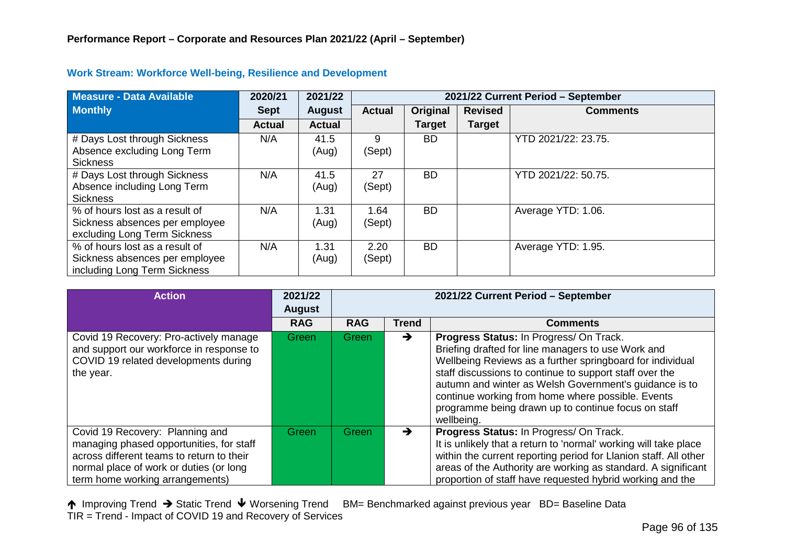| <b>Measure - Data Available</b>                                                                  | 2020/21       | 2021/22       | 2021/22 Current Period - September |               |                |                     |  |
|--------------------------------------------------------------------------------------------------|---------------|---------------|------------------------------------|---------------|----------------|---------------------|--|
| <b>Monthly</b>                                                                                   | <b>Sept</b>   | <b>August</b> | <b>Actual</b>                      | Original      | <b>Revised</b> | <b>Comments</b>     |  |
|                                                                                                  | <b>Actual</b> | <b>Actual</b> |                                    | <b>Target</b> | <b>Target</b>  |                     |  |
| # Days Lost through Sickness<br>Absence excluding Long Term<br><b>Sickness</b>                   | N/A           | 41.5<br>(Aug) | 9<br>(Sept)                        | <b>BD</b>     |                | YTD 2021/22: 23.75. |  |
| # Days Lost through Sickness<br>Absence including Long Term<br><b>Sickness</b>                   | N/A           | 41.5<br>(Aug) | 27<br>(Sept)                       | <b>BD</b>     |                | YTD 2021/22: 50.75. |  |
| % of hours lost as a result of<br>Sickness absences per employee<br>excluding Long Term Sickness | N/A           | 1.31<br>(Aug) | 1.64<br>(Sept)                     | <b>BD</b>     |                | Average YTD: 1.06.  |  |
| % of hours lost as a result of<br>Sickness absences per employee<br>including Long Term Sickness | N/A           | 1.31<br>(Aug) | 2.20<br>(Sept)                     | <b>BD</b>     |                | Average YTD: 1.95.  |  |

#### **Work Stream: Workforce Well-being, Resilience and Development**

| <b>Action</b>                                                                                                                                                                                          | 2021/22<br><b>August</b> | 2021/22 Current Period - September |               |                                                                                                                                                                                                                                                                                                                                                                                                           |  |  |
|--------------------------------------------------------------------------------------------------------------------------------------------------------------------------------------------------------|--------------------------|------------------------------------|---------------|-----------------------------------------------------------------------------------------------------------------------------------------------------------------------------------------------------------------------------------------------------------------------------------------------------------------------------------------------------------------------------------------------------------|--|--|
|                                                                                                                                                                                                        | <b>RAG</b>               | <b>RAG</b>                         | Trend         | <b>Comments</b>                                                                                                                                                                                                                                                                                                                                                                                           |  |  |
| Covid 19 Recovery: Pro-actively manage<br>and support our workforce in response to<br>COVID 19 related developments during<br>the year.                                                                | Green                    | Green/                             | $\rightarrow$ | Progress Status: In Progress/ On Track.<br>Briefing drafted for line managers to use Work and<br>Wellbeing Reviews as a further springboard for individual<br>staff discussions to continue to support staff over the<br>autumn and winter as Welsh Government's guidance is to<br>continue working from home where possible. Events<br>programme being drawn up to continue focus on staff<br>wellbeing. |  |  |
| Covid 19 Recovery: Planning and<br>managing phased opportunities, for staff<br>across different teams to return to their<br>normal place of work or duties (or long<br>term home working arrangements) | Green                    | Green                              |               | Progress Status: In Progress/ On Track.<br>It is unlikely that a return to 'normal' working will take place<br>within the current reporting period for Llanion staff. All other<br>areas of the Authority are working as standard. A significant<br>proportion of staff have requested hybrid working and the                                                                                             |  |  |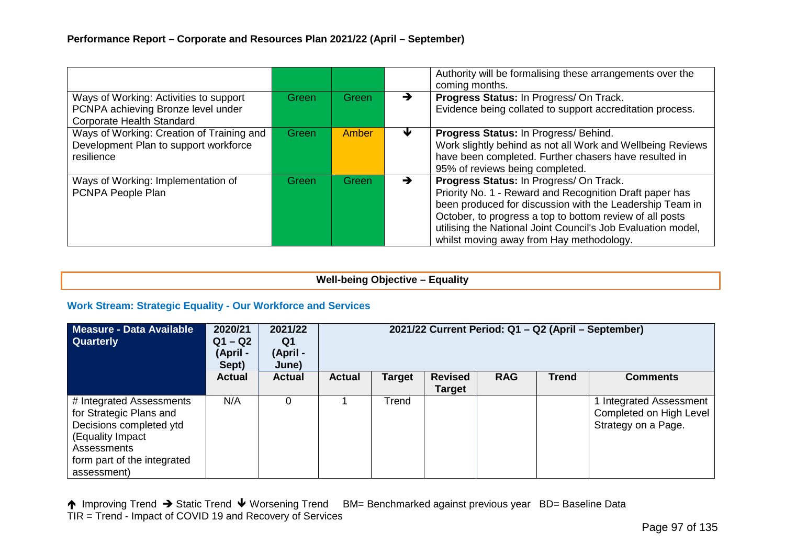|                                                                                                           |       |              |               | Authority will be formalising these arrangements over the<br>coming months.                                                                                                                                                                                                                                                            |
|-----------------------------------------------------------------------------------------------------------|-------|--------------|---------------|----------------------------------------------------------------------------------------------------------------------------------------------------------------------------------------------------------------------------------------------------------------------------------------------------------------------------------------|
| Ways of Working: Activities to support<br>PCNPA achieving Bronze level under<br>Corporate Health Standard | Green | <b>Green</b> | $\rightarrow$ | Progress Status: In Progress/ On Track.<br>Evidence being collated to support accreditation process.                                                                                                                                                                                                                                   |
| Ways of Working: Creation of Training and<br>Development Plan to support workforce<br>resilience          | Green | Amber        | ₩             | Progress Status: In Progress/ Behind.<br>Work slightly behind as not all Work and Wellbeing Reviews<br>have been completed. Further chasers have resulted in<br>95% of reviews being completed.                                                                                                                                        |
| Ways of Working: Implementation of<br>PCNPA People Plan                                                   | Green | Green        |               | Progress Status: In Progress/ On Track.<br>Priority No. 1 - Reward and Recognition Draft paper has<br>been produced for discussion with the Leadership Team in<br>October, to progress a top to bottom review of all posts<br>utilising the National Joint Council's Job Evaluation model,<br>whilst moving away from Hay methodology. |

# **Well-being Objective – Equality**

#### **Work Stream: Strategic Equality - Our Workforce and Services**

| Measure - Data Available<br><b>Quarterly</b>                                                                                                                    | 2020/21<br>$Q1 - Q2$<br>(April -<br>Sept) | 2021/22<br>Q1<br>(April -<br>June) |               |               |                                 |            |              | 2021/22 Current Period: Q1 - Q2 (April - September)                            |
|-----------------------------------------------------------------------------------------------------------------------------------------------------------------|-------------------------------------------|------------------------------------|---------------|---------------|---------------------------------|------------|--------------|--------------------------------------------------------------------------------|
|                                                                                                                                                                 | <b>Actual</b>                             | <b>Actual</b>                      | <b>Actual</b> | <b>Target</b> | <b>Revised</b><br><b>Target</b> | <b>RAG</b> | <b>Trend</b> | <b>Comments</b>                                                                |
| # Integrated Assessments<br>for Strategic Plans and<br>Decisions completed ytd<br>(Equality Impact<br>Assessments<br>form part of the integrated<br>assessment) | N/A                                       |                                    |               | Trend         |                                 |            |              | <b>Integrated Assessment</b><br>Completed on High Level<br>Strategy on a Page. |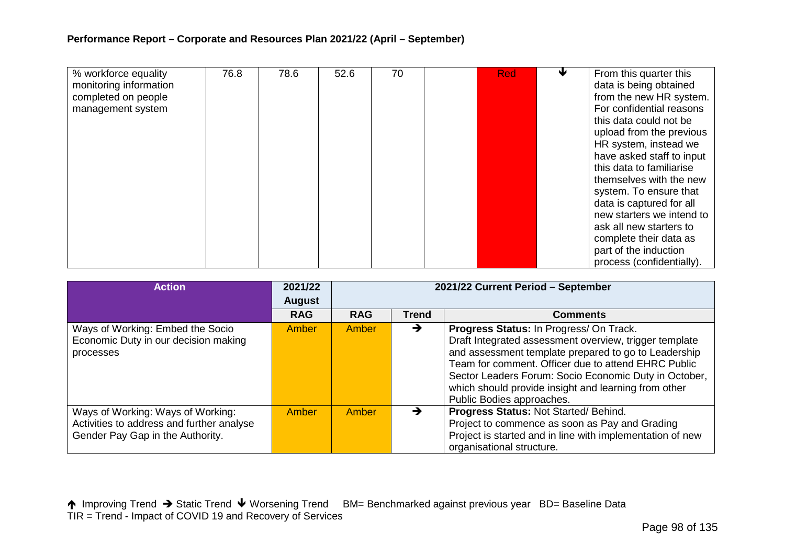| % workforce equality<br>monitoring information<br>completed on people<br>management system | 76.8 | 78.6 | 52.6 | 70 | <b>Red</b> | From this quarter this<br>data is being obtained<br>from the new HR system.<br>For confidential reasons<br>this data could not be<br>upload from the previous<br>HR system, instead we<br>have asked staff to input<br>this data to familiarise<br>themselves with the new<br>system. To ensure that<br>data is captured for all<br>new starters we intend to<br>ask all new starters to |
|--------------------------------------------------------------------------------------------|------|------|------|----|------------|------------------------------------------------------------------------------------------------------------------------------------------------------------------------------------------------------------------------------------------------------------------------------------------------------------------------------------------------------------------------------------------|
|                                                                                            |      |      |      |    |            | complete their data as<br>part of the induction<br>process (confidentially).                                                                                                                                                                                                                                                                                                             |

| <b>Action</b>                                                                                                      | 2021/22<br><b>August</b> | 2021/22 Current Period - September |              |                                                                                                                                                                                                                                                                                                                                                                |  |  |
|--------------------------------------------------------------------------------------------------------------------|--------------------------|------------------------------------|--------------|----------------------------------------------------------------------------------------------------------------------------------------------------------------------------------------------------------------------------------------------------------------------------------------------------------------------------------------------------------------|--|--|
|                                                                                                                    | <b>RAG</b>               | <b>RAG</b>                         | <b>Trend</b> | <b>Comments</b>                                                                                                                                                                                                                                                                                                                                                |  |  |
| Ways of Working: Embed the Socio<br>Economic Duty in our decision making<br>processes                              | <b>Amber</b>             | Amber                              | →            | Progress Status: In Progress/ On Track.<br>Draft Integrated assessment overview, trigger template<br>and assessment template prepared to go to Leadership<br>Team for comment. Officer due to attend EHRC Public<br>Sector Leaders Forum: Socio Economic Duty in October,<br>which should provide insight and learning from other<br>Public Bodies approaches. |  |  |
| Ways of Working: Ways of Working:<br>Activities to address and further analyse<br>Gender Pay Gap in the Authority. | <b>Amber</b>             | Amber                              | →            | Progress Status: Not Started/Behind.<br>Project to commence as soon as Pay and Grading<br>Project is started and in line with implementation of new<br>organisational structure.                                                                                                                                                                               |  |  |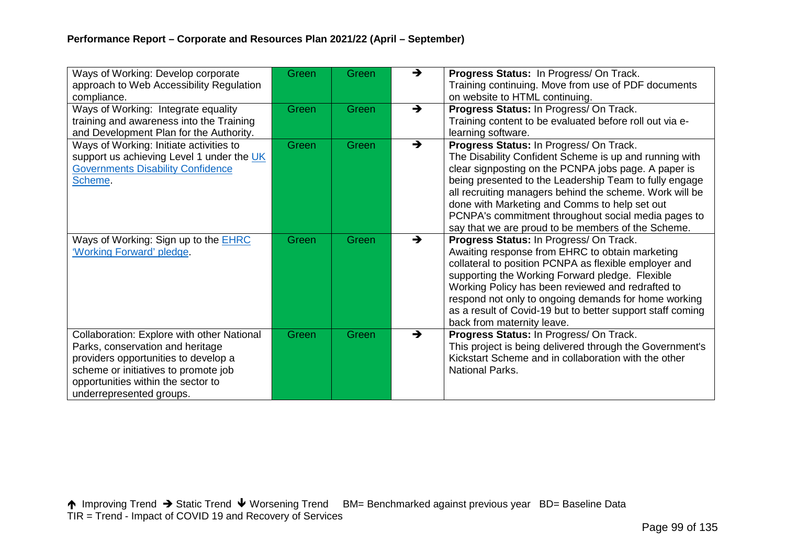| Ways of Working: Develop corporate<br>approach to Web Accessibility Regulation<br>compliance.                                                                                                                                    | Green | Green | $\rightarrow$ | Progress Status: In Progress/ On Track.<br>Training continuing. Move from use of PDF documents<br>on website to HTML continuing.                                                                                                                                                                                                                                                                                                             |
|----------------------------------------------------------------------------------------------------------------------------------------------------------------------------------------------------------------------------------|-------|-------|---------------|----------------------------------------------------------------------------------------------------------------------------------------------------------------------------------------------------------------------------------------------------------------------------------------------------------------------------------------------------------------------------------------------------------------------------------------------|
| Ways of Working: Integrate equality<br>training and awareness into the Training<br>and Development Plan for the Authority.                                                                                                       | Green | Green | $\rightarrow$ | Progress Status: In Progress/ On Track.<br>Training content to be evaluated before roll out via e-<br>learning software.                                                                                                                                                                                                                                                                                                                     |
| Ways of Working: Initiate activities to<br>support us achieving Level 1 under the UK<br><b>Governments Disability Confidence</b><br>Scheme.                                                                                      | Green | Green | $\rightarrow$ | Progress Status: In Progress/ On Track.<br>The Disability Confident Scheme is up and running with<br>clear signposting on the PCNPA jobs page. A paper is<br>being presented to the Leadership Team to fully engage<br>all recruiting managers behind the scheme. Work will be<br>done with Marketing and Comms to help set out<br>PCNPA's commitment throughout social media pages to<br>say that we are proud to be members of the Scheme. |
| Ways of Working: Sign up to the <b>EHRC</b><br>'Working Forward' pledge.                                                                                                                                                         | Green | Green | $\rightarrow$ | Progress Status: In Progress/ On Track.<br>Awaiting response from EHRC to obtain marketing<br>collateral to position PCNPA as flexible employer and<br>supporting the Working Forward pledge. Flexible<br>Working Policy has been reviewed and redrafted to<br>respond not only to ongoing demands for home working<br>as a result of Covid-19 but to better support staff coming<br>back from maternity leave.                              |
| Collaboration: Explore with other National<br>Parks, conservation and heritage<br>providers opportunities to develop a<br>scheme or initiatives to promote job<br>opportunities within the sector to<br>underrepresented groups. | Green | Green | $\rightarrow$ | Progress Status: In Progress/ On Track.<br>This project is being delivered through the Government's<br>Kickstart Scheme and in collaboration with the other<br><b>National Parks.</b>                                                                                                                                                                                                                                                        |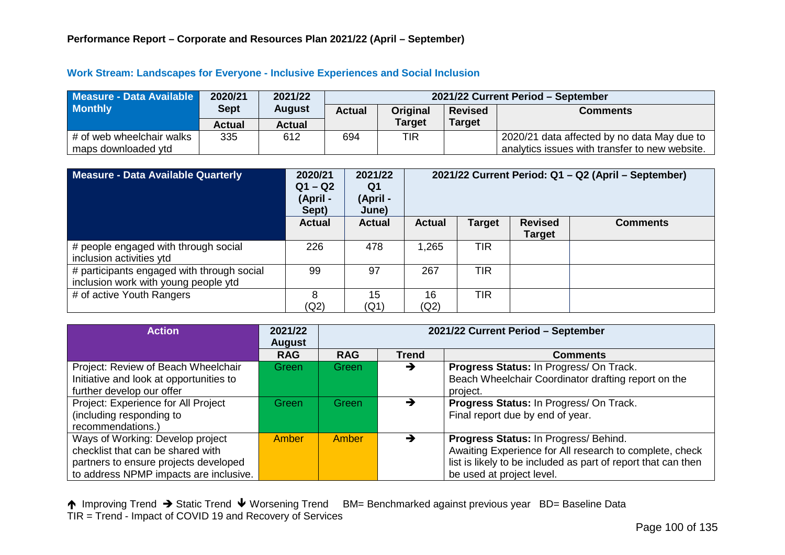#### **Work Stream: Landscapes for Everyone - Inclusive Experiences and Social Inclusion**

| Measure - Data Available  | 2020/21       | 2021/22       |               | 2021/22 Current Period - September |                |                                                |  |  |  |
|---------------------------|---------------|---------------|---------------|------------------------------------|----------------|------------------------------------------------|--|--|--|
| <b>Monthly</b>            | <b>Sept</b>   | <b>August</b> | <b>Actual</b> | Original                           | <b>Revised</b> | <b>Comments</b>                                |  |  |  |
|                           | <b>Actual</b> | Actual        |               | <b>Target</b>                      | <b>Target</b>  |                                                |  |  |  |
| # of web wheelchair walks | 335           | 612           | 694           | TIR                                |                | 2020/21 data affected by no data May due to    |  |  |  |
| maps downloaded ytd       |               |               |               |                                    |                | analytics issues with transfer to new website. |  |  |  |

| Measure - Data Available Quarterly                                                 | 2020/21<br>$Q1 - Q2$<br>(April-<br>Sept) | 2021/22<br>Q1<br>(April -<br>June) |               |               |                                 | 2021/22 Current Period: Q1 - Q2 (April - September) |
|------------------------------------------------------------------------------------|------------------------------------------|------------------------------------|---------------|---------------|---------------------------------|-----------------------------------------------------|
|                                                                                    | <b>Actual</b>                            | <b>Actual</b>                      | <b>Actual</b> | <b>Target</b> | <b>Revised</b><br><b>Target</b> | <b>Comments</b>                                     |
| # people engaged with through social<br>inclusion activities ytd                   | 226                                      | 478                                | 1,265         | <b>TIR</b>    |                                 |                                                     |
| # participants engaged with through social<br>inclusion work with young people ytd | 99                                       | 97                                 | 267           | <b>TIR</b>    |                                 |                                                     |
| # of active Youth Rangers                                                          | 8<br>(Q2)                                | 15<br>(Q1)                         | 16<br>(Q2)    | <b>TIR</b>    |                                 |                                                     |

| <b>Action</b>                           | 2021/22<br><b>August</b> | 2021/22 Current Period - September |              |                                                               |  |  |
|-----------------------------------------|--------------------------|------------------------------------|--------------|---------------------------------------------------------------|--|--|
|                                         | <b>RAG</b>               | <b>RAG</b>                         | <b>Trend</b> | <b>Comments</b>                                               |  |  |
| Project: Review of Beach Wheelchair     | Green                    | <b>Green</b>                       | →            | Progress Status: In Progress/ On Track.                       |  |  |
| Initiative and look at opportunities to |                          |                                    |              | Beach Wheelchair Coordinator drafting report on the           |  |  |
| further develop our offer               |                          |                                    |              | project.                                                      |  |  |
| Project: Experience for All Project     | Green                    | Green                              |              | Progress Status: In Progress/ On Track.                       |  |  |
| (including responding to                |                          |                                    |              | Final report due by end of year.                              |  |  |
| recommendations.)                       |                          |                                    |              |                                                               |  |  |
| Ways of Working: Develop project        | <b>Amber</b>             | Amber                              | →            | Progress Status: In Progress/ Behind.                         |  |  |
| checklist that can be shared with       |                          |                                    |              | Awaiting Experience for All research to complete, check       |  |  |
| partners to ensure projects developed   |                          |                                    |              | list is likely to be included as part of report that can then |  |  |
| to address NPMP impacts are inclusive.  |                          |                                    |              | be used at project level.                                     |  |  |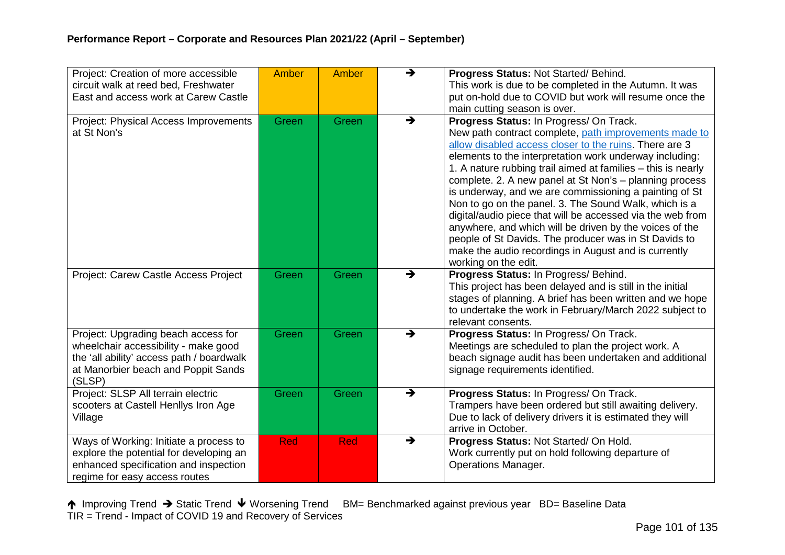| Project: Creation of more accessible      | <b>Amber</b> | <b>Amber</b> | $\rightarrow$ | Progress Status: Not Started/ Behind.                                                              |
|-------------------------------------------|--------------|--------------|---------------|----------------------------------------------------------------------------------------------------|
| circuit walk at reed bed, Freshwater      |              |              |               | This work is due to be completed in the Autumn. It was                                             |
| East and access work at Carew Castle      |              |              |               | put on-hold due to COVID but work will resume once the                                             |
|                                           |              |              |               | main cutting season is over.                                                                       |
| Project: Physical Access Improvements     | Green        | Green        | $\rightarrow$ | Progress Status: In Progress/ On Track.                                                            |
| at St Non's                               |              |              |               | New path contract complete, path improvements made to                                              |
|                                           |              |              |               | allow disabled access closer to the ruins. There are 3                                             |
|                                           |              |              |               | elements to the interpretation work underway including:                                            |
|                                           |              |              |               | 1. A nature rubbing trail aimed at families – this is nearly                                       |
|                                           |              |              |               | complete. 2. A new panel at St Non's - planning process                                            |
|                                           |              |              |               | is underway, and we are commissioning a painting of St                                             |
|                                           |              |              |               | Non to go on the panel. 3. The Sound Walk, which is a                                              |
|                                           |              |              |               | digital/audio piece that will be accessed via the web from                                         |
|                                           |              |              |               | anywhere, and which will be driven by the voices of the                                            |
|                                           |              |              |               | people of St Davids. The producer was in St Davids to                                              |
|                                           |              |              |               | make the audio recordings in August and is currently                                               |
|                                           |              |              | $\rightarrow$ | working on the edit.                                                                               |
| Project: Carew Castle Access Project      | Green        | Green        |               | Progress Status: In Progress/ Behind.<br>This project has been delayed and is still in the initial |
|                                           |              |              |               | stages of planning. A brief has been written and we hope                                           |
|                                           |              |              |               | to undertake the work in February/March 2022 subject to                                            |
|                                           |              |              |               | relevant consents.                                                                                 |
| Project: Upgrading beach access for       | Green        | Green        | $\rightarrow$ | Progress Status: In Progress/ On Track.                                                            |
| wheelchair accessibility - make good      |              |              |               | Meetings are scheduled to plan the project work. A                                                 |
| the 'all ability' access path / boardwalk |              |              |               | beach signage audit has been undertaken and additional                                             |
| at Manorbier beach and Poppit Sands       |              |              |               | signage requirements identified.                                                                   |
| (SLSP)                                    |              |              |               |                                                                                                    |
| Project: SLSP All terrain electric        | Green        | Green        | $\rightarrow$ | Progress Status: In Progress/ On Track.                                                            |
| scooters at Castell Henllys Iron Age      |              |              |               | Trampers have been ordered but still awaiting delivery.                                            |
| Village                                   |              |              |               | Due to lack of delivery drivers it is estimated they will                                          |
|                                           |              |              |               | arrive in October.                                                                                 |
| Ways of Working: Initiate a process to    | <b>Red</b>   | Red          | $\rightarrow$ | Progress Status: Not Started/ On Hold.                                                             |
| explore the potential for developing an   |              |              |               | Work currently put on hold following departure of                                                  |
| enhanced specification and inspection     |              |              |               | <b>Operations Manager.</b>                                                                         |
| regime for easy access routes             |              |              |               |                                                                                                    |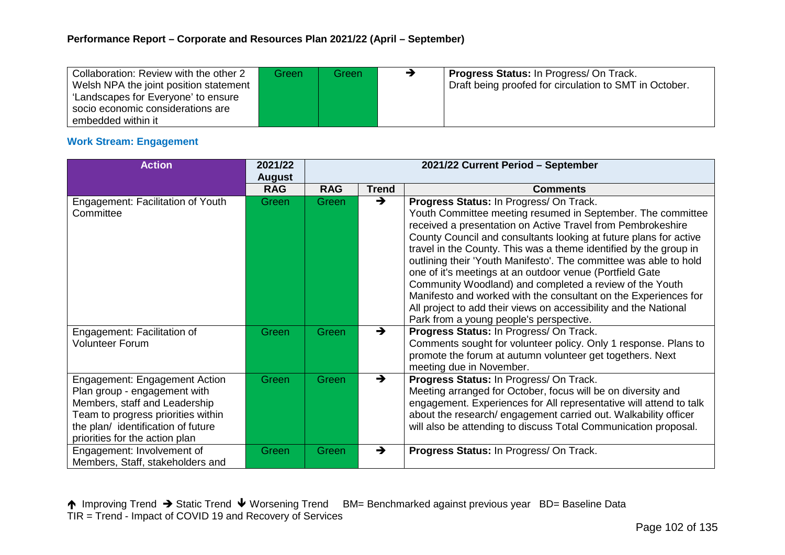| Collaboration: Review with the other 2 | Greenl | Green | <b>Progress Status: In Progress/ On Track.</b>         |
|----------------------------------------|--------|-------|--------------------------------------------------------|
| Welsh NPA the joint position statement |        |       | Draft being proofed for circulation to SMT in October. |
| 'Landscapes for Everyone' to ensure    |        |       |                                                        |
| socio economic considerations are      |        |       |                                                        |
| embedded within it                     |        |       |                                                        |

### **Work Stream: Engagement**

| <b>Action</b>                                                                                                                                                                                                       | 2021/22<br><b>August</b> | 2021/22 Current Period - September |               |                                                                                                                                                                                                                                                                                                                                                                                                                                                                                                                                                                                                                                                                                               |  |  |
|---------------------------------------------------------------------------------------------------------------------------------------------------------------------------------------------------------------------|--------------------------|------------------------------------|---------------|-----------------------------------------------------------------------------------------------------------------------------------------------------------------------------------------------------------------------------------------------------------------------------------------------------------------------------------------------------------------------------------------------------------------------------------------------------------------------------------------------------------------------------------------------------------------------------------------------------------------------------------------------------------------------------------------------|--|--|
|                                                                                                                                                                                                                     | <b>RAG</b>               | <b>RAG</b>                         | <b>Trend</b>  | <b>Comments</b>                                                                                                                                                                                                                                                                                                                                                                                                                                                                                                                                                                                                                                                                               |  |  |
| Engagement: Facilitation of Youth<br>Committee                                                                                                                                                                      | Green                    | Green                              | $\rightarrow$ | Progress Status: In Progress/ On Track.<br>Youth Committee meeting resumed in September. The committee<br>received a presentation on Active Travel from Pembrokeshire<br>County Council and consultants looking at future plans for active<br>travel in the County. This was a theme identified by the group in<br>outlining their 'Youth Manifesto'. The committee was able to hold<br>one of it's meetings at an outdoor venue (Portfield Gate<br>Community Woodland) and completed a review of the Youth<br>Manifesto and worked with the consultant on the Experiences for<br>All project to add their views on accessibility and the National<br>Park from a young people's perspective. |  |  |
| Engagement: Facilitation of<br><b>Volunteer Forum</b>                                                                                                                                                               | Green                    | Green                              | $\rightarrow$ | Progress Status: In Progress/ On Track.<br>Comments sought for volunteer policy. Only 1 response. Plans to<br>promote the forum at autumn volunteer get togethers. Next<br>meeting due in November.                                                                                                                                                                                                                                                                                                                                                                                                                                                                                           |  |  |
| <b>Engagement: Engagement Action</b><br>Plan group - engagement with<br>Members, staff and Leadership<br>Team to progress priorities within<br>the plan/ identification of future<br>priorities for the action plan | Green                    | Green                              | $\rightarrow$ | Progress Status: In Progress/ On Track.<br>Meeting arranged for October, focus will be on diversity and<br>engagement. Experiences for All representative will attend to talk<br>about the research/ engagement carried out. Walkability officer<br>will also be attending to discuss Total Communication proposal.                                                                                                                                                                                                                                                                                                                                                                           |  |  |
| Engagement: Involvement of<br>Members, Staff, stakeholders and                                                                                                                                                      | Green                    | Green                              | $\rightarrow$ | Progress Status: In Progress/ On Track.                                                                                                                                                                                                                                                                                                                                                                                                                                                                                                                                                                                                                                                       |  |  |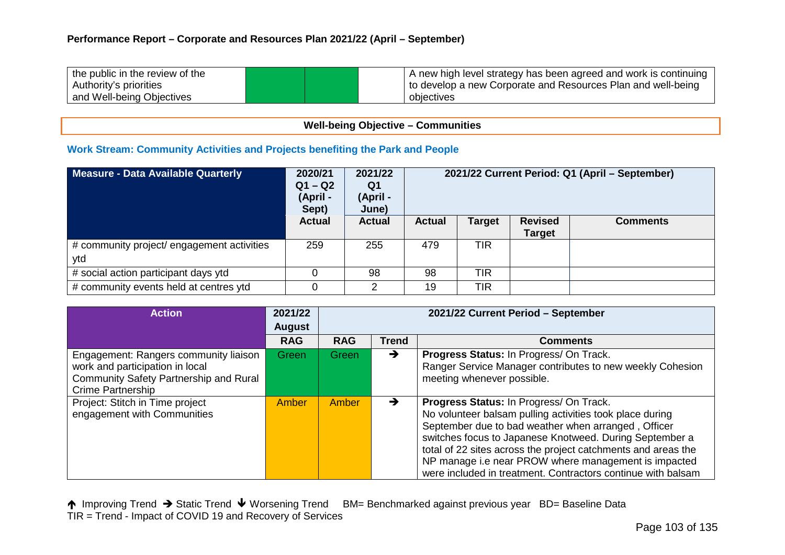| the public in the review of the | A new high level strategy has been agreed and work is continuing |
|---------------------------------|------------------------------------------------------------------|
| Authority's priorities          | to develop a new Corporate and Resources Plan and well-being     |
| and Well-being Objectives       | objectives                                                       |

# **Well-being Objective – Communities**

#### **Work Stream: Community Activities and Projects benefiting the Park and People**

| Measure - Data Available Quarterly                | 2020/21<br>$Q1 - Q2$<br>(April-<br>Sept) | 2021/22<br>Q1<br>(April -<br>June) | 2021/22 Current Period: Q1 (April – September) |        |                                 |                 |
|---------------------------------------------------|------------------------------------------|------------------------------------|------------------------------------------------|--------|---------------------------------|-----------------|
|                                                   | <b>Actual</b>                            | <b>Actual</b>                      | <b>Actual</b>                                  | Target | <b>Revised</b><br><b>Target</b> | <b>Comments</b> |
| # community project/ engagement activities<br>ytd | 259                                      | 255                                | 479                                            | TIR    |                                 |                 |
| # social action participant days ytd              |                                          | 98                                 | 98                                             | TIR    |                                 |                 |
| # community events held at centres ytd            | 0                                        |                                    | 19                                             | TIR    |                                 |                 |

| <b>Action</b>                          | 2021/22       | 2021/22 Current Period - September |               |                                                               |  |  |
|----------------------------------------|---------------|------------------------------------|---------------|---------------------------------------------------------------|--|--|
|                                        | <b>August</b> |                                    |               |                                                               |  |  |
|                                        | <b>RAG</b>    | <b>RAG</b>                         | <b>Trend</b>  | <b>Comments</b>                                               |  |  |
| Engagement: Rangers community liaison  | Green         | Green                              | $\rightarrow$ | Progress Status: In Progress/ On Track.                       |  |  |
| work and participation in local        |               |                                    |               | Ranger Service Manager contributes to new weekly Cohesion     |  |  |
| Community Safety Partnership and Rural |               |                                    |               | meeting whenever possible.                                    |  |  |
| <b>Crime Partnership</b>               |               |                                    |               |                                                               |  |  |
| Project: Stitch in Time project        | Amber         | Amber                              | $\rightarrow$ | Progress Status: In Progress/ On Track.                       |  |  |
| engagement with Communities            |               |                                    |               | No volunteer balsam pulling activities took place during      |  |  |
|                                        |               |                                    |               | September due to bad weather when arranged, Officer           |  |  |
|                                        |               |                                    |               | switches focus to Japanese Knotweed. During September a       |  |  |
|                                        |               |                                    |               | total of 22 sites across the project catchments and areas the |  |  |
|                                        |               |                                    |               | NP manage i.e near PROW where management is impacted          |  |  |
|                                        |               |                                    |               | were included in treatment. Contractors continue with balsam  |  |  |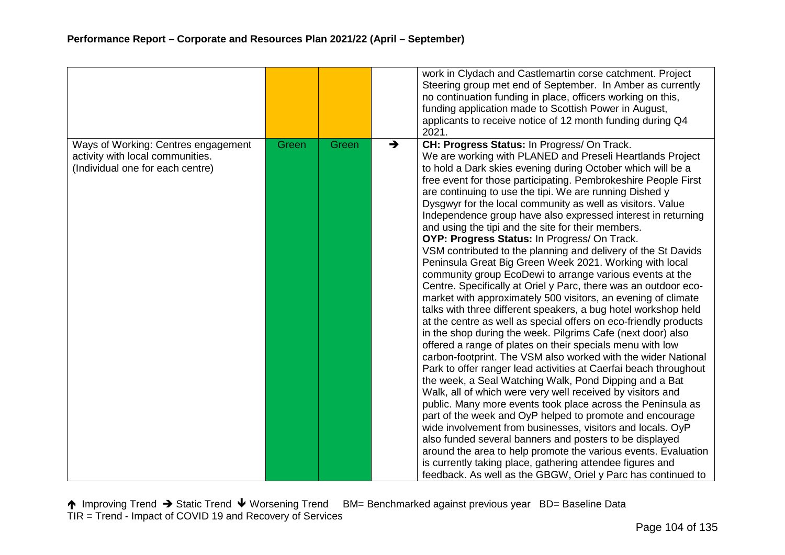|                                                                                                             |       |       |               | work in Clydach and Castlemartin corse catchment. Project<br>Steering group met end of September. In Amber as currently<br>no continuation funding in place, officers working on this,<br>funding application made to Scottish Power in August,<br>applicants to receive notice of 12 month funding during Q4<br>2021.                                                                                                                                                                                                                                                                                                                                                                                                                                                                                                                                                                                                                                                                                                                                                                                                                                                                                                                                                                                                                                                                                                                                                                                                                                                                                                                                                                                                                                                                                                                                 |
|-------------------------------------------------------------------------------------------------------------|-------|-------|---------------|--------------------------------------------------------------------------------------------------------------------------------------------------------------------------------------------------------------------------------------------------------------------------------------------------------------------------------------------------------------------------------------------------------------------------------------------------------------------------------------------------------------------------------------------------------------------------------------------------------------------------------------------------------------------------------------------------------------------------------------------------------------------------------------------------------------------------------------------------------------------------------------------------------------------------------------------------------------------------------------------------------------------------------------------------------------------------------------------------------------------------------------------------------------------------------------------------------------------------------------------------------------------------------------------------------------------------------------------------------------------------------------------------------------------------------------------------------------------------------------------------------------------------------------------------------------------------------------------------------------------------------------------------------------------------------------------------------------------------------------------------------------------------------------------------------------------------------------------------------|
| Ways of Working: Centres engagement<br>activity with local communities.<br>(Individual one for each centre) | Green | Green | $\rightarrow$ | CH: Progress Status: In Progress/ On Track.<br>We are working with PLANED and Preseli Heartlands Project<br>to hold a Dark skies evening during October which will be a<br>free event for those participating. Pembrokeshire People First<br>are continuing to use the tipi. We are running Dished y<br>Dysgwyr for the local community as well as visitors. Value<br>Independence group have also expressed interest in returning<br>and using the tipi and the site for their members.<br>OYP: Progress Status: In Progress/ On Track.<br>VSM contributed to the planning and delivery of the St Davids<br>Peninsula Great Big Green Week 2021. Working with local<br>community group EcoDewi to arrange various events at the<br>Centre. Specifically at Oriel y Parc, there was an outdoor eco-<br>market with approximately 500 visitors, an evening of climate<br>talks with three different speakers, a bug hotel workshop held<br>at the centre as well as special offers on eco-friendly products<br>in the shop during the week. Pilgrims Cafe (next door) also<br>offered a range of plates on their specials menu with low<br>carbon-footprint. The VSM also worked with the wider National<br>Park to offer ranger lead activities at Caerfai beach throughout<br>the week, a Seal Watching Walk, Pond Dipping and a Bat<br>Walk, all of which were very well received by visitors and<br>public. Many more events took place across the Peninsula as<br>part of the week and OyP helped to promote and encourage<br>wide involvement from businesses, visitors and locals. OyP<br>also funded several banners and posters to be displayed<br>around the area to help promote the various events. Evaluation<br>is currently taking place, gathering attendee figures and<br>feedback. As well as the GBGW, Oriel y Parc has continued to |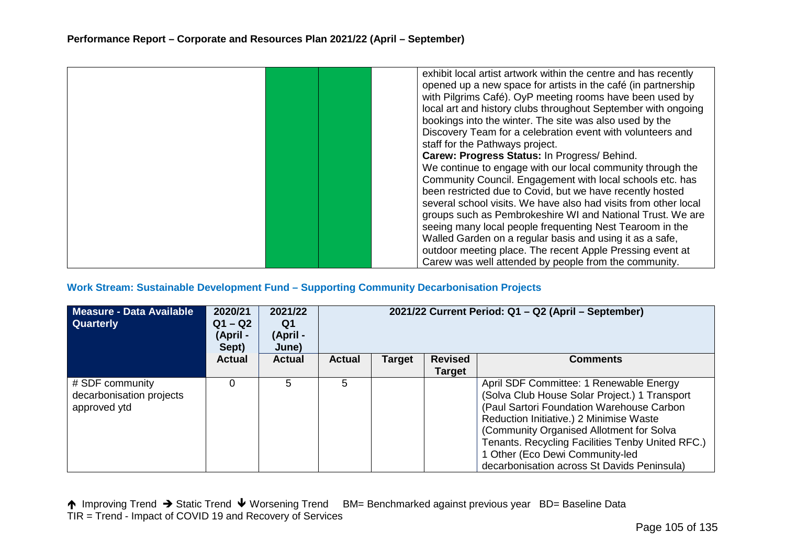|  | exhibit local artist artwork within the centre and has recently |
|--|-----------------------------------------------------------------|
|  | opened up a new space for artists in the café (in partnership   |
|  | with Pilgrims Café). OyP meeting rooms have been used by        |
|  | local art and history clubs throughout September with ongoing   |
|  | bookings into the winter. The site was also used by the         |
|  | Discovery Team for a celebration event with volunteers and      |
|  |                                                                 |
|  | staff for the Pathways project.                                 |
|  | Carew: Progress Status: In Progress/ Behind.                    |
|  | We continue to engage with our local community through the      |
|  | Community Council. Engagement with local schools etc. has       |
|  | been restricted due to Covid, but we have recently hosted       |
|  | several school visits. We have also had visits from other local |
|  | groups such as Pembrokeshire WI and National Trust. We are      |
|  |                                                                 |
|  | seeing many local people frequenting Nest Tearoom in the        |
|  | Walled Garden on a regular basis and using it as a safe,        |
|  | outdoor meeting place. The recent Apple Pressing event at       |
|  | Carew was well attended by people from the community.           |

#### **Work Stream: Sustainable Development Fund – Supporting Community Decarbonisation Projects**

| Measure - Data Available<br><b>Quarterly</b>                | 2020/21<br>$Q1 - Q2$<br>(April -<br>Sept) | 2021/22<br>Q1<br>(April -<br>June) | 2021/22 Current Period: Q1 - Q2 (April - September) |        |                          |                                                                                                                                                                                                                                                                                                                                                                    |  |
|-------------------------------------------------------------|-------------------------------------------|------------------------------------|-----------------------------------------------------|--------|--------------------------|--------------------------------------------------------------------------------------------------------------------------------------------------------------------------------------------------------------------------------------------------------------------------------------------------------------------------------------------------------------------|--|
|                                                             | <b>Actual</b>                             | <b>Actual</b>                      | <b>Actual</b>                                       | Target | <b>Revised</b><br>Target | <b>Comments</b>                                                                                                                                                                                                                                                                                                                                                    |  |
| # SDF community<br>decarbonisation projects<br>approved ytd |                                           | 5                                  | 5.                                                  |        |                          | April SDF Committee: 1 Renewable Energy<br>(Solva Club House Solar Project.) 1 Transport<br>(Paul Sartori Foundation Warehouse Carbon<br>Reduction Initiative.) 2 Minimise Waste<br>(Community Organised Allotment for Solva<br>Tenants. Recycling Facilities Tenby United RFC.)<br>1 Other (Eco Dewi Community-led<br>decarbonisation across St Davids Peninsula) |  |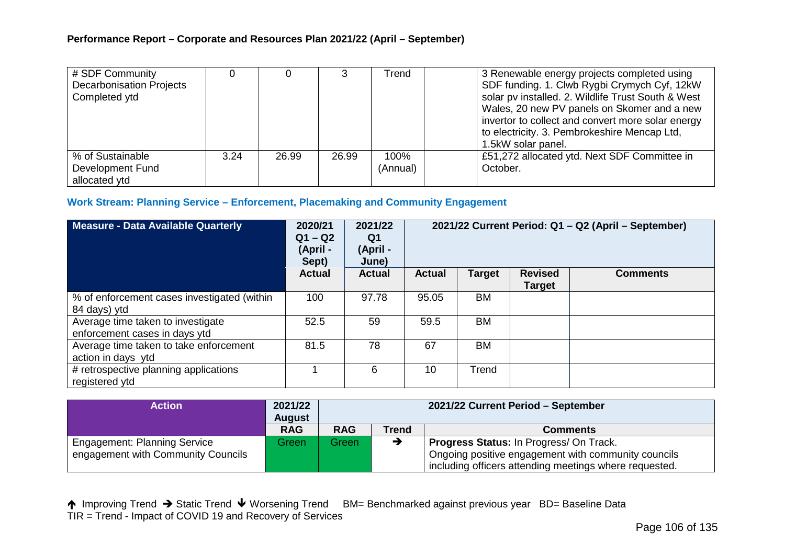| # SDF Community<br><b>Decarbonisation Projects</b><br>Completed ytd |      |       |       | Trend            | 3 Renewable energy projects completed using<br>SDF funding. 1. Clwb Rygbi Crymych Cyf, 12kW<br>solar pv installed. 2. Wildlife Trust South & West<br>Wales, 20 new PV panels on Skomer and a new<br>invertor to collect and convert more solar energy<br>to electricity. 3. Pembrokeshire Mencap Ltd,<br>1.5kW solar panel. |
|---------------------------------------------------------------------|------|-------|-------|------------------|-----------------------------------------------------------------------------------------------------------------------------------------------------------------------------------------------------------------------------------------------------------------------------------------------------------------------------|
| % of Sustainable<br>Development Fund<br>allocated ytd               | 3.24 | 26.99 | 26.99 | 100%<br>(Annual) | £51,272 allocated ytd. Next SDF Committee in<br>October.                                                                                                                                                                                                                                                                    |

# **Work Stream: Planning Service – Enforcement, Placemaking and Community Engagement**

| <b>Measure - Data Available Quarterly</b>                          | 2020/21<br>$Q1 - Q2$<br>(April -<br>Sept) | 2021/22<br>Q1<br>(April -<br>June) | 2021/22 Current Period: Q1 - Q2 (April - September) |           |                                 |                 |
|--------------------------------------------------------------------|-------------------------------------------|------------------------------------|-----------------------------------------------------|-----------|---------------------------------|-----------------|
|                                                                    | <b>Actual</b>                             | <b>Actual</b>                      | <b>Actual</b>                                       | Target    | <b>Revised</b><br><b>Target</b> | <b>Comments</b> |
| % of enforcement cases investigated (within<br>84 days) ytd        | 100                                       | 97.78                              | 95.05                                               | BM        |                                 |                 |
| Average time taken to investigate<br>enforcement cases in days ytd | 52.5                                      | 59                                 | 59.5                                                | <b>BM</b> |                                 |                 |
| Average time taken to take enforcement<br>action in days ytd       | 81.5                                      | 78                                 | 67                                                  | <b>BM</b> |                                 |                 |
| # retrospective planning applications<br>registered ytd            |                                           | 6                                  | 10                                                  | Trend     |                                 |                 |

| Action                              | 2021/22<br><b>August</b> | 2021/22 Current Period - September |       |                                                        |  |  |
|-------------------------------------|--------------------------|------------------------------------|-------|--------------------------------------------------------|--|--|
|                                     | <b>RAG</b>               | <b>RAG</b>                         | Trend | <b>Comments</b>                                        |  |  |
| <b>Engagement: Planning Service</b> | Green                    | Green                              |       | <b>Progress Status: In Progress/ On Track.</b>         |  |  |
| engagement with Community Councils  |                          |                                    |       | Ongoing positive engagement with community councils    |  |  |
|                                     |                          |                                    |       | including officers attending meetings where requested. |  |  |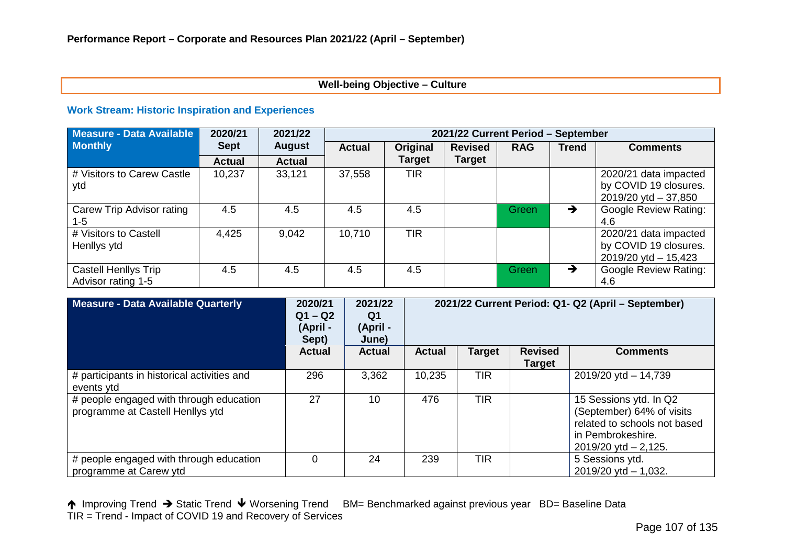# **Well-being Objective – Culture**

#### **Work Stream: Historic Inspiration and Experiences**

| <b>Measure - Data Available</b>            | 2020/21       | 2021/22       |               | 2021/22 Current Period - September |                |            |               |                                                                            |  |
|--------------------------------------------|---------------|---------------|---------------|------------------------------------|----------------|------------|---------------|----------------------------------------------------------------------------|--|
| <b>Monthly</b>                             | <b>Sept</b>   | <b>August</b> | <b>Actual</b> | Original                           | <b>Revised</b> | <b>RAG</b> | <b>Trend</b>  | <b>Comments</b>                                                            |  |
|                                            | <b>Actual</b> | <b>Actual</b> |               | <b>Target</b>                      | <b>Target</b>  |            |               |                                                                            |  |
| # Visitors to Carew Castle<br>ytd          | 10,237        | 33,121        | 37,558        | <b>TIR</b>                         |                |            |               | 2020/21 data impacted<br>by COVID 19 closures.<br>$2019/20$ ytd $-37,850$  |  |
| Carew Trip Advisor rating<br>1-5           | 4.5           | 4.5           | 4.5           | 4.5                                |                | Green      | $\rightarrow$ | <b>Google Review Rating:</b><br>4.6                                        |  |
| # Visitors to Castell<br>Henllys ytd       | 4,425         | 9,042         | 10,710        | <b>TIR</b>                         |                |            |               | 2020/21 data impacted<br>by COVID 19 closures.<br>$2019/20$ ytd $- 15,423$ |  |
| Castell Henllys Trip<br>Advisor rating 1-5 | 4.5           | 4.5           | 4.5           | 4.5                                |                | Green      | $\rightarrow$ | <b>Google Review Rating:</b><br>4.6                                        |  |

| <b>Measure - Data Available Quarterly</b>                                   | 2020/21<br>$Q1 - Q2$<br>(April -<br>Sept) | 2021/22<br>Q1<br>(April -<br>June) | 2021/22 Current Period: Q1- Q2 (April - September) |               |                                 |                                                                                                                                       |
|-----------------------------------------------------------------------------|-------------------------------------------|------------------------------------|----------------------------------------------------|---------------|---------------------------------|---------------------------------------------------------------------------------------------------------------------------------------|
|                                                                             | <b>Actual</b>                             | <b>Actual</b>                      | <b>Actual</b>                                      | <b>Target</b> | <b>Revised</b><br><b>Target</b> | <b>Comments</b>                                                                                                                       |
| # participants in historical activities and<br>events ytd                   | 296                                       | 3,362                              | 10,235                                             | TIR           |                                 | 2019/20 ytd - 14,739                                                                                                                  |
| # people engaged with through education<br>programme at Castell Henllys ytd | 27                                        | 10                                 | 476                                                | <b>TIR</b>    |                                 | 15 Sessions ytd. In Q2<br>(September) 64% of visits<br>related to schools not based<br>in Pembrokeshire.<br>$2019/20$ ytd $- 2,125$ . |
| # people engaged with through education<br>programme at Carew ytd           | 0                                         | 24                                 | 239                                                | TIR           |                                 | 5 Sessions ytd.<br>$2019/20$ ytd $- 1,032$ .                                                                                          |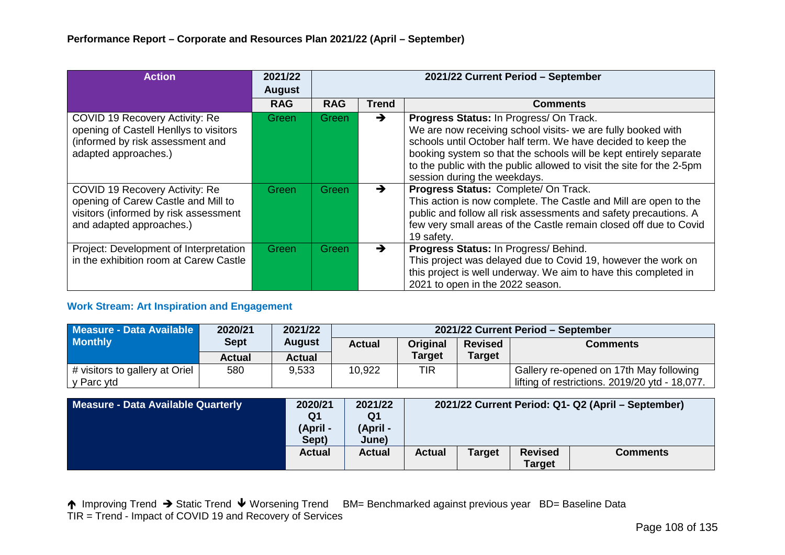| <b>Action</b>                                                                                                                              | 2021/22<br><b>August</b> |            | 2021/22 Current Period - September |                                                                                                                                                                                                                                                                                                                                                       |  |  |  |
|--------------------------------------------------------------------------------------------------------------------------------------------|--------------------------|------------|------------------------------------|-------------------------------------------------------------------------------------------------------------------------------------------------------------------------------------------------------------------------------------------------------------------------------------------------------------------------------------------------------|--|--|--|
|                                                                                                                                            | <b>RAG</b>               | <b>RAG</b> | <b>Trend</b>                       | <b>Comments</b>                                                                                                                                                                                                                                                                                                                                       |  |  |  |
| COVID 19 Recovery Activity: Re<br>opening of Castell Henllys to visitors<br>(informed by risk assessment and<br>adapted approaches.)       | Green                    | Green      | $\rightarrow$                      | Progress Status: In Progress/ On Track.<br>We are now receiving school visits- we are fully booked with<br>schools until October half term. We have decided to keep the<br>booking system so that the schools will be kept entirely separate<br>to the public with the public allowed to visit the site for the 2-5pm<br>session during the weekdays. |  |  |  |
| COVID 19 Recovery Activity: Re<br>opening of Carew Castle and Mill to<br>visitors (informed by risk assessment<br>and adapted approaches.) | Green                    | Green      | $\rightarrow$                      | Progress Status: Complete/ On Track.<br>This action is now complete. The Castle and Mill are open to the<br>public and follow all risk assessments and safety precautions. A<br>few very small areas of the Castle remain closed off due to Covid<br>19 safety.                                                                                       |  |  |  |
| Project: Development of Interpretation<br>in the exhibition room at Carew Castle                                                           | Green                    | Green      | $\rightarrow$                      | Progress Status: In Progress/ Behind.<br>This project was delayed due to Covid 19, however the work on<br>this project is well underway. We aim to have this completed in<br>2021 to open in the 2022 season.                                                                                                                                         |  |  |  |

# **Work Stream: Art Inspiration and Engagement**

| Measure - Data Available       | 2020/21     | 2021/22       | 2021/22 Current Period - September                                    |               |               |                                                |  |  |  |
|--------------------------------|-------------|---------------|-----------------------------------------------------------------------|---------------|---------------|------------------------------------------------|--|--|--|
| <b>Monthly</b>                 | <b>Sept</b> | <b>August</b> | <b>Actual</b><br><b>Original</b><br><b>Revised</b><br><b>Comments</b> |               |               |                                                |  |  |  |
|                                | Actual      | <b>Actual</b> |                                                                       | <b>Target</b> | <b>Target</b> |                                                |  |  |  |
| # visitors to gallery at Oriel | 580         | 9,533         | 10,922                                                                | TIR           |               | Gallery re-opened on 17th May following        |  |  |  |
| ∣ y Parc ytd                   |             |               |                                                                       |               |               | lifting of restrictions. 2019/20 ytd - 18,077. |  |  |  |

| Measure - Data Available Quarterly | 2020/21<br>Q1<br>(April -<br>Sept) | 2021/22<br>Q1<br>(April -<br>June) |        |               |                                 | 2021/22 Current Period: Q1- Q2 (April – September) |
|------------------------------------|------------------------------------|------------------------------------|--------|---------------|---------------------------------|----------------------------------------------------|
|                                    | <b>Actual</b>                      | <b>Actual</b>                      | Actual | <b>Target</b> | <b>Revised</b><br><b>Target</b> | <b>Comments</b>                                    |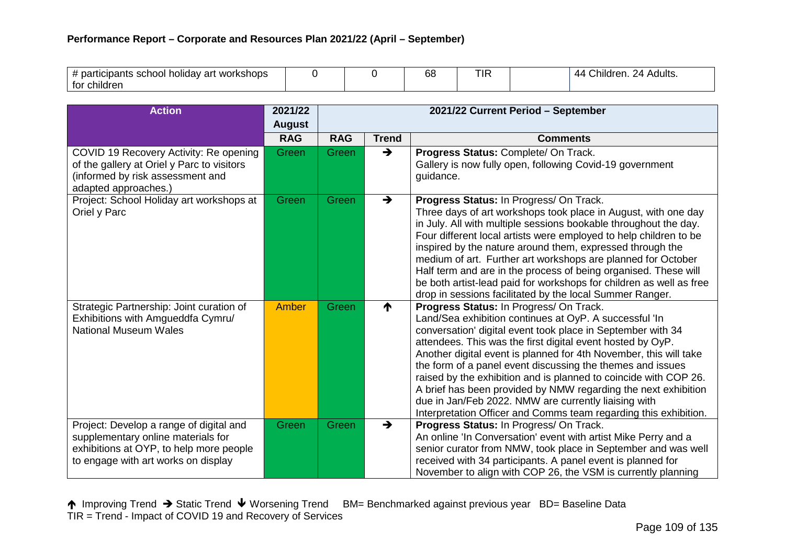| ' participants school<br>workshops<br>∍art<br>holidav |  | 68 | TIF | ∩hildren.<br>Adults.<br>24<br>-44 |
|-------------------------------------------------------|--|----|-----|-----------------------------------|
| ∶children<br>tor                                      |  |    |     |                                   |

| <b>Action</b>                                                                                                                                                   | 2021/22<br><b>August</b> | 2021/22 Current Period - September |               |                                                                                                                                                                                                                                                                                                                                                                                                                                                                                                                                                                                                                                     |  |  |  |
|-----------------------------------------------------------------------------------------------------------------------------------------------------------------|--------------------------|------------------------------------|---------------|-------------------------------------------------------------------------------------------------------------------------------------------------------------------------------------------------------------------------------------------------------------------------------------------------------------------------------------------------------------------------------------------------------------------------------------------------------------------------------------------------------------------------------------------------------------------------------------------------------------------------------------|--|--|--|
|                                                                                                                                                                 | <b>RAG</b>               | <b>RAG</b>                         | <b>Trend</b>  | <b>Comments</b>                                                                                                                                                                                                                                                                                                                                                                                                                                                                                                                                                                                                                     |  |  |  |
| COVID 19 Recovery Activity: Re opening<br>of the gallery at Oriel y Parc to visitors<br>(informed by risk assessment and<br>adapted approaches.)                | Green                    | Green                              | $\rightarrow$ | Progress Status: Complete/ On Track.<br>Gallery is now fully open, following Covid-19 government<br>guidance.                                                                                                                                                                                                                                                                                                                                                                                                                                                                                                                       |  |  |  |
| Project: School Holiday art workshops at<br>Oriel y Parc                                                                                                        | <b>Green</b>             | Green                              | $\rightarrow$ | Progress Status: In Progress/ On Track.<br>Three days of art workshops took place in August, with one day<br>in July. All with multiple sessions bookable throughout the day.<br>Four different local artists were employed to help children to be<br>inspired by the nature around them, expressed through the<br>medium of art. Further art workshops are planned for October<br>Half term and are in the process of being organised. These will<br>be both artist-lead paid for workshops for children as well as free<br>drop in sessions facilitated by the local Summer Ranger.                                               |  |  |  |
| Strategic Partnership: Joint curation of<br>Exhibitions with Amgueddfa Cymru/<br><b>National Museum Wales</b>                                                   | Amber                    | Green                              | ↑             | Progress Status: In Progress/ On Track.<br>Land/Sea exhibition continues at OyP. A successful 'In<br>conversation' digital event took place in September with 34<br>attendees. This was the first digital event hosted by OyP.<br>Another digital event is planned for 4th November, this will take<br>the form of a panel event discussing the themes and issues<br>raised by the exhibition and is planned to coincide with COP 26.<br>A brief has been provided by NMW regarding the next exhibition<br>due in Jan/Feb 2022. NMW are currently liaising with<br>Interpretation Officer and Comms team regarding this exhibition. |  |  |  |
| Project: Develop a range of digital and<br>supplementary online materials for<br>exhibitions at OYP, to help more people<br>to engage with art works on display | Green                    | Green                              | $\rightarrow$ | Progress Status: In Progress/ On Track.<br>An online 'In Conversation' event with artist Mike Perry and a<br>senior curator from NMW, took place in September and was well<br>received with 34 participants. A panel event is planned for<br>November to align with COP 26, the VSM is currently planning                                                                                                                                                                                                                                                                                                                           |  |  |  |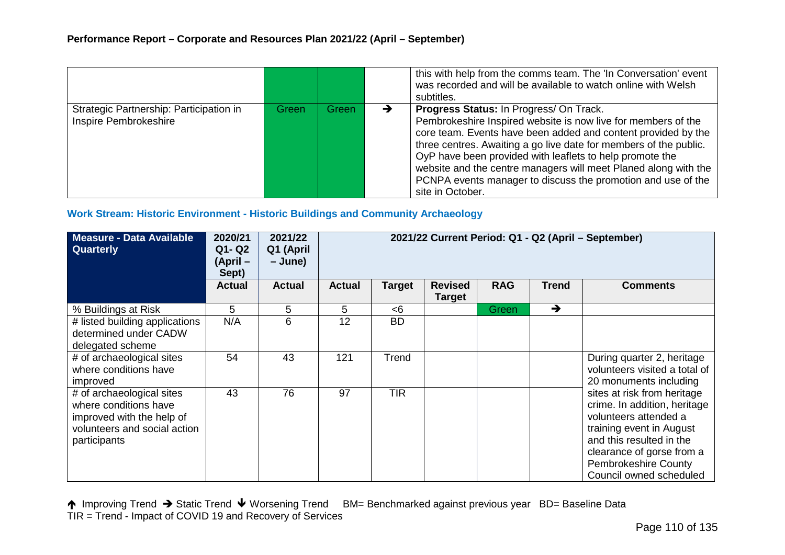|                                                                  |       |       | this with help from the comms team. The 'In Conversation' event<br>was recorded and will be available to watch online with Welsh<br>subtitles.                                                                                                                                                                                                                                                                                                                    |
|------------------------------------------------------------------|-------|-------|-------------------------------------------------------------------------------------------------------------------------------------------------------------------------------------------------------------------------------------------------------------------------------------------------------------------------------------------------------------------------------------------------------------------------------------------------------------------|
| Strategic Partnership: Participation in<br>Inspire Pembrokeshire | Green | Green | Progress Status: In Progress/ On Track.<br>Pembrokeshire Inspired website is now live for members of the<br>core team. Events have been added and content provided by the<br>three centres. Awaiting a go live date for members of the public.<br>OyP have been provided with leaflets to help promote the<br>website and the centre managers will meet Planed along with the<br>PCNPA events manager to discuss the promotion and use of the<br>site in October. |

# **Work Stream: Historic Environment - Historic Buildings and Community Archaeology**

| Measure - Data Available<br>Quarterly                                                                                           | 2020/21<br>Q1- Q2<br>(April –<br>Sept) | 2021/22<br>Q1 (April<br>– June) | 2021/22 Current Period: Q1 - Q2 (April - September) |               |                                 |              |               |                                                                                                                                                                                                                                     |  |
|---------------------------------------------------------------------------------------------------------------------------------|----------------------------------------|---------------------------------|-----------------------------------------------------|---------------|---------------------------------|--------------|---------------|-------------------------------------------------------------------------------------------------------------------------------------------------------------------------------------------------------------------------------------|--|
|                                                                                                                                 | <b>Actual</b>                          | <b>Actual</b>                   | <b>Actual</b>                                       | <b>Target</b> | <b>Revised</b><br><b>Target</b> | <b>RAG</b>   | <b>Trend</b>  | <b>Comments</b>                                                                                                                                                                                                                     |  |
| % Buildings at Risk                                                                                                             | 5                                      | 5                               | 5.                                                  | -6            |                                 | <b>Green</b> | $\rightarrow$ |                                                                                                                                                                                                                                     |  |
| # listed building applications<br>determined under CADW<br>delegated scheme                                                     | N/A                                    | 6                               | 12                                                  | <b>BD</b>     |                                 |              |               |                                                                                                                                                                                                                                     |  |
| # of archaeological sites<br>where conditions have<br>improved                                                                  | 54                                     | 43                              | 121                                                 | Trend         |                                 |              |               | During quarter 2, heritage<br>volunteers visited a total of<br>20 monuments including                                                                                                                                               |  |
| # of archaeological sites<br>where conditions have<br>improved with the help of<br>volunteers and social action<br>participants | 43                                     | 76                              | 97                                                  | <b>TIR</b>    |                                 |              |               | sites at risk from heritage<br>crime. In addition, heritage<br>volunteers attended a<br>training event in August<br>and this resulted in the<br>clearance of gorse from a<br><b>Pembrokeshire County</b><br>Council owned scheduled |  |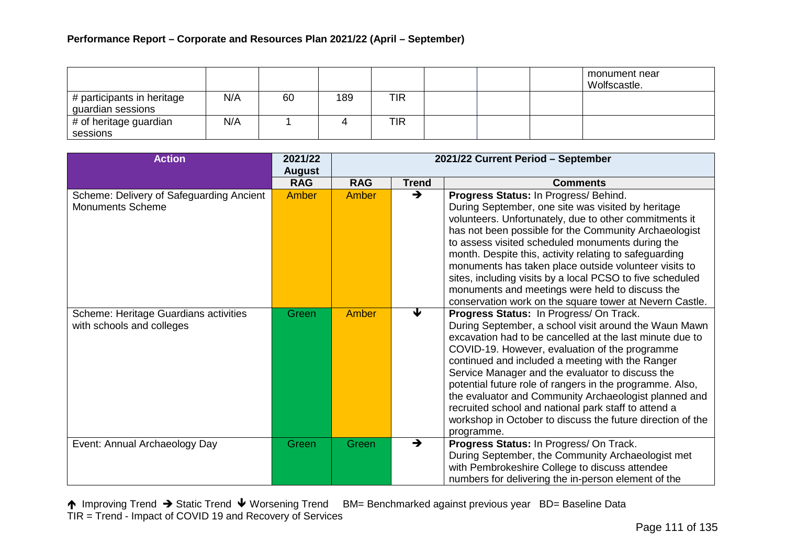|                                                 |     |    |     |            |  | monument near<br>Wolfscastle. |
|-------------------------------------------------|-----|----|-----|------------|--|-------------------------------|
| # participants in heritage<br>guardian sessions | N/A | 60 | 189 | TIR        |  |                               |
| # of heritage guardian<br>sessions              | N/A |    |     | <b>TIR</b> |  |                               |

| <b>Action</b>                                                       | 2021/22<br><b>August</b> |            |               | 2021/22 Current Period - September                                                                                                                                                                                                                                                                                                                                                                                                                                                                                                                                              |
|---------------------------------------------------------------------|--------------------------|------------|---------------|---------------------------------------------------------------------------------------------------------------------------------------------------------------------------------------------------------------------------------------------------------------------------------------------------------------------------------------------------------------------------------------------------------------------------------------------------------------------------------------------------------------------------------------------------------------------------------|
|                                                                     | <b>RAG</b>               | <b>RAG</b> | <b>Trend</b>  | <b>Comments</b>                                                                                                                                                                                                                                                                                                                                                                                                                                                                                                                                                                 |
| Scheme: Delivery of Safeguarding Ancient<br><b>Monuments Scheme</b> | <b>Amber</b>             | Amber      | $\rightarrow$ | Progress Status: In Progress/ Behind.<br>During September, one site was visited by heritage<br>volunteers. Unfortunately, due to other commitments it<br>has not been possible for the Community Archaeologist<br>to assess visited scheduled monuments during the<br>month. Despite this, activity relating to safeguarding<br>monuments has taken place outside volunteer visits to<br>sites, including visits by a local PCSO to five scheduled<br>monuments and meetings were held to discuss the<br>conservation work on the square tower at Nevern Castle.                |
| Scheme: Heritage Guardians activities<br>with schools and colleges  | Green                    | Amber      | ↓             | Progress Status: In Progress/ On Track.<br>During September, a school visit around the Waun Mawn<br>excavation had to be cancelled at the last minute due to<br>COVID-19. However, evaluation of the programme<br>continued and included a meeting with the Ranger<br>Service Manager and the evaluator to discuss the<br>potential future role of rangers in the programme. Also,<br>the evaluator and Community Archaeologist planned and<br>recruited school and national park staff to attend a<br>workshop in October to discuss the future direction of the<br>programme. |
| Event: Annual Archaeology Day                                       | Green                    | Green      | $\rightarrow$ | Progress Status: In Progress/ On Track.<br>During September, the Community Archaeologist met<br>with Pembrokeshire College to discuss attendee<br>numbers for delivering the in-person element of the                                                                                                                                                                                                                                                                                                                                                                           |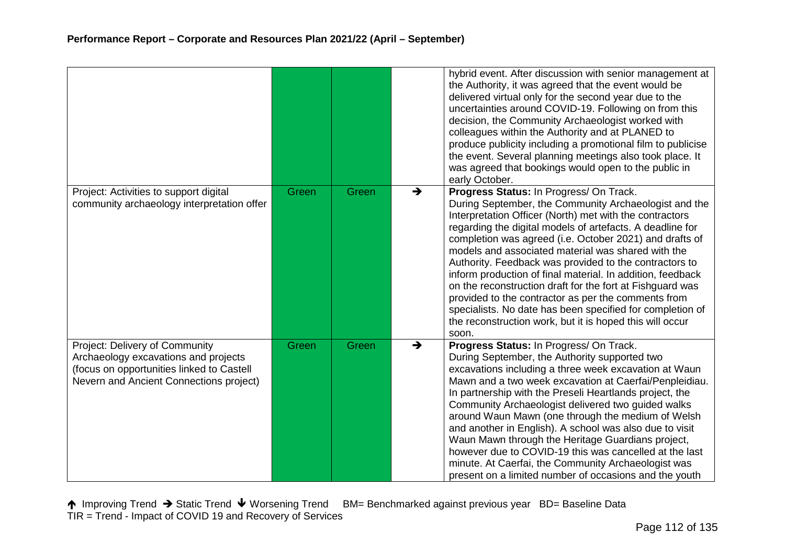|                                                                                                                                                                |       |       |               | hybrid event. After discussion with senior management at<br>the Authority, it was agreed that the event would be<br>delivered virtual only for the second year due to the<br>uncertainties around COVID-19. Following on from this<br>decision, the Community Archaeologist worked with<br>colleagues within the Authority and at PLANED to<br>produce publicity including a promotional film to publicise<br>the event. Several planning meetings also took place. It<br>was agreed that bookings would open to the public in<br>early October.                                                                                                                                                                        |
|----------------------------------------------------------------------------------------------------------------------------------------------------------------|-------|-------|---------------|-------------------------------------------------------------------------------------------------------------------------------------------------------------------------------------------------------------------------------------------------------------------------------------------------------------------------------------------------------------------------------------------------------------------------------------------------------------------------------------------------------------------------------------------------------------------------------------------------------------------------------------------------------------------------------------------------------------------------|
| Project: Activities to support digital<br>community archaeology interpretation offer                                                                           | Green | Green | $\rightarrow$ | Progress Status: In Progress/ On Track.<br>During September, the Community Archaeologist and the<br>Interpretation Officer (North) met with the contractors<br>regarding the digital models of artefacts. A deadline for<br>completion was agreed (i.e. October 2021) and drafts of<br>models and associated material was shared with the<br>Authority. Feedback was provided to the contractors to<br>inform production of final material. In addition, feedback<br>on the reconstruction draft for the fort at Fishguard was<br>provided to the contractor as per the comments from<br>specialists. No date has been specified for completion of<br>the reconstruction work, but it is hoped this will occur<br>soon. |
| Project: Delivery of Community<br>Archaeology excavations and projects<br>(focus on opportunities linked to Castell<br>Nevern and Ancient Connections project) | Green | Green | →             | Progress Status: In Progress/ On Track.<br>During September, the Authority supported two<br>excavations including a three week excavation at Waun<br>Mawn and a two week excavation at Caerfai/Penpleidiau.<br>In partnership with the Preseli Heartlands project, the<br>Community Archaeologist delivered two guided walks<br>around Waun Mawn (one through the medium of Welsh<br>and another in English). A school was also due to visit<br>Waun Mawn through the Heritage Guardians project,<br>however due to COVID-19 this was cancelled at the last<br>minute. At Caerfai, the Community Archaeologist was<br>present on a limited number of occasions and the youth                                            |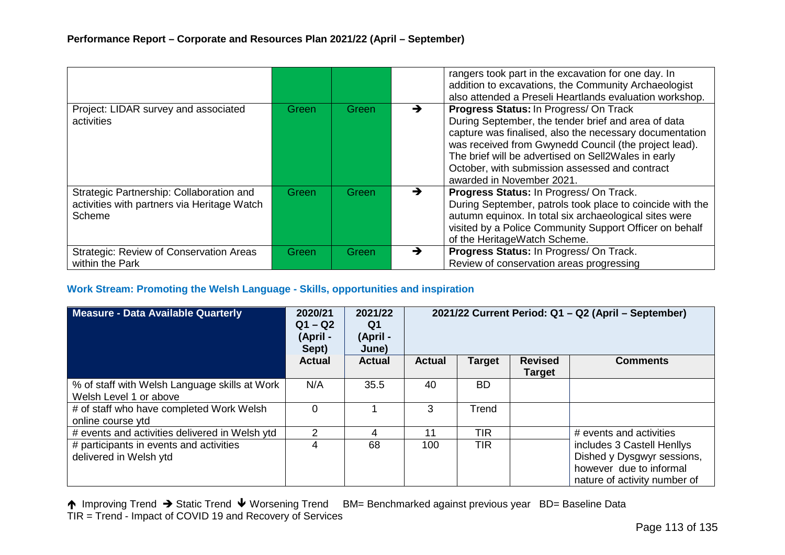|                                                                                                   |       |              |   | rangers took part in the excavation for one day. In<br>addition to excavations, the Community Archaeologist<br>also attended a Preseli Heartlands evaluation workshop.                                                                                                                                                                                         |
|---------------------------------------------------------------------------------------------------|-------|--------------|---|----------------------------------------------------------------------------------------------------------------------------------------------------------------------------------------------------------------------------------------------------------------------------------------------------------------------------------------------------------------|
| Project: LIDAR survey and associated<br>activities                                                | Green | Green        |   | <b>Progress Status: In Progress/ On Track</b><br>During September, the tender brief and area of data<br>capture was finalised, also the necessary documentation<br>was received from Gwynedd Council (the project lead).<br>The brief will be advertised on Sell2Wales in early<br>October, with submission assessed and contract<br>awarded in November 2021. |
| Strategic Partnership: Collaboration and<br>activities with partners via Heritage Watch<br>Scheme | Green | Green        | → | Progress Status: In Progress/ On Track.<br>During September, patrols took place to coincide with the<br>autumn equinox. In total six archaeological sites were<br>visited by a Police Community Support Officer on behalf<br>of the HeritageWatch Scheme.                                                                                                      |
| <b>Strategic: Review of Conservation Areas</b><br>within the Park                                 | Green | <b>Green</b> | → | Progress Status: In Progress/ On Track.<br>Review of conservation areas progressing                                                                                                                                                                                                                                                                            |

#### **Work Stream: Promoting the Welsh Language - Skills, opportunities and inspiration**

| <b>Measure - Data Available Quarterly</b>                               | 2020/21<br>$Q1 - Q2$<br>(April -<br>Sept) | 2021/22<br>Q1<br>(April -<br>June) | 2021/22 Current Period: Q1 - Q2 (April - September) |               |                                 |                                                                                                                     |
|-------------------------------------------------------------------------|-------------------------------------------|------------------------------------|-----------------------------------------------------|---------------|---------------------------------|---------------------------------------------------------------------------------------------------------------------|
|                                                                         | <b>Actual</b>                             | <b>Actual</b>                      | <b>Actual</b>                                       | <b>Target</b> | <b>Revised</b><br><b>Target</b> | <b>Comments</b>                                                                                                     |
| % of staff with Welsh Language skills at Work<br>Welsh Level 1 or above | N/A                                       | 35.5                               | 40                                                  | BD.           |                                 |                                                                                                                     |
| # of staff who have completed Work Welsh<br>online course ytd           | $\Omega$                                  |                                    | 3                                                   | Trend         |                                 |                                                                                                                     |
| # events and activities delivered in Welsh ytd                          | 2                                         | 4                                  | 11                                                  | <b>TIR</b>    |                                 | # events and activities                                                                                             |
| # participants in events and activities<br>delivered in Welsh ytd       | 4                                         | 68                                 | 100                                                 | <b>TIR</b>    |                                 | includes 3 Castell Henllys<br>Dished y Dysgwyr sessions,<br>however due to informal<br>nature of activity number of |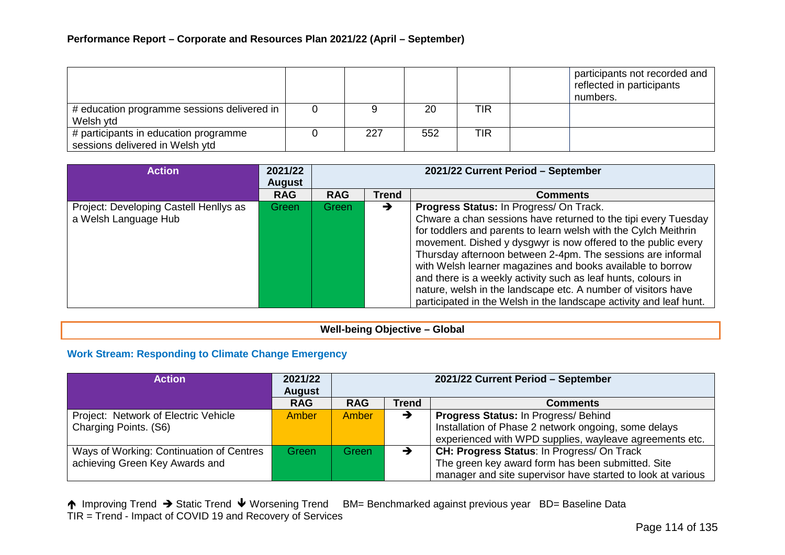|                                             |     |     |            | participants not recorded and<br>reflected in participants<br>numbers. |
|---------------------------------------------|-----|-----|------------|------------------------------------------------------------------------|
| # education programme sessions delivered in |     | 20  | <b>TIR</b> |                                                                        |
| Welsh ytd                                   |     |     |            |                                                                        |
| # participants in education programme       | 227 | 552 | <b>TIR</b> |                                                                        |
| sessions delivered in Welsh ytd             |     |     |            |                                                                        |

| <b>Action</b>                                                  | 2021/22<br><b>August</b> |            |              | 2021/22 Current Period - September                                                                                                                                                                                                                                                                                                                                                                                                                                                                                                                                                 |
|----------------------------------------------------------------|--------------------------|------------|--------------|------------------------------------------------------------------------------------------------------------------------------------------------------------------------------------------------------------------------------------------------------------------------------------------------------------------------------------------------------------------------------------------------------------------------------------------------------------------------------------------------------------------------------------------------------------------------------------|
|                                                                | <b>RAG</b>               | <b>RAG</b> | <b>Trend</b> | <b>Comments</b>                                                                                                                                                                                                                                                                                                                                                                                                                                                                                                                                                                    |
| Project: Developing Castell Henllys as<br>a Welsh Language Hub | Green                    | Green      | →            | Progress Status: In Progress/ On Track.<br>Chware a chan sessions have returned to the tipi every Tuesday<br>for toddlers and parents to learn welsh with the Cylch Meithrin<br>movement. Dished y dysgwyr is now offered to the public every<br>Thursday afternoon between 2-4pm. The sessions are informal<br>with Welsh learner magazines and books available to borrow<br>and there is a weekly activity such as leaf hunts, colours in<br>nature, welsh in the landscape etc. A number of visitors have<br>participated in the Welsh in the landscape activity and leaf hunt. |

## **Well-being Objective – Global**

# **Work Stream: Responding to Climate Change Emergency**

| <b>Action</b>                            | 2021/22<br><b>August</b> |            |              | 2021/22 Current Period - September                          |
|------------------------------------------|--------------------------|------------|--------------|-------------------------------------------------------------|
|                                          | <b>RAG</b>               | <b>RAG</b> | <b>Trend</b> | <b>Comments</b>                                             |
| Project: Network of Electric Vehicle     | <b>Amber</b>             | Amber      | →            | Progress Status: In Progress/ Behind                        |
| Charging Points. (S6)                    |                          |            |              | Installation of Phase 2 network ongoing, some delays        |
|                                          |                          |            |              | experienced with WPD supplies, wayleave agreements etc.     |
| Ways of Working: Continuation of Centres | Green                    | Green      |              | CH: Progress Status: In Progress/ On Track                  |
| achieving Green Key Awards and           |                          |            |              | The green key award form has been submitted. Site           |
|                                          |                          |            |              | manager and site supervisor have started to look at various |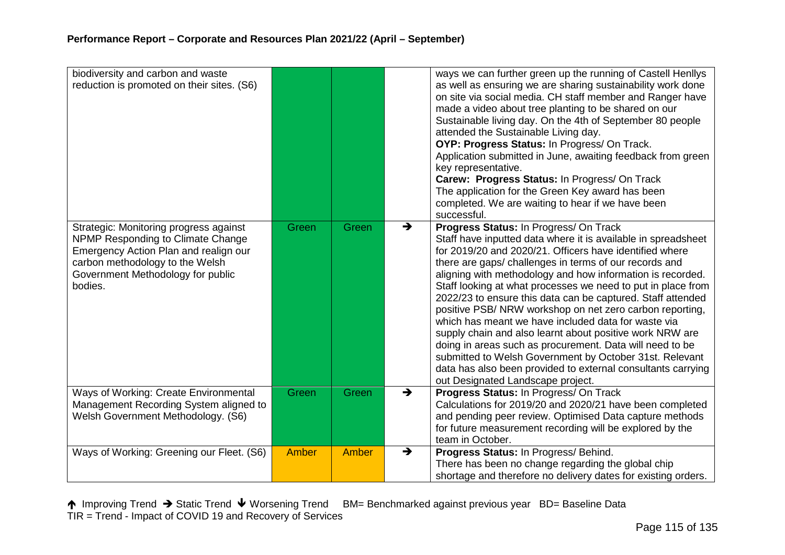| biodiversity and carbon and waste<br>reduction is promoted on their sites. (S6)                                                                                                                         |       |       |               | ways we can further green up the running of Castell Henllys<br>as well as ensuring we are sharing sustainability work done<br>on site via social media. CH staff member and Ranger have<br>made a video about tree planting to be shared on our<br>Sustainable living day. On the 4th of September 80 people<br>attended the Sustainable Living day.<br>OYP: Progress Status: In Progress/ On Track.<br>Application submitted in June, awaiting feedback from green<br>key representative.<br>Carew: Progress Status: In Progress/ On Track<br>The application for the Green Key award has been<br>completed. We are waiting to hear if we have been<br>successful.                                                                                                                                                                 |
|---------------------------------------------------------------------------------------------------------------------------------------------------------------------------------------------------------|-------|-------|---------------|-------------------------------------------------------------------------------------------------------------------------------------------------------------------------------------------------------------------------------------------------------------------------------------------------------------------------------------------------------------------------------------------------------------------------------------------------------------------------------------------------------------------------------------------------------------------------------------------------------------------------------------------------------------------------------------------------------------------------------------------------------------------------------------------------------------------------------------|
| Strategic: Monitoring progress against<br>NPMP Responding to Climate Change<br>Emergency Action Plan and realign our<br>carbon methodology to the Welsh<br>Government Methodology for public<br>bodies. | Green | Green | $\rightarrow$ | Progress Status: In Progress/ On Track<br>Staff have inputted data where it is available in spreadsheet<br>for 2019/20 and 2020/21. Officers have identified where<br>there are gaps/ challenges in terms of our records and<br>aligning with methodology and how information is recorded.<br>Staff looking at what processes we need to put in place from<br>2022/23 to ensure this data can be captured. Staff attended<br>positive PSB/NRW workshop on net zero carbon reporting,<br>which has meant we have included data for waste via<br>supply chain and also learnt about positive work NRW are<br>doing in areas such as procurement. Data will need to be<br>submitted to Welsh Government by October 31st. Relevant<br>data has also been provided to external consultants carrying<br>out Designated Landscape project. |
| Ways of Working: Create Environmental<br>Management Recording System aligned to<br>Welsh Government Methodology. (S6)                                                                                   | Green | Green | $\rightarrow$ | Progress Status: In Progress/ On Track<br>Calculations for 2019/20 and 2020/21 have been completed<br>and pending peer review. Optimised Data capture methods<br>for future measurement recording will be explored by the<br>team in October.                                                                                                                                                                                                                                                                                                                                                                                                                                                                                                                                                                                       |
| Ways of Working: Greening our Fleet. (S6)                                                                                                                                                               | Amber | Amber | $\rightarrow$ | Progress Status: In Progress/ Behind.<br>There has been no change regarding the global chip<br>shortage and therefore no delivery dates for existing orders.                                                                                                                                                                                                                                                                                                                                                                                                                                                                                                                                                                                                                                                                        |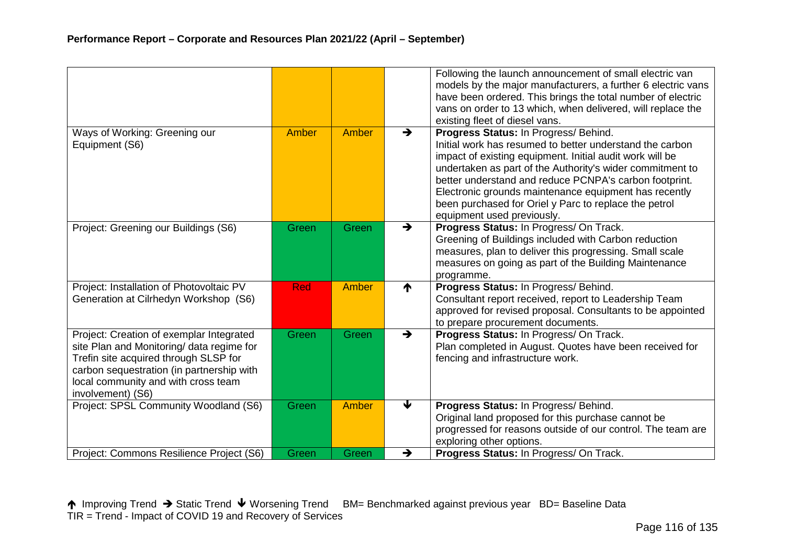|                                                                                                                                                                                                                                         |            |       |               | Following the launch announcement of small electric van<br>models by the major manufacturers, a further 6 electric vans<br>have been ordered. This brings the total number of electric                                                                                                                                                                                                                                               |
|-----------------------------------------------------------------------------------------------------------------------------------------------------------------------------------------------------------------------------------------|------------|-------|---------------|--------------------------------------------------------------------------------------------------------------------------------------------------------------------------------------------------------------------------------------------------------------------------------------------------------------------------------------------------------------------------------------------------------------------------------------|
|                                                                                                                                                                                                                                         |            |       |               | vans on order to 13 which, when delivered, will replace the<br>existing fleet of diesel vans.                                                                                                                                                                                                                                                                                                                                        |
| Ways of Working: Greening our<br>Equipment (S6)                                                                                                                                                                                         | Amber      | Amber | $\rightarrow$ | Progress Status: In Progress/ Behind.<br>Initial work has resumed to better understand the carbon<br>impact of existing equipment. Initial audit work will be<br>undertaken as part of the Authority's wider commitment to<br>better understand and reduce PCNPA's carbon footprint.<br>Electronic grounds maintenance equipment has recently<br>been purchased for Oriel y Parc to replace the petrol<br>equipment used previously. |
| Project: Greening our Buildings (S6)                                                                                                                                                                                                    | Green      | Green | $\rightarrow$ | Progress Status: In Progress/ On Track.<br>Greening of Buildings included with Carbon reduction<br>measures, plan to deliver this progressing. Small scale<br>measures on going as part of the Building Maintenance<br>programme.                                                                                                                                                                                                    |
| Project: Installation of Photovoltaic PV<br>Generation at Cilrhedyn Workshop (S6)                                                                                                                                                       | <b>Red</b> | Amber | ↑             | Progress Status: In Progress/ Behind.<br>Consultant report received, report to Leadership Team<br>approved for revised proposal. Consultants to be appointed<br>to prepare procurement documents.                                                                                                                                                                                                                                    |
| Project: Creation of exemplar Integrated<br>site Plan and Monitoring/ data regime for<br>Trefin site acquired through SLSP for<br>carbon sequestration (in partnership with<br>local community and with cross team<br>involvement) (S6) | Green      | Green | $\rightarrow$ | Progress Status: In Progress/ On Track.<br>Plan completed in August. Quotes have been received for<br>fencing and infrastructure work.                                                                                                                                                                                                                                                                                               |
| Project: SPSL Community Woodland (S6)                                                                                                                                                                                                   | Green      | Amber | ↓             | Progress Status: In Progress/ Behind.<br>Original land proposed for this purchase cannot be<br>progressed for reasons outside of our control. The team are<br>exploring other options.                                                                                                                                                                                                                                               |
| Project: Commons Resilience Project (S6)                                                                                                                                                                                                | Green      | Green | →             | Progress Status: In Progress/ On Track.                                                                                                                                                                                                                                                                                                                                                                                              |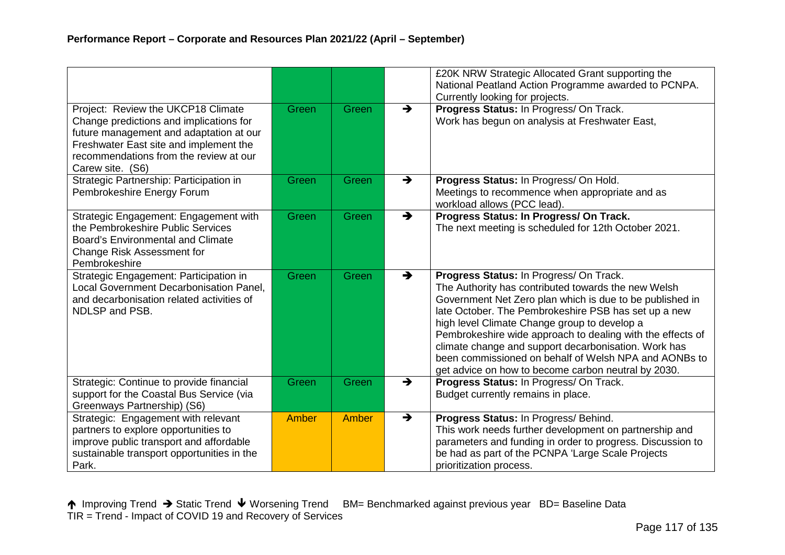|                                                                                                                                                                                                                                  |              |       |               | £20K NRW Strategic Allocated Grant supporting the<br>National Peatland Action Programme awarded to PCNPA.<br>Currently looking for projects.                                                                                                                                                                                                                                                                                                                                                             |
|----------------------------------------------------------------------------------------------------------------------------------------------------------------------------------------------------------------------------------|--------------|-------|---------------|----------------------------------------------------------------------------------------------------------------------------------------------------------------------------------------------------------------------------------------------------------------------------------------------------------------------------------------------------------------------------------------------------------------------------------------------------------------------------------------------------------|
| Project: Review the UKCP18 Climate<br>Change predictions and implications for<br>future management and adaptation at our<br>Freshwater East site and implement the<br>recommendations from the review at our<br>Carew site. (S6) | Green        | Green | $\rightarrow$ | Progress Status: In Progress/ On Track.<br>Work has begun on analysis at Freshwater East,                                                                                                                                                                                                                                                                                                                                                                                                                |
| Strategic Partnership: Participation in<br>Pembrokeshire Energy Forum                                                                                                                                                            | Green        | Green | $\rightarrow$ | Progress Status: In Progress/ On Hold.<br>Meetings to recommence when appropriate and as<br>workload allows (PCC lead).                                                                                                                                                                                                                                                                                                                                                                                  |
| Strategic Engagement: Engagement with<br>the Pembrokeshire Public Services<br><b>Board's Environmental and Climate</b><br>Change Risk Assessment for<br>Pembrokeshire                                                            | Green        | Green | $\rightarrow$ | Progress Status: In Progress/ On Track.<br>The next meeting is scheduled for 12th October 2021.                                                                                                                                                                                                                                                                                                                                                                                                          |
| Strategic Engagement: Participation in<br>Local Government Decarbonisation Panel,<br>and decarbonisation related activities of<br>NDLSP and PSB.                                                                                 | Green        | Green | $\rightarrow$ | Progress Status: In Progress/ On Track.<br>The Authority has contributed towards the new Welsh<br>Government Net Zero plan which is due to be published in<br>late October. The Pembrokeshire PSB has set up a new<br>high level Climate Change group to develop a<br>Pembrokeshire wide approach to dealing with the effects of<br>climate change and support decarbonisation. Work has<br>been commissioned on behalf of Welsh NPA and AONBs to<br>get advice on how to become carbon neutral by 2030. |
| Strategic: Continue to provide financial<br>support for the Coastal Bus Service (via<br>Greenways Partnership) (S6)                                                                                                              | Green        | Green | $\rightarrow$ | Progress Status: In Progress/ On Track.<br>Budget currently remains in place.                                                                                                                                                                                                                                                                                                                                                                                                                            |
| Strategic: Engagement with relevant<br>partners to explore opportunities to<br>improve public transport and affordable<br>sustainable transport opportunities in the<br>Park.                                                    | <b>Amber</b> | Amber | $\rightarrow$ | Progress Status: In Progress/ Behind.<br>This work needs further development on partnership and<br>parameters and funding in order to progress. Discussion to<br>be had as part of the PCNPA 'Large Scale Projects<br>prioritization process.                                                                                                                                                                                                                                                            |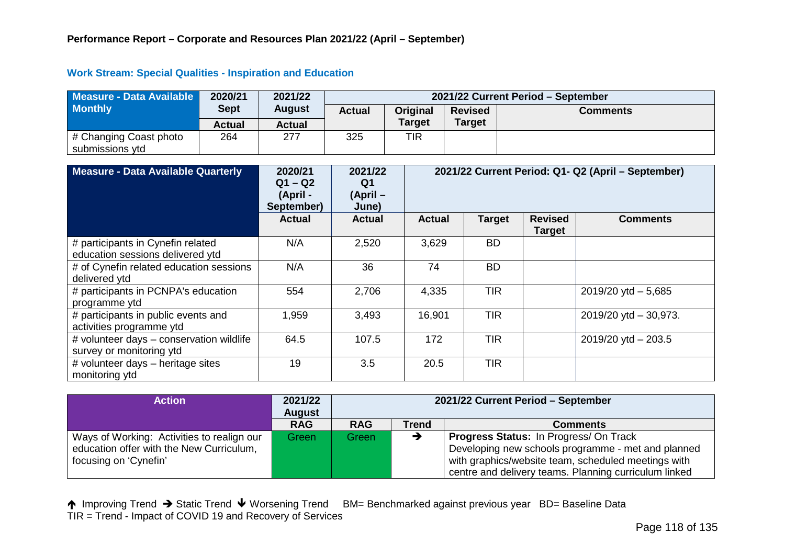#### **Work Stream: Special Qualities - Inspiration and Education**

| Measure - Data Available                  | 2020/21       | 2021/22       |               |               |                | 2021/22 Current Period - September |  |  |
|-------------------------------------------|---------------|---------------|---------------|---------------|----------------|------------------------------------|--|--|
| <b>Monthly</b>                            | <b>Sept</b>   | <b>August</b> | <b>Actual</b> | Original      | <b>Revised</b> | <b>Comments</b>                    |  |  |
|                                           | <b>Actual</b> | Actual        |               | <b>Target</b> | <b>Target</b>  |                                    |  |  |
| # Changing Coast photo<br>submissions ytd | 264           | 277           | 325           | TIR           |                |                                    |  |  |

| Measure - Data Available Quarterly                                    | 2020/21<br>$Q1 - Q2$<br>(April -<br>September) | 2021/22<br>Q <sub>1</sub><br>$(April -$<br>June) |               |               |                                 | 2021/22 Current Period: Q1- Q2 (April - September) |
|-----------------------------------------------------------------------|------------------------------------------------|--------------------------------------------------|---------------|---------------|---------------------------------|----------------------------------------------------|
|                                                                       | <b>Actual</b>                                  | <b>Actual</b>                                    | <b>Actual</b> | <b>Target</b> | <b>Revised</b><br><b>Target</b> | <b>Comments</b>                                    |
| # participants in Cynefin related<br>education sessions delivered ytd | N/A                                            | 2,520                                            | 3,629         | <b>BD</b>     |                                 |                                                    |
| # of Cynefin related education sessions<br>delivered ytd              | N/A                                            | 36                                               | 74            | <b>BD</b>     |                                 |                                                    |
| # participants in PCNPA's education<br>programme ytd                  | 554                                            | 2,706                                            | 4,335         | <b>TIR</b>    |                                 | $2019/20$ ytd $-5,685$                             |
| # participants in public events and<br>activities programme ytd       | 1,959                                          | 3,493                                            | 16,901        | <b>TIR</b>    |                                 | $2019/20$ ytd $-30,973$ .                          |
| # volunteer days - conservation wildlife<br>survey or monitoring ytd  | 64.5                                           | 107.5                                            | 172           | <b>TIR</b>    |                                 | $2019/20$ ytd $- 203.5$                            |
| # volunteer days - heritage sites<br>monitoring ytd                   | 19                                             | 3.5                                              | 20.5          | <b>TIR</b>    |                                 |                                                    |

| Action                                                                                 | 2021/22<br><b>August</b> |            |              | 2021/22 Current Period - September                                                                           |
|----------------------------------------------------------------------------------------|--------------------------|------------|--------------|--------------------------------------------------------------------------------------------------------------|
|                                                                                        | <b>RAG</b>               | <b>RAG</b> | <b>Trend</b> | <b>Comments</b>                                                                                              |
| Ways of Working: Activities to realign our<br>education offer with the New Curriculum, | Green                    | Green      |              | <b>Progress Status: In Progress/ On Track</b><br>Developing new schools programme - met and planned          |
| focusing on 'Cynefin'                                                                  |                          |            |              | with graphics/website team, scheduled meetings with<br>centre and delivery teams. Planning curriculum linked |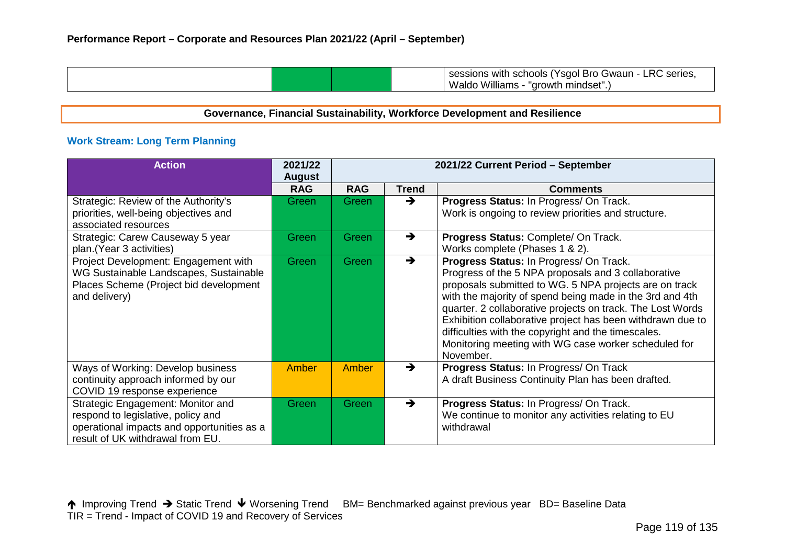| Waldo<br>mindset"<br>Williams<br>"arowth" |
|-------------------------------------------|
|-------------------------------------------|

# **Governance, Financial Sustainability, Workforce Development and Resilience**

# **Work Stream: Long Term Planning**

| <b>Action</b>                                                                                                                                             | 2021/22<br><b>August</b> |            |               | 2021/22 Current Period - September                                                                                                                                                                                                                                                                                                                                                                                                                                           |
|-----------------------------------------------------------------------------------------------------------------------------------------------------------|--------------------------|------------|---------------|------------------------------------------------------------------------------------------------------------------------------------------------------------------------------------------------------------------------------------------------------------------------------------------------------------------------------------------------------------------------------------------------------------------------------------------------------------------------------|
|                                                                                                                                                           | <b>RAG</b>               | <b>RAG</b> | <b>Trend</b>  | <b>Comments</b>                                                                                                                                                                                                                                                                                                                                                                                                                                                              |
| Strategic: Review of the Authority's<br>priorities, well-being objectives and<br>associated resources                                                     | Green                    | Green      | →             | Progress Status: In Progress/ On Track.<br>Work is ongoing to review priorities and structure.                                                                                                                                                                                                                                                                                                                                                                               |
| Strategic: Carew Causeway 5 year<br>plan.(Year 3 activities)                                                                                              | Green                    | Green      | $\rightarrow$ | Progress Status: Complete/ On Track.<br>Works complete (Phases 1 & 2).                                                                                                                                                                                                                                                                                                                                                                                                       |
| Project Development: Engagement with<br>WG Sustainable Landscapes, Sustainable<br>Places Scheme (Project bid development<br>and delivery)                 | Green                    | Green      | $\rightarrow$ | Progress Status: In Progress/ On Track.<br>Progress of the 5 NPA proposals and 3 collaborative<br>proposals submitted to WG. 5 NPA projects are on track<br>with the majority of spend being made in the 3rd and 4th<br>quarter. 2 collaborative projects on track. The Lost Words<br>Exhibition collaborative project has been withdrawn due to<br>difficulties with the copyright and the timescales.<br>Monitoring meeting with WG case worker scheduled for<br>November. |
| Ways of Working: Develop business<br>continuity approach informed by our<br>COVID 19 response experience                                                  | <b>Amber</b>             | Amber      | $\rightarrow$ | Progress Status: In Progress/ On Track<br>A draft Business Continuity Plan has been drafted.                                                                                                                                                                                                                                                                                                                                                                                 |
| Strategic Engagement: Monitor and<br>respond to legislative, policy and<br>operational impacts and opportunities as a<br>result of UK withdrawal from EU. | Green                    | Green      | $\rightarrow$ | Progress Status: In Progress/ On Track.<br>We continue to monitor any activities relating to EU<br>withdrawal                                                                                                                                                                                                                                                                                                                                                                |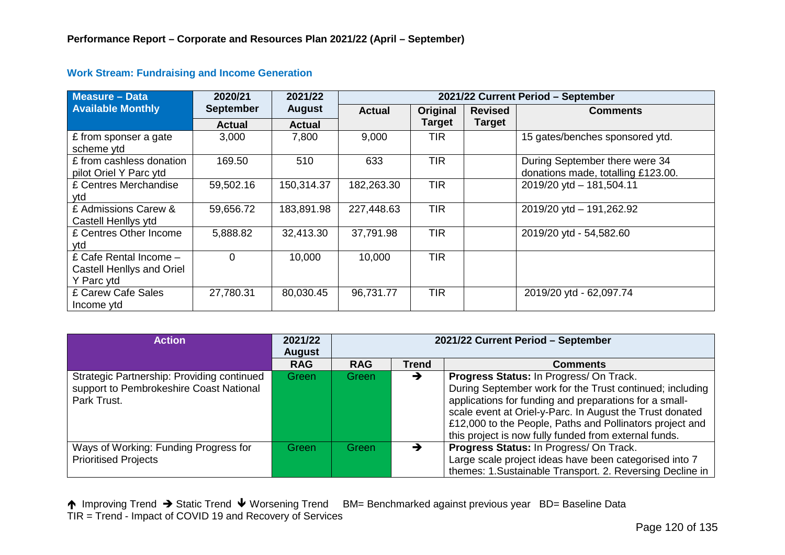| <b>Measure - Data</b>                                             | 2020/21          | 2021/22       |               |               | 2021/22 Current Period - September |                                                                      |  |  |  |
|-------------------------------------------------------------------|------------------|---------------|---------------|---------------|------------------------------------|----------------------------------------------------------------------|--|--|--|
| <b>Available Monthly</b>                                          | <b>September</b> | <b>August</b> | <b>Actual</b> | Original      | <b>Revised</b>                     | <b>Comments</b>                                                      |  |  |  |
|                                                                   | <b>Actual</b>    | <b>Actual</b> |               | <b>Target</b> | <b>Target</b>                      |                                                                      |  |  |  |
| £ from sponser a gate<br>scheme ytd                               | 3,000            | 7,800         | 9,000         | <b>TIR</b>    |                                    | 15 gates/benches sponsored ytd.                                      |  |  |  |
| £ from cashless donation<br>pilot Oriel Y Parc ytd                | 169.50           | 510           | 633           | <b>TIR</b>    |                                    | During September there were 34<br>donations made, totalling £123.00. |  |  |  |
| £ Centres Merchandise<br>vtd                                      | 59,502.16        | 150,314.37    | 182,263.30    | <b>TIR</b>    |                                    | 2019/20 ytd - 181,504.11                                             |  |  |  |
| £ Admissions Carew &<br>Castell Henllys ytd                       | 59,656.72        | 183,891.98    | 227,448.63    | <b>TIR</b>    |                                    | 2019/20 ytd - 191,262.92                                             |  |  |  |
| £ Centres Other Income<br>ytd                                     | 5,888.82         | 32,413.30     | 37,791.98     | <b>TIR</b>    |                                    | 2019/20 ytd - 54,582.60                                              |  |  |  |
| £ Cafe Rental Income -<br>Castell Henllys and Oriel<br>Y Parc ytd | $\Omega$         | 10,000        | 10,000        | <b>TIR</b>    |                                    |                                                                      |  |  |  |
| £ Carew Cafe Sales<br>Income ytd                                  | 27,780.31        | 80,030.45     | 96,731.77     | <b>TIR</b>    |                                    | 2019/20 ytd - 62,097.74                                              |  |  |  |

#### **Work Stream: Fundraising and Income Generation**

| <b>Action</b>                                                                                        | 2021/22<br><b>August</b> | 2021/22 Current Period - September |              |                                                                                                                                                                                                                                                                                                                                                |  |  |
|------------------------------------------------------------------------------------------------------|--------------------------|------------------------------------|--------------|------------------------------------------------------------------------------------------------------------------------------------------------------------------------------------------------------------------------------------------------------------------------------------------------------------------------------------------------|--|--|
|                                                                                                      | <b>RAG</b>               | <b>RAG</b>                         | <b>Trend</b> | <b>Comments</b>                                                                                                                                                                                                                                                                                                                                |  |  |
| Strategic Partnership: Providing continued<br>support to Pembrokeshire Coast National<br>Park Trust. | Green                    | Green                              | →            | Progress Status: In Progress/ On Track.<br>During September work for the Trust continued; including<br>applications for funding and preparations for a small-<br>scale event at Oriel-y-Parc. In August the Trust donated<br>£12,000 to the People, Paths and Pollinators project and<br>this project is now fully funded from external funds. |  |  |
| Ways of Working: Funding Progress for<br><b>Prioritised Projects</b>                                 | Green                    | Green                              |              | Progress Status: In Progress/ On Track.<br>Large scale project ideas have been categorised into 7<br>themes: 1.Sustainable Transport. 2. Reversing Decline in                                                                                                                                                                                  |  |  |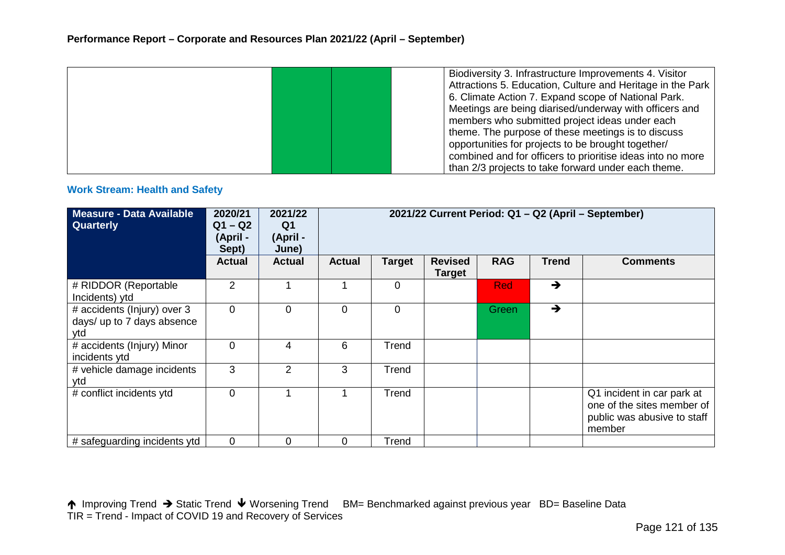|  |  | Biodiversity 3. Infrastructure Improvements 4. Visitor     |
|--|--|------------------------------------------------------------|
|  |  | Attractions 5. Education, Culture and Heritage in the Park |
|  |  | 6. Climate Action 7. Expand scope of National Park.        |
|  |  | Meetings are being diarised/underway with officers and     |
|  |  | members who submitted project ideas under each             |
|  |  | theme. The purpose of these meetings is to discuss         |
|  |  | opportunities for projects to be brought together/         |
|  |  | combined and for officers to prioritise ideas into no more |
|  |  | than 2/3 projects to take forward under each theme.        |

#### **Work Stream: Health and Safety**

| <b>Measure - Data Available</b><br>Quarterly                     | 2020/21<br>$Q1 - Q2$<br>(April -<br>Sept) | 2021/22<br>Q <sub>1</sub><br>(April -<br>June) | 2021/22 Current Period: Q1 - Q2 (April - September) |                |                                 |            |               |                                                                                                   |
|------------------------------------------------------------------|-------------------------------------------|------------------------------------------------|-----------------------------------------------------|----------------|---------------------------------|------------|---------------|---------------------------------------------------------------------------------------------------|
|                                                                  | <b>Actual</b>                             | <b>Actual</b>                                  | <b>Actual</b>                                       | <b>Target</b>  | <b>Revised</b><br><b>Target</b> | <b>RAG</b> | <b>Trend</b>  | <b>Comments</b>                                                                                   |
| # RIDDOR (Reportable<br>Incidents) ytd                           | 2                                         |                                                |                                                     | 0              |                                 | <b>Red</b> | $\rightarrow$ |                                                                                                   |
| # accidents (Injury) over 3<br>days/ up to 7 days absence<br>ytd | 0                                         | $\mathbf 0$                                    | $\mathbf 0$                                         | $\overline{0}$ |                                 | Green      | $\rightarrow$ |                                                                                                   |
| # accidents (Injury) Minor<br>incidents ytd                      | 0                                         | 4                                              | 6                                                   | Trend          |                                 |            |               |                                                                                                   |
| # vehicle damage incidents<br>ytd                                | 3                                         | $\overline{2}$                                 | 3                                                   | Trend          |                                 |            |               |                                                                                                   |
| # conflict incidents ytd                                         | 0                                         |                                                |                                                     | Trend          |                                 |            |               | Q1 incident in car park at<br>one of the sites member of<br>public was abusive to staff<br>member |
| # safeguarding incidents ytd                                     | $\overline{0}$                            | $\Omega$                                       | 0                                                   | Trend          |                                 |            |               |                                                                                                   |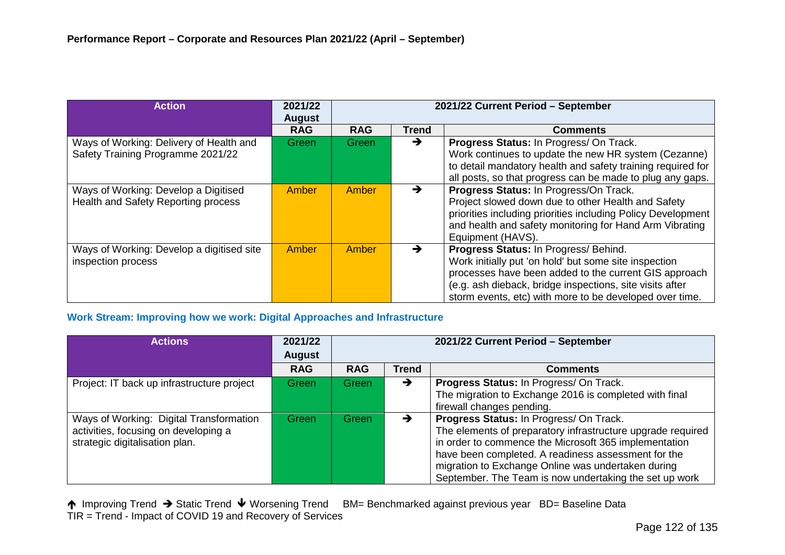| <b>Action</b>                                                                | 2021/22<br><b>August</b> |            |              | 2021/22 Current Period - September                                                                                                                                                                                                                                             |
|------------------------------------------------------------------------------|--------------------------|------------|--------------|--------------------------------------------------------------------------------------------------------------------------------------------------------------------------------------------------------------------------------------------------------------------------------|
|                                                                              | <b>RAG</b>               | <b>RAG</b> | <b>Trend</b> | <b>Comments</b>                                                                                                                                                                                                                                                                |
| Ways of Working: Delivery of Health and<br>Safety Training Programme 2021/22 | Green                    | Green      | →            | Progress Status: In Progress/ On Track.<br>Work continues to update the new HR system (Cezanne)<br>to detail mandatory health and safety training required for<br>all posts, so that progress can be made to plug any gaps.                                                    |
| Ways of Working: Develop a Digitised<br>Health and Safety Reporting process  | Amber                    | Amber      | →            | Progress Status: In Progress/On Track.<br>Project slowed down due to other Health and Safety<br>priorities including priorities including Policy Development<br>and health and safety monitoring for Hand Arm Vibrating<br>Equipment (HAVS).                                   |
| Ways of Working: Develop a digitised site<br>inspection process              | Amber                    | Amber      | →            | Progress Status: In Progress/ Behind.<br>Work initially put 'on hold' but some site inspection<br>processes have been added to the current GIS approach<br>(e.g. ash dieback, bridge inspections, site visits after<br>storm events, etc) with more to be developed over time. |

# **Work Stream: Improving how we work: Digital Approaches and Infrastructure**

| <b>Actions</b>                                                                                                    | 2021/22<br><b>August</b> | 2021/22 Current Period - September |               |                                                                                                                                                                                                                                                                                                                                        |  |  |  |
|-------------------------------------------------------------------------------------------------------------------|--------------------------|------------------------------------|---------------|----------------------------------------------------------------------------------------------------------------------------------------------------------------------------------------------------------------------------------------------------------------------------------------------------------------------------------------|--|--|--|
|                                                                                                                   | <b>RAG</b>               | <b>RAG</b>                         | <b>Trend</b>  | <b>Comments</b>                                                                                                                                                                                                                                                                                                                        |  |  |  |
| Project: IT back up infrastructure project                                                                        | Green                    | Green /                            | $\rightarrow$ | Progress Status: In Progress/ On Track.<br>The migration to Exchange 2016 is completed with final<br>firewall changes pending.                                                                                                                                                                                                         |  |  |  |
| Ways of Working: Digital Transformation<br>activities, focusing on developing a<br>strategic digitalisation plan. | Green                    | Green                              | →             | Progress Status: In Progress/ On Track.<br>The elements of preparatory infrastructure upgrade required<br>in order to commence the Microsoft 365 implementation<br>have been completed. A readiness assessment for the<br>migration to Exchange Online was undertaken during<br>September. The Team is now undertaking the set up work |  |  |  |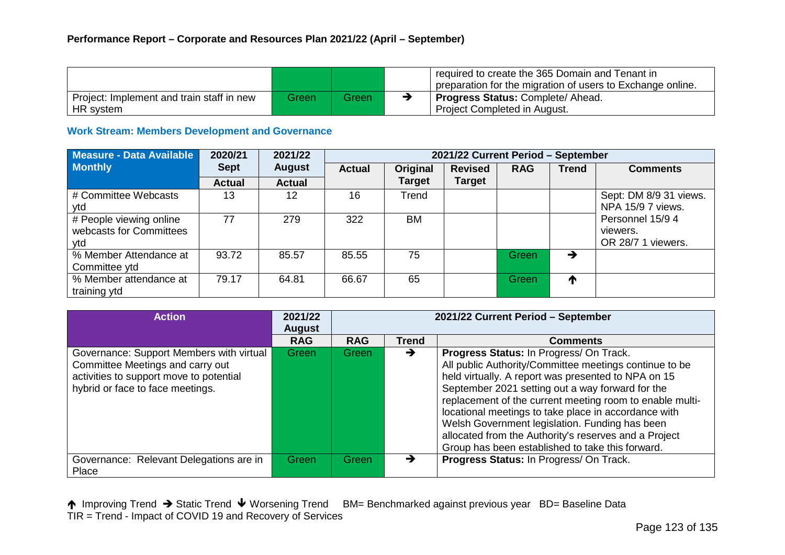|                                                        |        |        | required to create the 365 Domain and Tenant in<br>preparation for the migration of users to Exchange online. |
|--------------------------------------------------------|--------|--------|---------------------------------------------------------------------------------------------------------------|
| Project: Implement and train staff in new<br>HR system | Greenl | Green. | Progress Status: Complete/ Ahead.<br>Project Completed in August.                                             |

#### **Work Stream: Members Development and Governance**

| Measure - Data Available                                  | 2020/21       | 2021/22       |               | 2021/22 Current Period - September |                |            |              |                                                    |  |  |
|-----------------------------------------------------------|---------------|---------------|---------------|------------------------------------|----------------|------------|--------------|----------------------------------------------------|--|--|
| <b>Monthly</b>                                            | <b>Sept</b>   | <b>August</b> | <b>Actual</b> | Original                           | <b>Revised</b> | <b>RAG</b> | <b>Trend</b> | <b>Comments</b>                                    |  |  |
|                                                           | <b>Actual</b> | <b>Actual</b> |               | <b>Target</b>                      | <b>Target</b>  |            |              |                                                    |  |  |
| # Committee Webcasts<br>ytd                               | 13            | 12            | 16            | Trend                              |                |            |              | Sept: DM 8/9 31 views.<br>NPA 15/9 7 views.        |  |  |
| # People viewing online<br>webcasts for Committees<br>ytd | 77            | 279           | 322           | <b>BM</b>                          |                |            |              | Personnel 15/9 4<br>viewers.<br>OR 28/7 1 viewers. |  |  |
| % Member Attendance at<br>Committee ytd                   | 93.72         | 85.57         | 85.55         | 75                                 |                | Green      | →            |                                                    |  |  |
| % Member attendance at<br>training ytd                    | 79.17         | 64.81         | 66.67         | 65                                 |                | Green      | ↑            |                                                    |  |  |

| <b>Action</b>                                                                                                                                               | 2021/22<br><b>August</b> | 2021/22 Current Period - September |               |                                                                                                                                                                                                                                                                                                                                                                                                                                                                                                 |  |  |  |
|-------------------------------------------------------------------------------------------------------------------------------------------------------------|--------------------------|------------------------------------|---------------|-------------------------------------------------------------------------------------------------------------------------------------------------------------------------------------------------------------------------------------------------------------------------------------------------------------------------------------------------------------------------------------------------------------------------------------------------------------------------------------------------|--|--|--|
|                                                                                                                                                             | <b>RAG</b>               | <b>RAG</b>                         | <b>Trend</b>  | <b>Comments</b>                                                                                                                                                                                                                                                                                                                                                                                                                                                                                 |  |  |  |
| Governance: Support Members with virtual<br>Committee Meetings and carry out<br>activities to support move to potential<br>hybrid or face to face meetings. | <b>Green</b>             | Green <sub>7</sub>                 | $\rightarrow$ | Progress Status: In Progress/ On Track.<br>All public Authority/Committee meetings continue to be<br>held virtually. A report was presented to NPA on 15<br>September 2021 setting out a way forward for the<br>replacement of the current meeting room to enable multi-<br>locational meetings to take place in accordance with<br>Welsh Government legislation. Funding has been<br>allocated from the Authority's reserves and a Project<br>Group has been established to take this forward. |  |  |  |
| Governance: Relevant Delegations are in<br>Place                                                                                                            | Green                    | Green                              | →             | Progress Status: In Progress/ On Track.                                                                                                                                                                                                                                                                                                                                                                                                                                                         |  |  |  |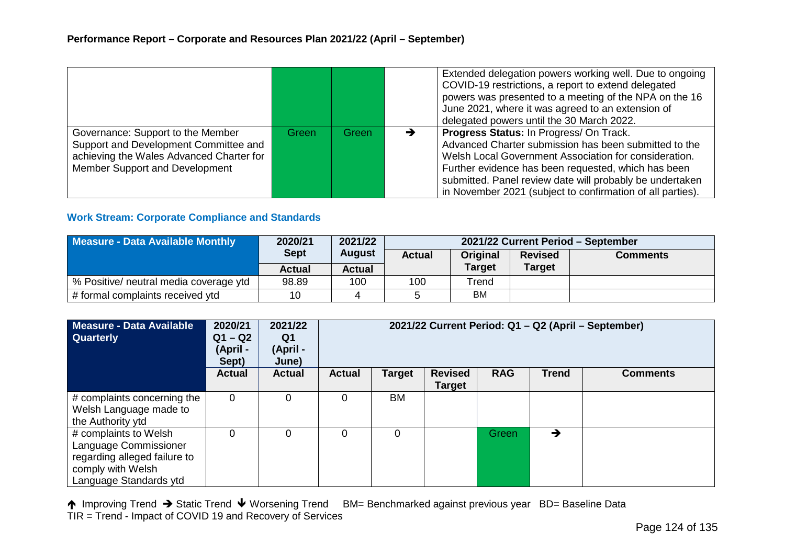|                                                                                                                                                          |       |       |   | Extended delegation powers working well. Due to ongoing<br>COVID-19 restrictions, a report to extend delegated<br>powers was presented to a meeting of the NPA on the 16<br>June 2021, where it was agreed to an extension of<br>delegated powers until the 30 March 2022.                                                                 |
|----------------------------------------------------------------------------------------------------------------------------------------------------------|-------|-------|---|--------------------------------------------------------------------------------------------------------------------------------------------------------------------------------------------------------------------------------------------------------------------------------------------------------------------------------------------|
| Governance: Support to the Member<br>Support and Development Committee and<br>achieving the Wales Advanced Charter for<br>Member Support and Development | Green | Green | ▼ | Progress Status: In Progress/ On Track.<br>Advanced Charter submission has been submitted to the<br>Welsh Local Government Association for consideration.<br>Further evidence has been requested, which has been<br>submitted. Panel review date will probably be undertaken<br>in November 2021 (subject to confirmation of all parties). |

# **Work Stream: Corporate Compliance and Standards**

| Measure - Data Available Monthly       | 2020/21               | 2021/22       | 2021/22 Current Period - September |               |                |                 |  |  |
|----------------------------------------|-----------------------|---------------|------------------------------------|---------------|----------------|-----------------|--|--|
|                                        | <b>Sept</b><br>August |               | <b>Actual</b>                      | Original      | <b>Revised</b> | <b>Comments</b> |  |  |
|                                        | <b>Actual</b>         | <b>Actual</b> |                                    | <b>Target</b> | <b>Target</b>  |                 |  |  |
| % Positive/ neutral media coverage ytd | 98.89                 | 100           | 100                                | Trend         |                |                 |  |  |
| # formal complaints received ytd       | 10                    |               |                                    | <b>BM</b>     |                |                 |  |  |

| <b>Measure - Data Available</b><br><b>Quarterly</b>                                                                           | 2020/21<br>$Q1 - Q2$<br>(April -<br>Sept) | 2021/22<br>Q1<br>(April -<br>June) | 2021/22 Current Period: Q1 - Q2 (April - September) |        |                          |              |              |                 |
|-------------------------------------------------------------------------------------------------------------------------------|-------------------------------------------|------------------------------------|-----------------------------------------------------|--------|--------------------------|--------------|--------------|-----------------|
|                                                                                                                               | <b>Actual</b>                             | <b>Actual</b>                      | <b>Actual</b>                                       | Target | <b>Revised</b><br>Target | <b>RAG</b>   | <b>Trend</b> | <b>Comments</b> |
| # complaints concerning the<br>Welsh Language made to<br>the Authority ytd                                                    | $\Omega$                                  | $\Omega$                           | 0                                                   | BM     |                          |              |              |                 |
| # complaints to Welsh<br>Language Commissioner<br>regarding alleged failure to<br>comply with Welsh<br>Language Standards ytd |                                           | $\Omega$                           | 0                                                   | 0      |                          | <b>Green</b> | →            |                 |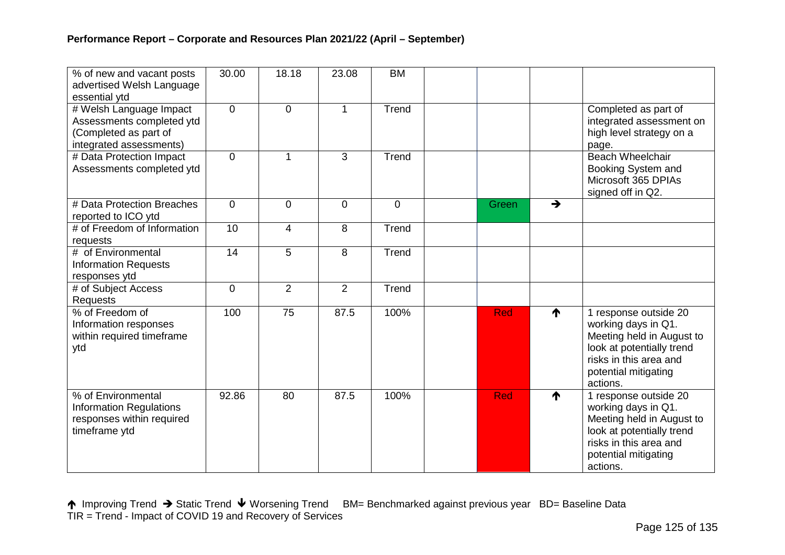| % of new and vacant posts<br>advertised Welsh Language<br>essential ytd                                  | 30.00          | 18.18          | 23.08       | <b>BM</b> |            |               |                                                                                                                                                                      |
|----------------------------------------------------------------------------------------------------------|----------------|----------------|-------------|-----------|------------|---------------|----------------------------------------------------------------------------------------------------------------------------------------------------------------------|
| # Welsh Language Impact<br>Assessments completed ytd<br>(Completed as part of<br>integrated assessments) | $\Omega$       | $\Omega$       | 1           | Trend     |            |               | Completed as part of<br>integrated assessment on<br>high level strategy on a<br>page.                                                                                |
| # Data Protection Impact<br>Assessments completed ytd                                                    | $\Omega$       | 1              | 3           | Trend     |            |               | <b>Beach Wheelchair</b><br>Booking System and<br>Microsoft 365 DPIAs<br>signed off in Q2.                                                                            |
| # Data Protection Breaches<br>reported to ICO ytd                                                        | $\overline{0}$ | $\overline{0}$ | $\mathbf 0$ | 0         | Green      | $\rightarrow$ |                                                                                                                                                                      |
| # of Freedom of Information<br>requests                                                                  | 10             | 4              | 8           | Trend     |            |               |                                                                                                                                                                      |
| # of Environmental<br><b>Information Requests</b><br>responses ytd                                       | 14             | 5              | 8           | Trend     |            |               |                                                                                                                                                                      |
| # of Subject Access<br><b>Requests</b>                                                                   | $\overline{0}$ | $\overline{2}$ | 2           | Trend     |            |               |                                                                                                                                                                      |
| % of Freedom of<br>Information responses<br>within required timeframe<br>ytd                             | 100            | 75             | 87.5        | 100%      | <b>Red</b> | ↑             | 1 response outside 20<br>working days in Q1.<br>Meeting held in August to<br>look at potentially trend<br>risks in this area and<br>potential mitigating<br>actions. |
| % of Environmental<br><b>Information Regulations</b><br>responses within required<br>timeframe ytd       | 92.86          | 80             | 87.5        | 100%      | Red        | ↑             | 1 response outside 20<br>working days in Q1.<br>Meeting held in August to<br>look at potentially trend<br>risks in this area and<br>potential mitigating<br>actions. |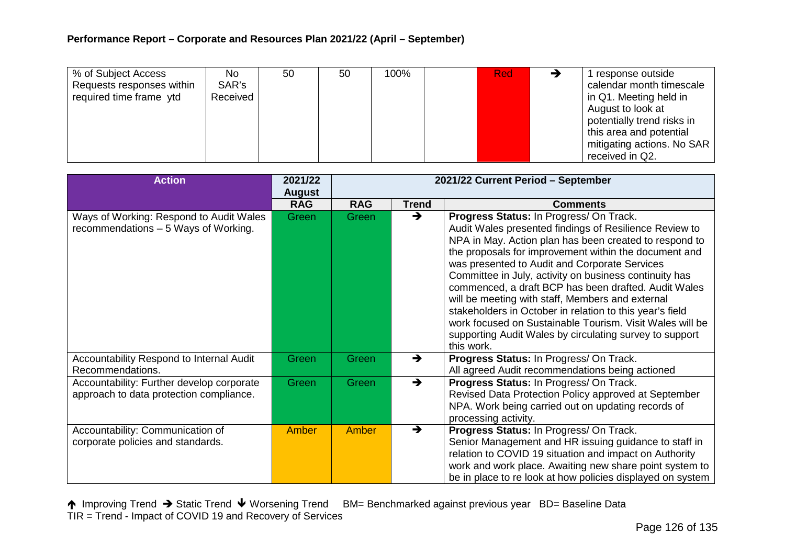| % of Subject Access<br>Requests responses within<br>required time frame ytd | No<br>SAR's<br>Received | 50 | 50 | 100% | <b>Red</b> | response outside<br>calendar month timescale<br>in Q1. Meeting held in                                   |
|-----------------------------------------------------------------------------|-------------------------|----|----|------|------------|----------------------------------------------------------------------------------------------------------|
|                                                                             |                         |    |    |      |            | August to look at<br>potentially trend risks in<br>this area and potential<br>mitigating actions. No SAR |
|                                                                             |                         |    |    |      |            | received in Q2.                                                                                          |

| <b>Action</b>                                                                        | 2021/22<br><b>August</b> | 2021/22 Current Period - September |               |                                                                                                                                                                                                                                                                                                                                                                                                                                                                                                                                                                                                                                              |
|--------------------------------------------------------------------------------------|--------------------------|------------------------------------|---------------|----------------------------------------------------------------------------------------------------------------------------------------------------------------------------------------------------------------------------------------------------------------------------------------------------------------------------------------------------------------------------------------------------------------------------------------------------------------------------------------------------------------------------------------------------------------------------------------------------------------------------------------------|
|                                                                                      | <b>RAG</b>               | <b>RAG</b>                         | <b>Trend</b>  | <b>Comments</b>                                                                                                                                                                                                                                                                                                                                                                                                                                                                                                                                                                                                                              |
| Ways of Working: Respond to Audit Wales<br>recommendations - 5 Ways of Working.      | Green                    | Green                              | →             | Progress Status: In Progress/ On Track.<br>Audit Wales presented findings of Resilience Review to<br>NPA in May. Action plan has been created to respond to<br>the proposals for improvement within the document and<br>was presented to Audit and Corporate Services<br>Committee in July, activity on business continuity has<br>commenced, a draft BCP has been drafted. Audit Wales<br>will be meeting with staff, Members and external<br>stakeholders in October in relation to this year's field<br>work focused on Sustainable Tourism. Visit Wales will be<br>supporting Audit Wales by circulating survey to support<br>this work. |
| Accountability Respond to Internal Audit<br>Recommendations.                         | Green                    | <b>Green</b>                       | →             | Progress Status: In Progress/ On Track.<br>All agreed Audit recommendations being actioned                                                                                                                                                                                                                                                                                                                                                                                                                                                                                                                                                   |
| Accountability: Further develop corporate<br>approach to data protection compliance. | Green                    | Green                              | $\rightarrow$ | Progress Status: In Progress/ On Track.<br>Revised Data Protection Policy approved at September<br>NPA. Work being carried out on updating records of<br>processing activity.                                                                                                                                                                                                                                                                                                                                                                                                                                                                |
| Accountability: Communication of<br>corporate policies and standards.                | Amber                    | <b>Amber</b>                       | →             | Progress Status: In Progress/ On Track.<br>Senior Management and HR issuing guidance to staff in<br>relation to COVID 19 situation and impact on Authority<br>work and work place. Awaiting new share point system to<br>be in place to re look at how policies displayed on system                                                                                                                                                                                                                                                                                                                                                          |